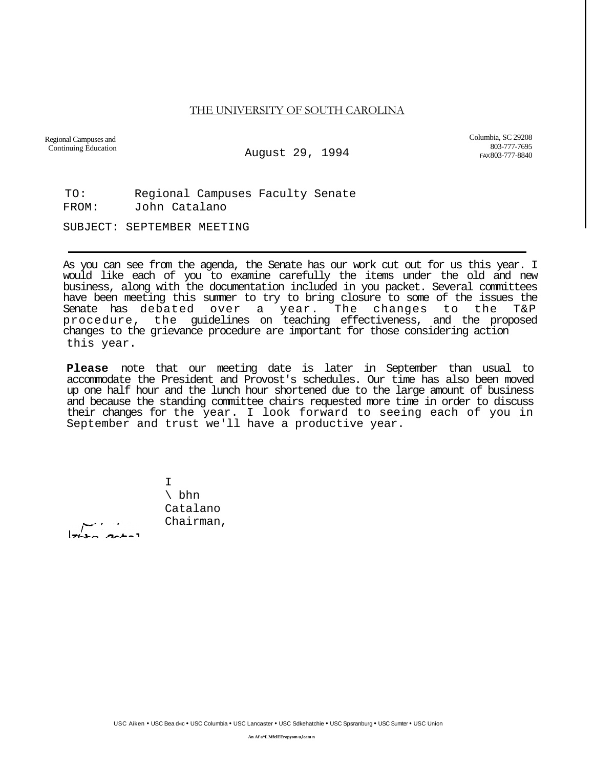### THE UNIVERSITY OF SOUTH CAROLINA

Regional Campuses and Continuing Education

August 29, 1994

Columbia, SC 29208 803-777-7695 FAX 803-777-8840

TO: Regional Campuses Faculty Senate<br>FROM: John Catalano John Catalano

SUBJECT: SEPTEMBER MEETING

As you can see from the agenda, the Senate has our work cut out for us this year. I would like each of you to examine carefully the items under the old and new business, along with the documentation included in you packet. Several committees have been meeting this summer to try to bring closure to some of the issues the<br>Senate has debated over a year. The changes to the T&P Senate has debated over a year. The changes to the T&P procedure, the guidelines on teaching effectiveness, and the proposed changes to the grievance procedure are important for those considering action this year.

**Please** note that our meeting date is later in September than usual to accommodate the President and Provost's schedules. Our time has also been moved up one half hour and the lunch hour shortened due to the large amount of business and because the standing committee chairs requested more time in order to discuss their changes for the year. I look forward to seeing each of you in September and trust we'll have a productive year.

> I \ bhn Catalano Chairman,

 $\sim$  100  $\sigma$  $R$  $R$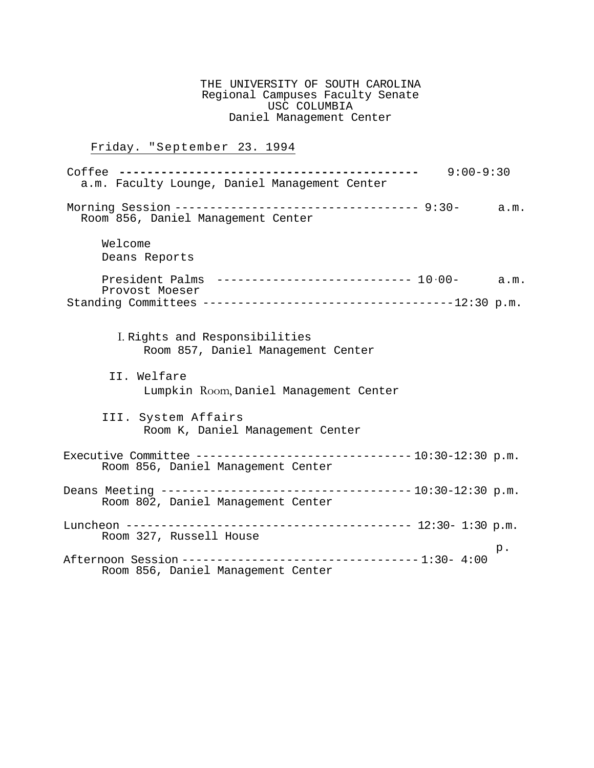THE UNIVERSITY OF SOUTH CAROLINA Regional Campuses Faculty Senate USC COLUMBIA Daniel Management Center

Friday. "September 23. 1994

Coffee **-------------------------------------------** 9:00-9:30 a.m. Faculty Lounge, Daniel Management Center Morning Session ----------------------------------- 9:30- a.m. Room 856, Daniel Management Center Welcome Deans Reports President Palms ---------------------------- 10.00- a.m. Provost Moeser Standing Committees ------------------------------------12:30 p.m. I. Rights and Responsibilities Room 857, Daniel Management Center II. Welfare Lumpkin Room, Daniel Management Center III. System Affairs Room K, Daniel Management Center Executive Committee ------------------------------- 10:30-12:30 p.m. Room 856, Daniel Management Center Deans Meeting ------------------------------------ 10:30-12:30 p.m. Room 802, Daniel Management Center Luncheon ----------------------------------------- 12:30- 1:30 p.m. Room 327, Russell House Afternoon Session ---------------------------------- 1:30- 4:00 Room 856, Daniel Management Center p.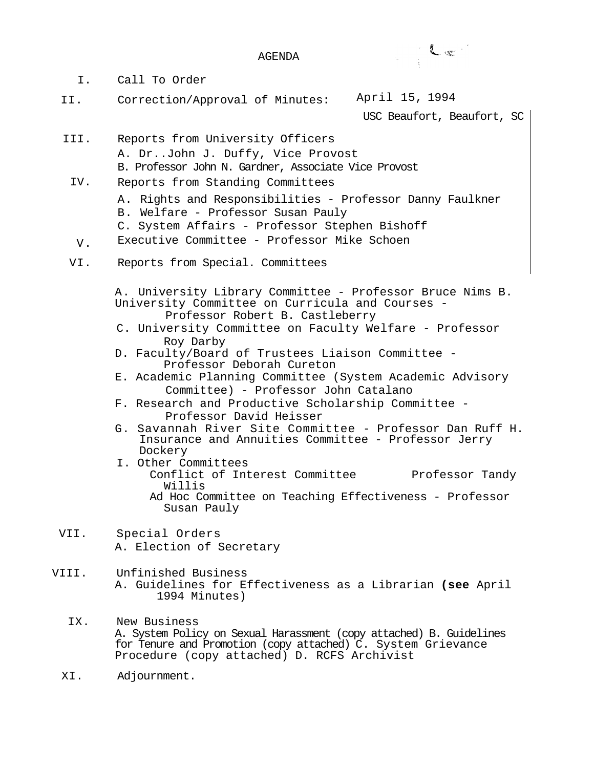AGENDA

- I. Call To Order
- II. Correction/Approval of Minutes: April 15, 1994

USC Beaufort, Beaufort, SC

- III. Reports from University Officers A. Dr..John J. Duffy, Vice Provost
	- B. Professor John N. Gardner, Associate Vice Provost
	- IV. Reports from Standing Committees
		- A. Rights and Responsibilities Professor Danny Faulkner
		- B. Welfare Professor Susan Pauly
		- C. System Affairs Professor Stephen Bishoff
	- $V_{\perp}$ Executive Committee - Professor Mike Schoen
- VI. Reports from Special. Committees

A. University Library Committee - Professor Bruce Nims B. University Committee on Curricula and Courses - Professor Robert B. Castleberry

- C. University Committee on Faculty Welfare Professor Roy Darby
- D. Faculty/Board of Trustees Liaison Committee Professor Deborah Cureton
- E. Academic Planning Committee (System Academic Advisory Committee) - Professor John Catalano
- F. Research and Productive Scholarship Committee Professor David Heisser
- G. Savannah River Site Committee Professor Dan Ruff H. Insurance and Annuities Committee - Professor Jerry Dockery
- I. Other Committees Conflict of Interest Committee Professor Tandy Willis Ad Hoc Committee on Teaching Effectiveness - Professor Susan Pauly
- VII. Special Orders A. Election of Secretary
- VIII. Unfinished Business A. Guidelines for Effectiveness as a Librarian **(see** April 1994 Minutes)
	- IX. New Business A. System Policy on Sexual Harassment (copy attached) B. Guidelines for Tenure and Promotion (copy attached) C. System Grievance Procedure (copy attached) D. RCFS Archivist
	- XI. Adjournment.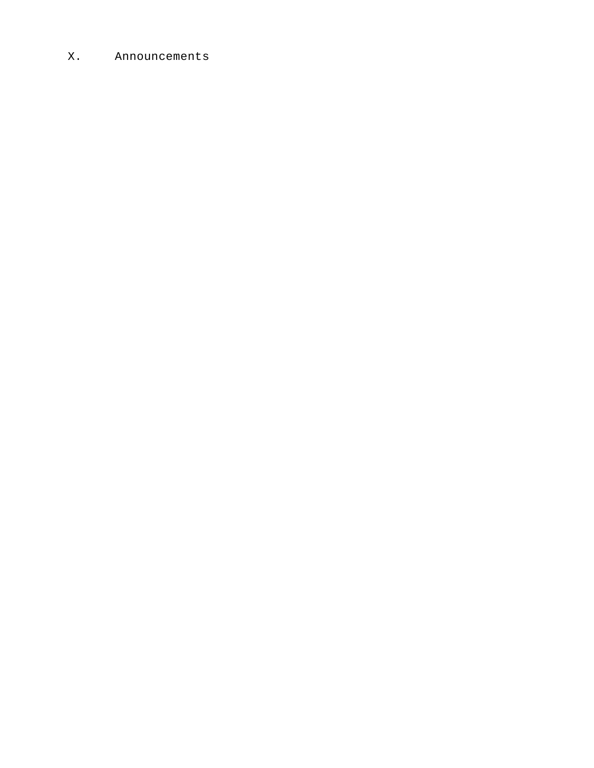### X. Announcements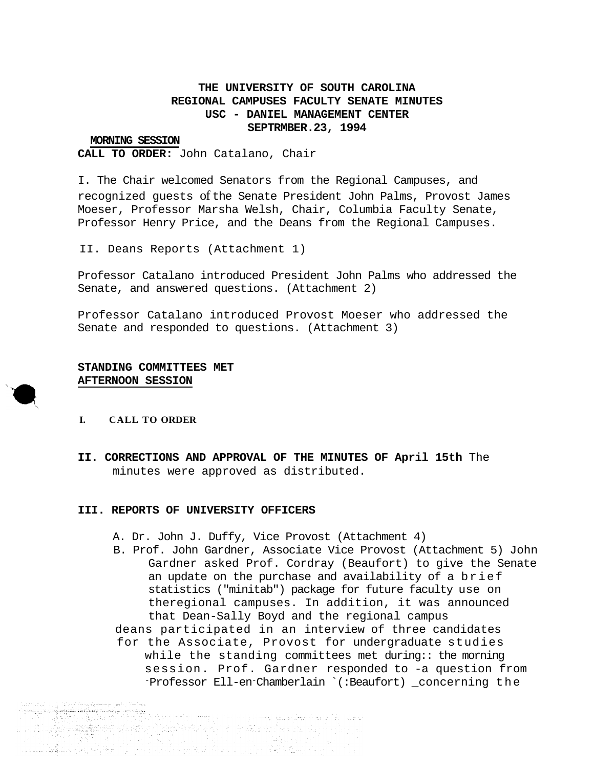# **THE UNIVERSITY OF SOUTH CAROLINA REGIONAL CAMPUSES FACULTY SENATE MINUTES USC - DANIEL MANAGEMENT CENTER SEPTRMBER.23, 1994**

#### **MORNING SESSION**

**CALL TO ORDER:** John Catalano, Chair

I. The Chair welcomed Senators from the Regional Campuses, and recognized guests of the Senate President John Palms, Provost James Moeser, Professor Marsha Welsh, Chair, Columbia Faculty Senate, Professor Henry Price, and the Deans from the Regional Campuses.

II. Deans Reports (Attachment 1)

Professor Catalano introduced President John Palms who addressed the Senate, and answered questions. (Attachment 2)

Professor Catalano introduced Provost Moeser who addressed the Senate and responded to questions. (Attachment 3)

### **STANDING COMMITTEES MET AFTERNOON SESSION**

#### **I. CALL TO ORDER**

- PET 대학생 (71, 승도 방)

**II. CORRECTIONS AND APPROVAL OF THE MINUTES OF April 15th** The minutes were approved as distributed.

#### **III. REPORTS OF UNIVERSITY OFFICERS**

<del>ng pinang kitabiga</del>.<br>Ng Kabigaya ng Mangkang Kabupat ng Kabupat ng Kabupat ng Kabupat ng Manahang Kabupat ng Kabupat ng Kabupat ng

- A. Dr. John J. Duffy, Vice Provost (Attachment 4)
- B. Prof. John Gardner, Associate Vice Provost (Attachment 5) John Gardner asked Prof. Cordray (Beaufort) to give the Senate an update on the purchase and availability of a brief statistics ("minitab") package for future faculty use on theregional campuses. In addition, it was announced that Dean-Sally Boyd and the regional campus
- deans participated in an interview of three candidates for the Associate, Provost for undergraduate studies while the standing committees met during:: the morning session. Prof. Gardner responded to -a question from -Professor Ell-en-Chamberlain `(:Beaufort) \_concerning the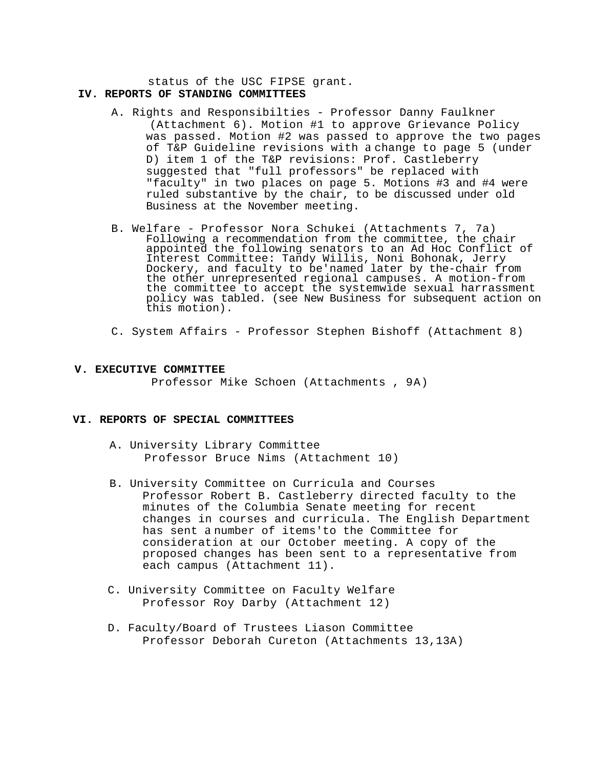status of the USC FIPSE grant. **IV. REPORTS OF STANDING COMMITTEES**

- A. Rights and Responsibilties Professor Danny Faulkner (Attachment 6). Motion #1 to approve Grievance Policy was passed. Motion #2 was passed to approve the two pages of T&P Guideline revisions with a change to page 5 (under D) item 1 of the T&P revisions: Prof. Castleberry suggested that "full professors" be replaced with "faculty" in two places on page 5. Motions #3 and #4 were ruled substantive by the chair, to be discussed under old Business at the November meeting.
- B. Welfare Professor Nora Schukei (Attachments 7, 7a) Following a recommendation from the committee, the chair appointed the following senators to an Ad Hoc Conflict of Interest Committee: Tandy Willis, Noni Bohonak, Jerry Dockery, and faculty to be'named later by the-chair from the other unrepresented regional campuses. A motion-from the committee to accept the systemwide sexual harrassment policy was tabled. (see New Business for subsequent action on this motion).
- C. System Affairs Professor Stephen Bishoff (Attachment 8)

#### **V. EXECUTIVE COMMITTEE**

Professor Mike Schoen (Attachments , 9A)

#### **VI. REPORTS OF SPECIAL COMMITTEES**

- A. University Library Committee Professor Bruce Nims (Attachment 10)
- B. University Committee on Curricula and Courses Professor Robert B. Castleberry directed faculty to the minutes of the Columbia Senate meeting for recent changes in courses and curricula. The English Department has sent a number of items'to the Committee for consideration at our October meeting. A copy of the proposed changes has been sent to a representative from each campus (Attachment 11).
- C. University Committee on Faculty Welfare Professor Roy Darby (Attachment 12)
- D. Faculty/Board of Trustees Liason Committee Professor Deborah Cureton (Attachments 13,13A)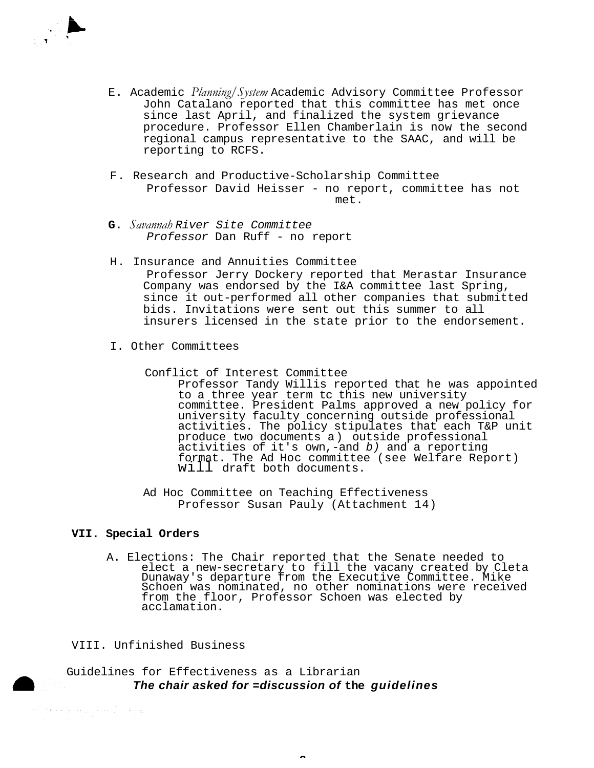

- E. Academic *Planning/System* Academic Advisory Committee Professor John Catalano reported that this committee has met once since last April, and finalized the system grievance procedure. Professor Ellen Chamberlain is now the second regional campus representative to the SAAC, and will be reporting to RCFS.
- F. Research and Productive-Scholarship Committee Professor David Heisser - no report, committee has not met.
- **G.** *Savannah River Site Committee Professor* Dan Ruff - no report
- H. Insurance and Annuities Committee Professor Jerry Dockery reported that Merastar Insurance Company was endorsed by the I&A committee last Spring, since it out-performed all other companies that submitted bids. Invitations were sent out this summer to all insurers licensed in the state prior to the endorsement.
- I. Other Committees
	- Conflict of Interest Committee

Professor Tandy Willis reported that he was appointed to a three year term tc this new university committee. President Palms approved a new policy for university faculty concerning outside professional activities. The policy stipulates that each T&P unit produce two documents a) outside professional activities of it's own,-and *b)* and a reporting format. The Ad Hoc committee (see Welfare Report) will draft both documents.

Ad Hoc Committee on Teaching Effectiveness Professor Susan Pauly (Attachment 14)

### **VII. Special Orders**

A. Elections: The Chair reported that the Senate needed to elect a new-secretary to fill the vacany created by Cleta Dunaway's departure from the Executive Committee. Mike Schoen was nominated, no other nominations were received from the floor, Professor Schoen was elected by acclamation.

### VIII. Unfinished Business

Guidelines for Effectiveness as a Librarian *The chair asked for =discussion of* **the** *guidelines*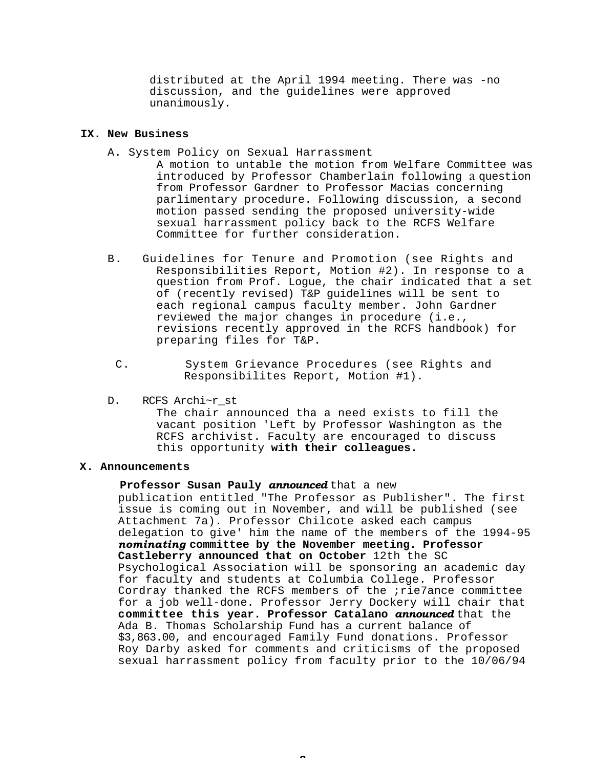distributed at the April 1994 meeting. There was -no discussion, and the guidelines were approved unanimously.

#### **IX. New Business**

- A. System Policy on Sexual Harrassment
	- A motion to untable the motion from Welfare Committee was introduced by Professor Chamberlain following a question from Professor Gardner to Professor Macias concerning parlimentary procedure. Following discussion, a second motion passed sending the proposed university-wide sexual harrassment policy back to the RCFS Welfare Committee for further consideration.
- B. Guidelines for Tenure and Promotion (see Rights and Responsibilities Report, Motion #2). In response to a question from Prof. Logue, the chair indicated that a set of (recently revised) T&P guidelines will be sent to each regional campus faculty member. John Gardner reviewed the major changes in procedure (i.e., revisions recently approved in the RCFS handbook) for preparing files for T&P.
	- C. System Grievance Procedures (see Rights and Responsibilites Report, Motion #1).
- D. RCFS Archi~r\_st

The chair announced tha a need exists to fill the vacant position 'Left by Professor Washington as the RCFS archivist. Faculty are encouraged to discuss this opportunity **with their colleagues.**

#### **X. Announcements**

**Professor Susan Pauly** *announced* that a new publication entitled "The Professor as Publisher". The first issue is coming out in November, and will be published (see Attachment 7a). Professor Chilcote asked each campus delegation to give' him the name of the members of the 1994-95 *nominating* **committee by the November meeting. Professor Castleberry announced that on October** 12th the SC Psychological Association will be sponsoring an academic day for faculty and students at Columbia College. Professor Cordray thanked the RCFS members of the ;rie7ance committee for a job well-done. Professor Jerry Dockery will chair that

**committee this year. Professor Catalano** *announced* that the Ada B. Thomas Scholarship Fund has a current balance of \$3,863.00, and encouraged Family Fund donations. Professor Roy Darby asked for comments and criticisms of the proposed sexual harrassment policy from faculty prior to the 10/06/94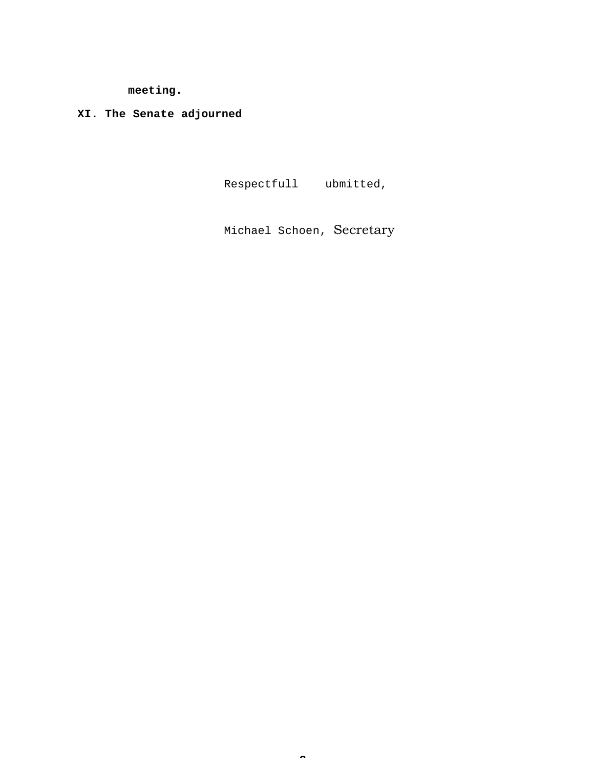**meeting.**

**XI. The Senate adjourned**

Respectfull ubmitted,

Michael Schoen, Secretary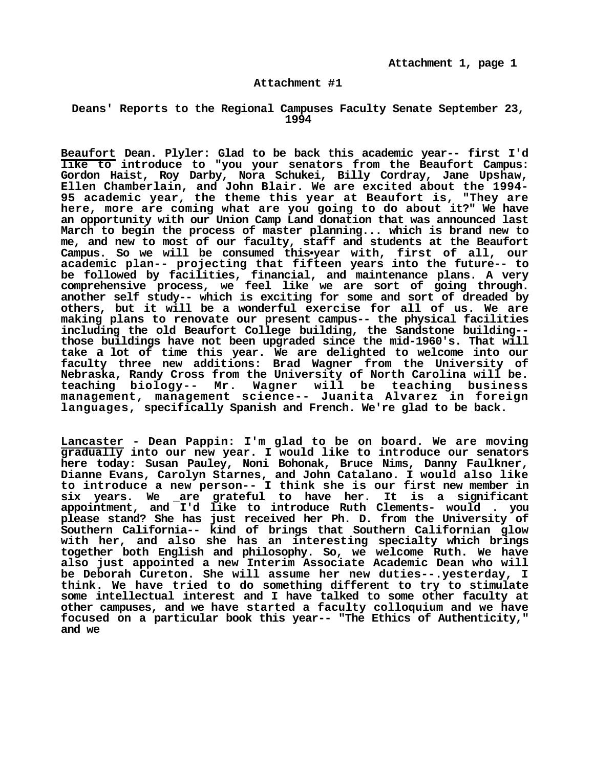#### **Attachment #1**

#### **Deans' Reports to the Regional Campuses Faculty Senate September 23, 1994**

**Beaufort Dean. Plyler: Glad to be back this academic year-- first I'd like to introduce to "you your senators from the Beaufort Campus: Gordon Haist, Roy Darby, Nora Schukei, Billy Cordray, Jane Upshaw, Ellen Chamberlain, and John Blair. We are excited about the 1994- 95 academic year, the theme this year at Beaufort is, "They are here, more are coming what are you going to do about it?" We have an opportunity with our Union Camp Land donation that was announced last March to begin the process of master planning... which is brand new to me, and new to most of our faculty, staff and students at the Beaufort Campus. So we will be consumed this•year with, first of all, our academic plan-- projecting that fifteen years into the future-- to be followed by facilities, financial, and maintenance plans. A very comprehensive process, we feel like we are sort of going through. another self study-- which is exciting for some and sort of dreaded by others, but it will be a wonderful exercise for all of us. We are making plans to renovate our present campus-- the physical facilities**  those buildings have not been upgraded since the mid-1960's. That will **take a lot of time this year. We are delighted to welcome into our faculty three new additions: Brad Wagner from the University of Nebraska, Randy Cross from the University of North Carolina will be. teaching biology-- Mr. Wagner will be teaching business management, management science-- Juanita Alvarez in foreign languages, specifically Spanish and French. We're glad to be back.**

**Lancaster - Dean Pappin: I'm glad to be on board. We are moving gradually into our new year. I would like to introduce our senators here today: Susan Pauley, Noni Bohonak, Bruce Nims, Danny Faulkner, Dianne Evans, Carolyn Starnes, and John Catalano. I would also like to introduce a new person-- I think she is our first new member in six years. We \_are grateful to have her. It is a significant appointment, and I'd like to introduce Ruth Clements- would . you please stand? She has just received her Ph. D. from the University of Southern California-- kind of brings that Southern Californian glow with her, and also she has an interesting specialty which brings together both English and philosophy. So, we welcome Ruth. We have also just appointed a new Interim Associate Academic Dean who will be Deborah Cureton. She will assume her new duties--.yesterday, I think. We have tried to do something different to try to stimulate some intellectual interest and I have talked to some other faculty at other campuses, and we have started a faculty colloquium and we have focused on a particular book this year-- "The Ethics of Authenticity," and we**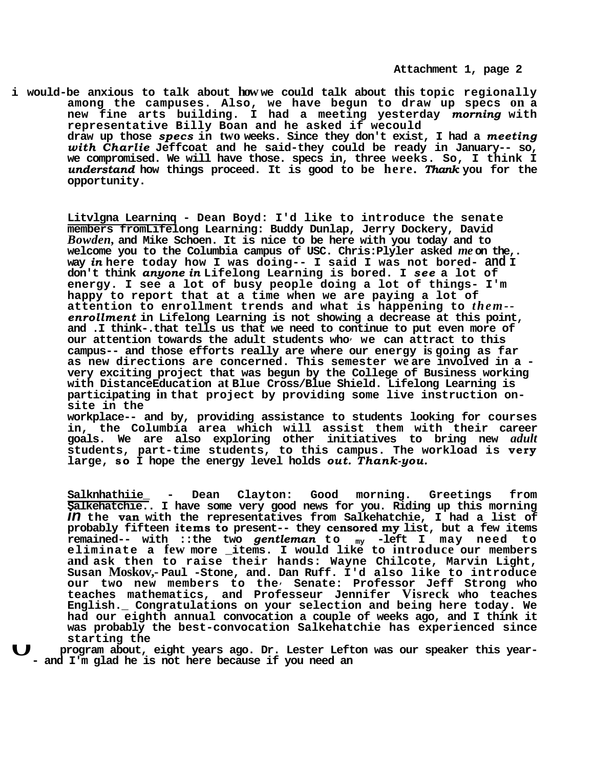**Attachment 1, page 2**

**i would-be anxious to talk about how we could talk about this topic regionally among the campuses. Also, we have begun to draw up specs on a new fine arts building. I had a meeting yesterday** *morning* **with representative Billy Boan and he asked if wecould draw up those** *specs* **in two weeks. Since they don't exist, I had a** *meeting with Charlie* **Jeffcoat and he said-they could be ready in January-- so, we compromised. We will have those. specs in, three weeks. So, I think I**  *understand* **how things proceed. It is good to be here.** *Thank* **you for the opportunity.**

> **Litvlgna Learninq - Dean Boyd: I'd like to introduce the senate members fromLifelong Learning: Buddy Dunlap, Jerry Dockery, David**  *Bowden,* **and Mike Schoen. It is nice to be here with you today and to welcome you to the Columbia campus of USC. Chris:Plyler asked** *me* **on the,. way** *in* **here today how I was doing-- I said I was not bored- and I don't think** *anyone in* **Lifelong Learning is bored. I** *see* **a lot of energy. I see a lot of busy people doing a lot of things- I'm**  happy to report that at a time when we are paying a lot of attention to enrollment trends and what is happening to *them-***attention to enrollment trends and what is happening to** *them-- enrollment* **in Lifelong Learning is not showing a decrease at this point, and .I think-.that tells us that we need to continue to put even more of our attention towards the adult students who, we can attract to this campus-- and those efforts really are where our energy is going as far**  very exciting project that was begun by the College of Business working **with DistanceEducation at Blue Cross/Blue Shield. Lifelong Learning is participating in that project by providing some live instruction on- site in the**

**workplace-- and by, providing assistance to students looking for courses in, the Columbia area which will assist them with their career goals. We are also exploring other initiatives to bring new** *adult*  **students, part-time students, to this campus. The workload is very large, so I hope the energy level holds** *out. Thank-you.*

**Salknhathiie\_ - Dean Clayton: Good morning. Greetings from Salkehatchie.. I have some very good news for you. Riding up this morning** *in* **the van with the representatives from Salkehatchie, I had a list of probably fifteen items to present-- they censored my list, but a few items remained-- with ::the two** *gentleman* **to my -left I may need to eliminate a few more \_items. I would like to introduce our members and ask then to raise their hands: Wayne Chilcote, Marvin Light, Susan Moskov,- Paul -Stone, and. Dan Ruff. I'd also like to introduce our two new members to the, Senate: Professor Jeff Strong who teaches mathematics, and Professeur Jennifer Visreck who teaches English.\_ Congratulations on your selection and being here today. We had our eighth annual convocation a couple of weeks ago, and I think it was probably the best-convocation Salkehatchie has experienced since starting the**

**program about, eight years ago. Dr. Lester Lefton was our speaker this year-**<br>- and I'm glad he is not here because if you need an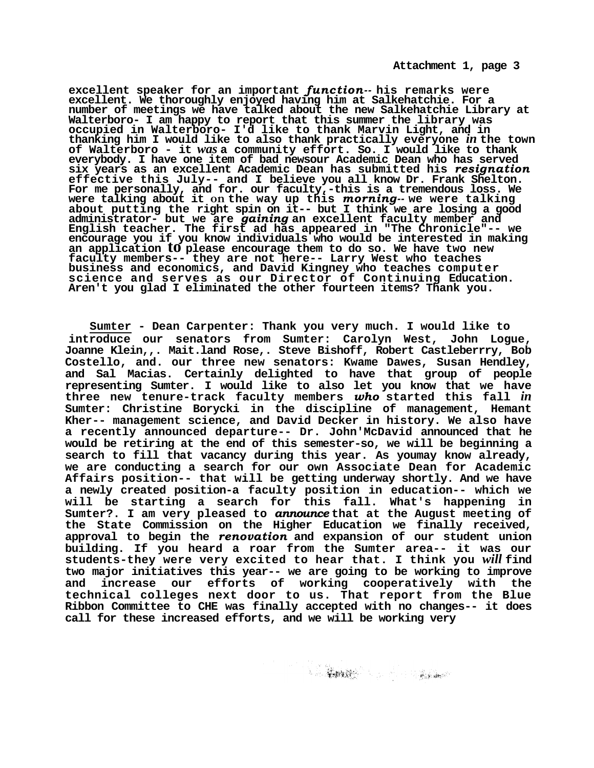**excellent speaker for an important** *function--* **his remarks were excellent. We thoroughly enjoyed having him at Salkehatchie. For a number of meetings we have talked about the new Salkehatchie Library at Walterboro- I am happy to report that this summer the library was occupied in Walterboro- I'd like to thank Marvin Light, and in thanking him I would like to also thank practically everyone** *in* **the town of Walterboro - it** *was* **a community effort. So. I would like to thank everybody. I have one item of bad newsour Academic Dean who has served six years as an excellent Academic Dean has submitted his** *resignation* **effective this July-- and I believe you all know Dr. Frank Shelton. For me personally, and for. our faculty,-this is a tremendous loss. We were talking about it on the way up this** *morning--* **we were talking about putting the right spin on it-- but I think we are losing a good administrator- but we are** *gaining* **an excellent faculty member and English teacher. The first ad has appeared in "The Chronicle"-- we encourage you if you know individuals who would be interested in making an application to please encourage them to do so. We have two new faculty members-- they are not here-- Larry West who teaches business and economics, and David Kingney who teaches computer science and serves as our Director of Continuing Education. Aren't you glad I eliminated the other fourteen items? Thank you.**

**Sumter - Dean Carpenter: Thank you very much. I would like to introduce our senators from Sumter: Carolyn West, John Logue, Joanne Klein,,. Mait.land Rose,. Steve Bishoff, Robert Castleberrry, Bob Costello, and. our three new senators: Kwame Dawes, Susan Hendley, and Sal Macias. Certainly delighted to have that group of people representing Sumter. I would like to also let you know that we have three new tenure-track faculty members** *who* **started this fall** *in*  **Sumter: Christine Borycki in the discipline of management, Hemant Kher-- management science, and David Decker in history. We also have a recently announced departure-- Dr. John'McDavid announced that he would be retiring at the end of this semester-so, we will be beginning a search to fill that vacancy during this year. As youmay know already, we are conducting a search for our own Associate Dean for Academic Affairs position-- that will be getting underway shortly. And we have a newly created position-a faculty position in education-- which we will be starting a search for this fall. What's happening in Sumter?. I am very pleased to** *announce* **that at the August meeting of the State Commission on the Higher Education we finally received, approval to begin the** *renovation* **and expansion of our student union building. If you heard a roar from the Sumter area-- it was our students-they were very excited to hear that. I think you** *will* **find two major initiatives this year-- we are going to be working to improve and increase our efforts of working cooperatively with the technical colleges next door to us. That report from the Blue Ribbon Committee to CHE was finally accepted with no changes-- it does call for these increased efforts, and we will be working very**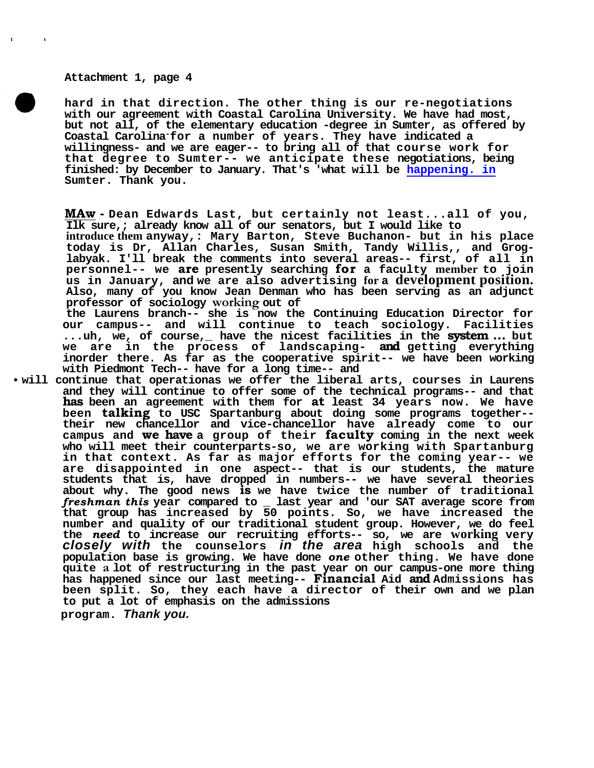**Attachment 1, page 4**

**I t**

**hard in that direction. The other thing is our re-negotiations with our agreement with Coastal Carolina University. We have had most, but not all, of the elementary education -degree in Sumter, as offered by Coastal Carolina-for a number of years. They have indicated a willingness- and we are eager-- to bring all of that course work for that degree to Sumter-- we anticipate these negotiations, being finished: by December to January. That's 'what will be [happening. in](http://happening.in/) Sumter. Thank you.**

**MAw - Dean Edwards Last, but certainly not least...all of you, Ilk sure,; already know all of our senators, but I would like to introduce them anyway,: Mary Barton, Steve Buchanon- but in his place**  labyak. I'll break the comments into several areas-- first, of all in **personnel-- we are presently searching for a faculty member to join us in January, and we are also advertising for a development position. Also, many of you know Jean Denman who has been serving as an adjunct professor of sociology working out of the Laurens branch-- she is now the Continuing Education Director for our campus-- and will continue to teach sociology. Facilities ...uh, we, of course,\_ have the nicest facilities in the system ... but we are in the process of landscaping- and getting everything inorder there. As far as the cooperative spirit-- we have been working** 

**with Piedmont Tech-- have for a long time-- and • will continue that operationas we offer the liberal arts, courses in Laurens and they will continue to offer some of the technical programs-- and that has** been an agreement with them for **at** least 34 years now. We have been **talking** to USC Spartanburg about doing some programs together-their new chancellor and vice-chancellor have already come to our **campus and we have a group of their faculty coming in the next week who will meet their counterparts-so, we are working with Spartanburg in that context. As far as major efforts for the coming year-- we are disappointed in one aspect-- that is our students, the mature students that is, have dropped in numbers-- we have several theories about why. The good news is we have twice the number of traditional**  *freshman this* **year compared to \_ last year and 'our SAT average score from that group has increased by 50 points. So, we have increased the**  number and quality of our traditional student group. However, we do feel the *need* to increase our recruiting efforts-- so, we are Working very **the** *need* **to increase our recruiting efforts-- so, we are working very** *closely with* **the counselors** *in the area* **high schools and the population base is growing. We have done** *one* **other thing. We have done quite a lot of restructuring in the past year on our campus-one more thing has happened since our last meeting-- Financial Aid and Admissions has been split. So, they each have a director of their own and we plan to put a lot of emphasis on the admissions program.** *Thank you.*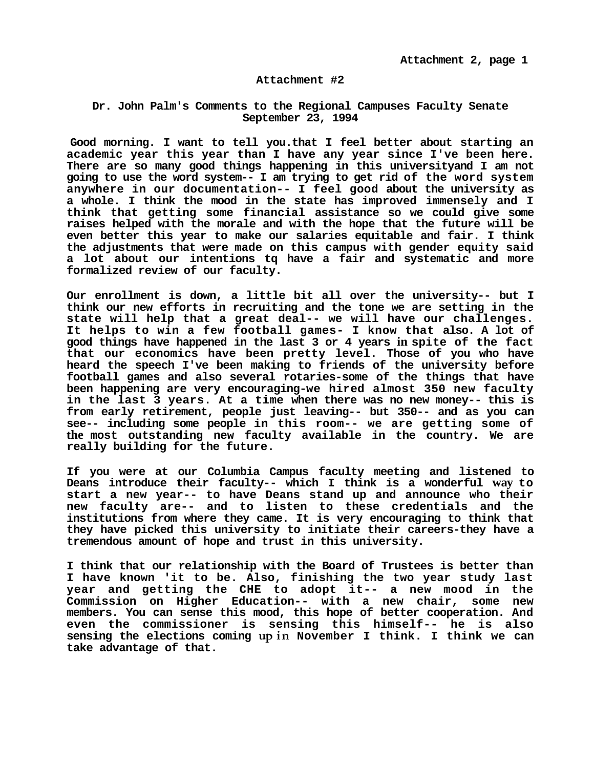#### **Attachment #2**

#### **Dr. John Palm's Comments to the Regional Campuses Faculty Senate September 23, 1994**

**Good morning. I want to tell you.that I feel better about starting an academic year this year than I have any year since I've been here. There are so many good things happening in this universityand I am not going to use the word system-- I am trying to get rid of the word system anywhere in our documentation-- I feel good about the university as a whole. I think the mood in the state has improved immensely and I think that getting some financial assistance so we could give some raises helped with the morale and with the hope that the future will be even better this year to make our salaries equitable and fair. I think the adjustments that were made on this campus with gender equity said a lot about our intentions tq have a fair and systematic and more formalized review of our faculty.**

**Our enrollment is down, a little bit all over the university-- but I think our new efforts in recruiting and the tone we are setting in the state will help that a great deal-- we will have our challenges. It helps to win a few football games- I know that also. A lot of good things have happened in the last 3 or 4 years in spite of the fact that our economics have been pretty level. Those of you who have heard the speech I've been making to friends of the university before football games and also several rotaries-some of the things that have been happening are very encouraging-we hired almost 350 new faculty in the last 3 years. At a time when there was no new money-- this is from early retirement, people just leaving-- but 350-- and as you can see-- including some people in this room-- we are getting some of the most outstanding new faculty available in the country. We are really building for the future.**

**If you were at our Columbia Campus faculty meeting and listened to Deans introduce their faculty-- which I think is a wonderful way to start a new year-- to have Deans stand up and announce who their new faculty are-- and to listen to these credentials and the institutions from where they came. It is very encouraging to think that they have picked this university to initiate their careers-they have a tremendous amount of hope and trust in this university.**

**I think that our relationship with the Board of Trustees is better than I have known 'it to be. Also, finishing the two year study last year and getting the CHE to adopt it-- a new mood in the Commission on Higher Education-- with a new chair, some new members. You can sense this mood, this hope of better cooperation. And even the commissioner is sensing this himself-- he is also sensing the elections coming up in November I think. I think we can take advantage of that.**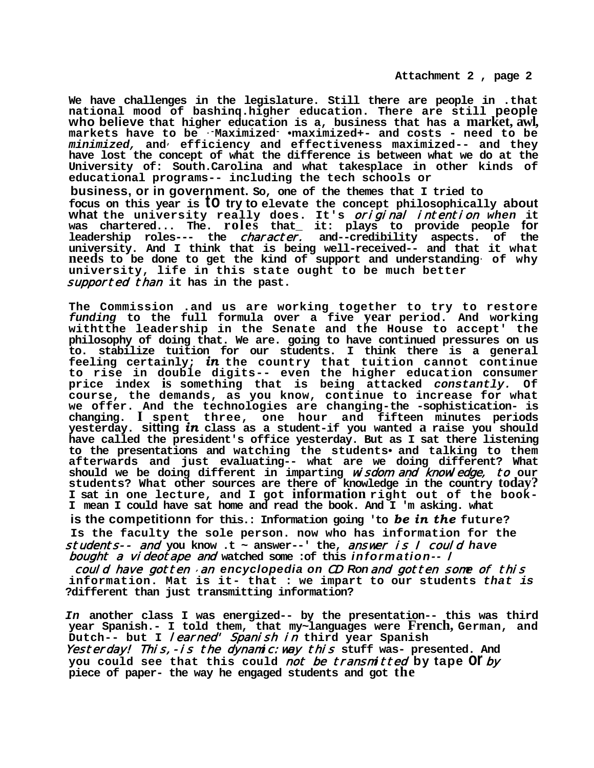**Attachment 2 , page 2**

**We have challenges in the legislature. Still there are people in .that national mood of bashinq.higher education. There are still people who believe that higher education is a, business that has a market, awl, markets have to be .-Maximized- •maximized+- and costs - need to be**  *minimized,* **and, efficiency and effectiveness maximized-- and they have lost the concept of what the difference is between what we do at the University of: South.Carolina and what takesplace in other kinds of educational programs-- including the tech schools or**

**business, or in government. So, one of the themes that I tried to focus on this year is to try to elevate the concept philosophically about what the university really does. It's** original intention *when* **it was chartered... The. roles that\_ it: plays to provide people for leadership roles--- the** character. **and--credibility aspects. of the university. And I think that is being well-received-- and that it what needs to be done to get the kind of support and understanding. of why university, life in this state ought to be much better** supported than **it has in the past.**

**The Commission .and us are working together to try to restore**  *funding* **to the full formula over a five year period. And working withtthe leadership in the Senate and the House to accept' the philosophy of doing that. We are. going to have continued pressures on us to. stabilize tuition for our students. I think there is a general feeling certainly;** *in* **the country that tuition cannot continue to rise in double digits-- even the higher education consumer price index is something that is being attacked** *constantly.* **Of course, the demands, as you know, continue to increase for what we offer. And the technologies are changing-the -sophistication- is changing. I spent three, one hour and fifteen minutes periods yesterday. sitting** *in* **class as a student-if you wanted a raise you should have called the president's office yesterday. But as I sat there listening to the presentations and watching the students• and talking to them afterwards and just evaluating-- what are we doing different? What should we be doing different in imparting** wisdom and knowledge, to **our students? What other sources are there of knowledge in the country today? I sat in one lecture, and I got information right out of the book- I mean I could have sat home and read the book. And I 'm asking. what**

**is the competitionn for this.: Information going 'to** *be in the* **future? Is the faculty the sole person. now who has information for the** students-- and **you know .t ~ answer--' the,** answer is I could *have*  bought a videotape and **watched some :of this** *information--* <sup>I</sup>

could have gotten ,an *encyclopedia on* CD *Ron* and gotten some of this **information. Mat is it- that : we impart to our students** *that is*  **?different than just transmitting information?**

*In* **another class I was energized-- by the presentation-- this was third year Spanish.- I told them, that my~languages were French, German, and Dutch-- but I** learned' Spanish in **third year Spanish**

Yesterday! This, - is the dynamic: way this stuff was- presented. And **you could see that this could** not be transmitted **by tape or** by **piece of paper- the way he engaged students and got the**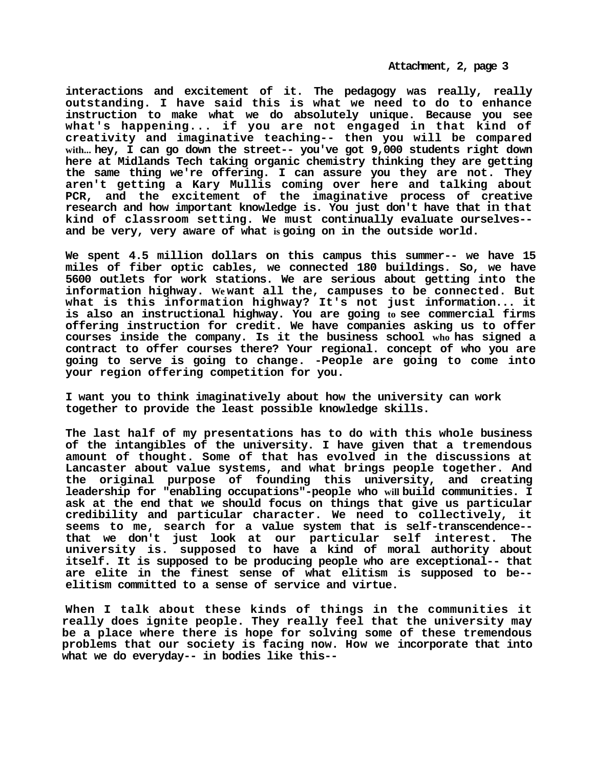**Attachment, 2, page 3**

**interactions and excitement of it. The pedagogy was really, really outstanding. I have said this is what we need to do to enhance instruction to make what we do absolutely unique. Because you see what's happening... if you are not engaged in that kind of creativity and imaginative teaching-- then you will be compared with... hey, I can go down the street-- you've got 9,000 students right down here at Midlands Tech taking organic chemistry thinking they are getting the same thing we're offering. I can assure you they are not. They aren't getting a Kary Mullis coming over here and talking about PCR, and the excitement of the imaginative process of creative research and how important knowledge is. You just don't have that in that kind of classroom setting. We must continually evaluate ourselves- and be very, very aware of what is going on in the outside world.**

**We spent 4.5 million dollars on this campus this summer-- we have 15 miles of fiber optic cables, we connected 180 buildings. So, we have 5600 outlets for work stations. We are serious about getting into the information highway. We want all the, campuses to be connected. But what is this information highway? It's not just information... it is also an instructional highway. You are going to see commercial firms offering instruction for credit. We have companies asking us to offer courses inside the company. Is it the business school who has signed a contract to offer courses there? Your regional. concept of who you are going to serve is going to change. -People are going to come into your region offering competition for you.**

**I want you to think imaginatively about how the university can work together to provide the least possible knowledge skills.**

**The last half of my presentations has to do with this whole business of the intangibles of the university. I have given that a tremendous amount of thought. Some of that has evolved in the discussions at Lancaster about value systems, and what brings people together. And the original purpose of founding this university, and creating leadership for "enabling occupations"-people who will build communities. I ask at the end that we should focus on things that give us particular credibility and particular character. We need to collectively, it**  that we don't just look at our particular self interest. The **university is. supposed to have a kind of moral authority about itself. It is supposed to be producing people who are exceptional-- that are elite in the finest sense of what elitism is supposed to be-- elitism committed to a sense of service and virtue.**

**When I talk about these kinds of things in the communities it really does ignite people. They really feel that the university may be a place where there is hope for solving some of these tremendous problems that our society is facing now. How we incorporate that into what we do everyday-- in bodies like this--**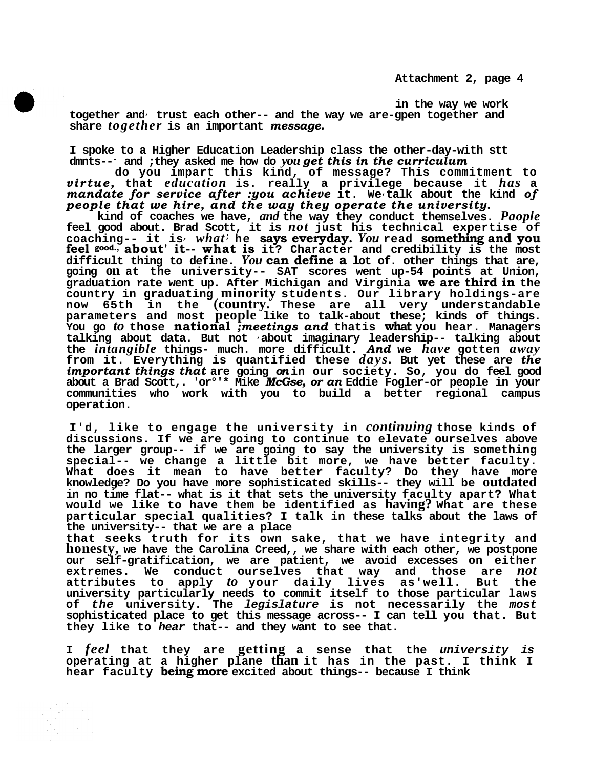**Attachment 2, page 4**

**in the way we work** 

**together and, trust each other-- and the way we are-gpen together and share** *together* **is an important** *message.*

**I spoke to a Higher Education Leadership class the other-day-with stt dmnts--- and ;they asked me how do** *you get this in the curriculum*

**do you impart this kind, of message? This commitment to**  *virtue,* **that** *education* **is. really a privilege because it** *has* **a**  *mandate for service after :you achieve* **it. We,talk about the kind** *of people that we hire, and the way they operate the university.*

**kind of coaches we have,** *and* **the way they conduct themselves.** *Paople*  **feel good about. Brad Scott, it is** *not* **just his technical expertise of**  coaching-- it is what he says everyday. You read something and you feel good., about' it-- what is it? Character and credibility is the most **difficult thing to define.** *You* **can define a lot of. other things that are, going on at the university-- SAT scores went up-54 points at Union, graduation rate went up. After Michigan and Virginia we are third in the country in graduating minority students. Our library holdings-are now 65th in the (country. These are all very understandable parameters and most people like to talk-about these; kinds of things. You go** *to* **those national** *;meetings and* **thatis what you hear. Managers talking about data. But not ,about imaginary leadership-- talking about the** *intangible* **things- much. more difficult.** *And* **we** *have* **gotten** *away*  **from it. Everything is quantified these** *days.* **But yet these are** *the important things that* **are going** *on* **in our society. So, you do feel good about a Brad Scott,. 'or°'\* Mike** *McGse, or an* **Eddie Fogler-or people in your communities who work with you to build a better regional campus operation.**

**I'd, like to engage the university in** *continuing* **those kinds of discussions. If we are going to continue to elevate ourselves above the larger group-- if we are going to say the university is something special-- we change a little bit more, we have better faculty. What does it mean to have better faculty? Do they have more knowledge? Do you have more sophisticated skills-- they will be outdated in no time flat-- what is it that sets the university faculty apart? What would we like to have them be identified as having? What are these particular special qualities? I talk in these talks about the laws of the university-- that we are a place**

**that seeks truth for its own sake, that we have integrity and honesty, we have the Carolina Creed,, we share with each other, we postpone our self-gratification, we are patient, we avoid excesses on either extremes. We conduct ourselves that way and those are** *not*  **attributes to apply** *to* **your daily lives as'well. But the university particularly needs to commit itself to those particular laws of** *the* **university. The** *legislature* **is not necessarily the** *most*  **sophisticated place to get this message across-- I can tell you that. But they like to** *hear* **that-- and they want to see that.**

**I** *feel* **that they are getting a sense that the** *university is*  **operating at a higher plane than it has in the past. I think I hear faculty being more excited about things-- because I think**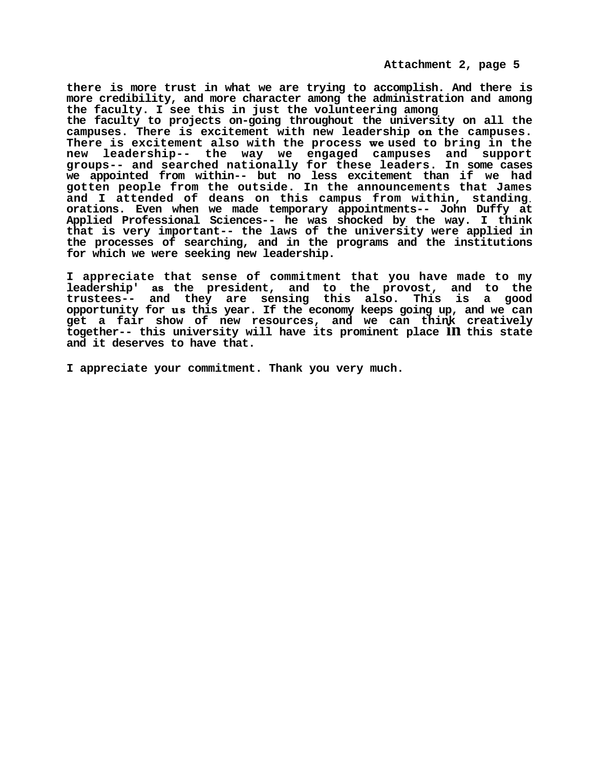**Attachment 2, page 5**

**there is more trust in what we are trying to accomplish. And there is more credibility, and more character among the administration and among the faculty. I see this in just the volunteering among the faculty to projects on-going throughout the university on all the campuses. There is excitement with new leadership on the campuses. There is excitement also with the process we used to bring in the new leadership-- the way we engaged campuses and support groups-- and searched nationally for these leaders. In some cases we appointed from within-- but no less excitement than if we had gotten people from the outside. In the announcements that James and I attended of deans on this campus from within, standing. orations. Even when we made temporary appointments-- John Duffy at Applied Professional Sciences-- he was shocked by the way. I think that is very important-- the laws of the university were applied in the processes of searching, and in the programs and the institutions for which we were seeking new leadership.**

**I appreciate that sense of commitment that you have made to my leadership' as the president, and to the provost, and to the trustees-- and they are sensing this also. This is a good opportunity for us this year. If the economy keeps going up, and we can get a fair show of new resources, and we can think creatively together-- this university will have its prominent place in this state and it deserves to have that.**

**I appreciate your commitment. Thank you very much.**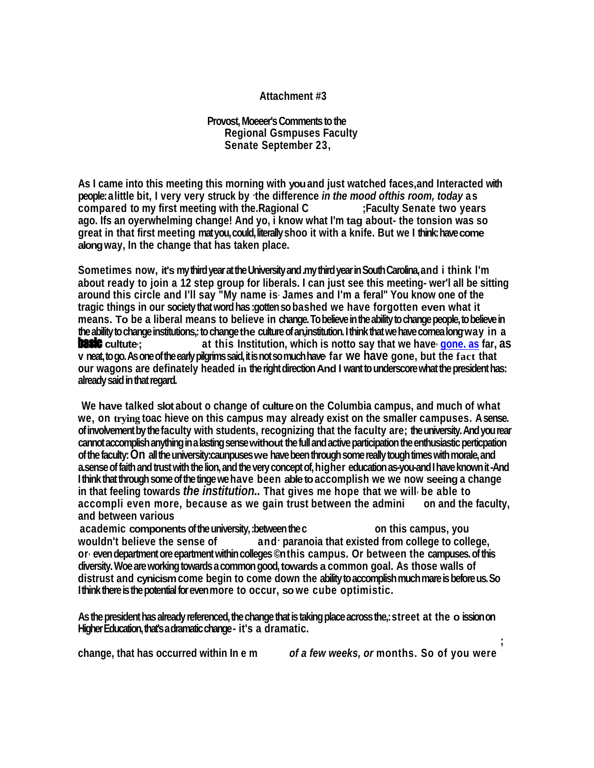## **Attachment #3**

**Provost, Moeeer's Comments to the Regional Gsmpuses Faculty Senate September 23,**

**As I came into this meeting this morning with you and just watched faces,and Interacted with people: a little bit, I very very struck by - the difference** *in the mood ofthis room, today* **as compared to my first meeting with the.Ragional C ;Faculty Senate two years ago. Ifs an oyerwhelming change! And yo, i know what I'm tag about- the tonsion was so great in that first meeting mat you, could, literally shoo it with a knife. But we I think: have come along way, In the change that has taken place.**

**Sometimes now, it's my third year at the University and .my third year in South Carolina, and i think l'm about ready to join a 12 step group for liberals. I can just see this meeting- wer'l all be sitting around this circle and I'll say "My name is. James and I'm a feral" You know one of the tragic things in our society that word has :gotten so bashed we have forgotten even what it means. To be a liberal means to believe in change. To believe in the ability to change people, to believe in the ability to change institutions,: to change the culture of an,institution. I think that we have cornea long-way in a**  basic **cultute, ; at this Institution, which is notto say that we have, [gone. as](http://gone.as/) far, as v neat, to go. As one of the early pilgrims said, it is not so much have, far we have gone, but the fact that our wagons are definately headed in the right direction And l want to underscore what the president has: already said in that regard.**

**We have talked slot about o change of culture on the Columbia campus, and much of what we, on trying toac hieve on this campus may already exist on the smaller campuses. A sense. of involvement by the faculty with students, recognizing that the faculty are; the university. And you rear cannot accomplish anything in a lasting sense without the full and active participation the enthusiastic perticpation of the faculty: On all the university:caunpuses we have been through some really tough times with morale, and a.sense of faith and trust with the lion, and the very concept of, higher education as-you-and I have known it -And I think that through some of the tinge we have been able to accomplish we we now seeing a change in that feeling towards** *the institution..* **That gives me hope that we will, be able to accompli even more, because as we gain trust between the admini on and the faculty, and between various**

**academic components of the university, :between the c on this campus, you wouldn't believe the sense of and- paranoia that existed from college to college, or, even department ore epartment within colleges ©n this campus. Or between the campuses. of this diversity. Woe are working towards a common good, towards a common goal. As those walls of distrust and cynicism come begin to come down the ability to accomplish much mare is before us. So I think there is the potential for even more to occur, so we cube optimistic.**

**As the president has already referenced, the change that is taking place across the,: street at the o ission on Higher Education, that's a dramatic change- it's a dramatic.**

**; change, that has occurred within In e m** *of a few weeks, or* **months. So of you were**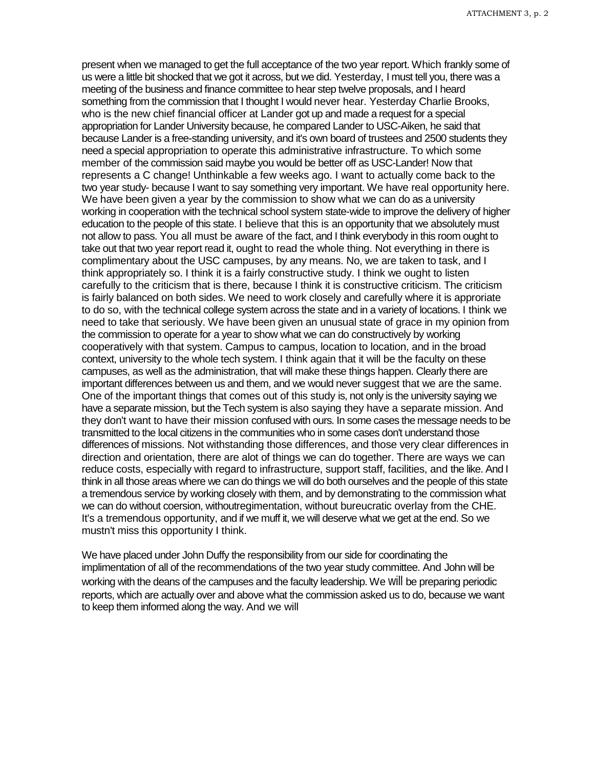present when we managed to get the full acceptance of the two year report. Which frankly some of us were a little bit shocked that we got it across, but we did. Yesterday, I must tell you, there was a meeting of the business and finance committee to hear step twelve proposals, and I heard something from the commission that I thought I would never hear. Yesterday Charlie Brooks, who is the new chief financial officer at Lander got up and made a request for a special appropriation for Lander University because, he compared Lander to USC-Aiken, he said that because Lander is a free-standing university, and it's own board of trustees and 2500 students they need a special appropriation to operate this administrative infrastructure. To which some member of the commission said maybe you would be better off as USC-Lander! Now that represents a C change! Unthinkable a few weeks ago. I want to actually come back to the two year study- because I want to say something very important. We have real opportunity here. We have been given a year by the commission to show what we can do as a university working in cooperation with the technical school system state-wide to improve the delivery of higher education to the people of this state. I believe that this is an opportunity that we absolutely must not allow to pass. You all must be aware of the fact, and I think everybody in this room ought to take out that two year report read it, ought to read the whole thing. Not everything in there is complimentary about the USC campuses, by any means. No, we are taken to task, and I think appropriately so. I think it is a fairly constructive study. I think we ought to listen carefully to the criticism that is there, because I think it is constructive criticism. The criticism is fairly balanced on both sides. We need to work closely and carefully where it is approriate to do so, with the technical college system across the state and in a variety of locations. I think we need to take that seriously. We have been given an unusual state of grace in my opinion from the commission to operate for a year to show what we can do constructively by working cooperatively with that system. Campus to campus, location to location, and in the broad context, university to the whole tech system. I think again that it will be the faculty on these campuses, as well as the administration, that will make these things happen. Clearly there are important differences between us and them, and we would never suggest that we are the same. One of the important things that comes out of this study is, not only is the university saying we have a separate mission, but the Tech system is also saying they have a separate mission. And they don't want to have their mission confused with ours. In some cases the message needs to be transmitted to the local citizens in the communities who in some cases don't understand those differences of missions. Not withstanding those differences, and those very clear differences in direction and orientation, there are alot of things we can do together. There are ways we can reduce costs, especially with regard to infrastructure, support staff, facilities, and the like. And I think in all those areas where we can do things we will do both ourselves and the people of this state a tremendous service by working closely with them, and by demonstrating to the commission what we can do without coersion, withoutregimentation, without bureucratic overlay from the CHE. It's a tremendous opportunity, and if we muff it, we will deserve what we get at the end. So we mustn't miss this opportunity I think.

We have placed under John Duffy the responsibility from our side for coordinating the implimentation of all of the recommendations of the two year study committee. And John will be working with the deans of the campuses and the faculty leadership. We will be preparing periodic reports, which are actually over and above what the commission asked us to do, because we want to keep them informed along the way. And we will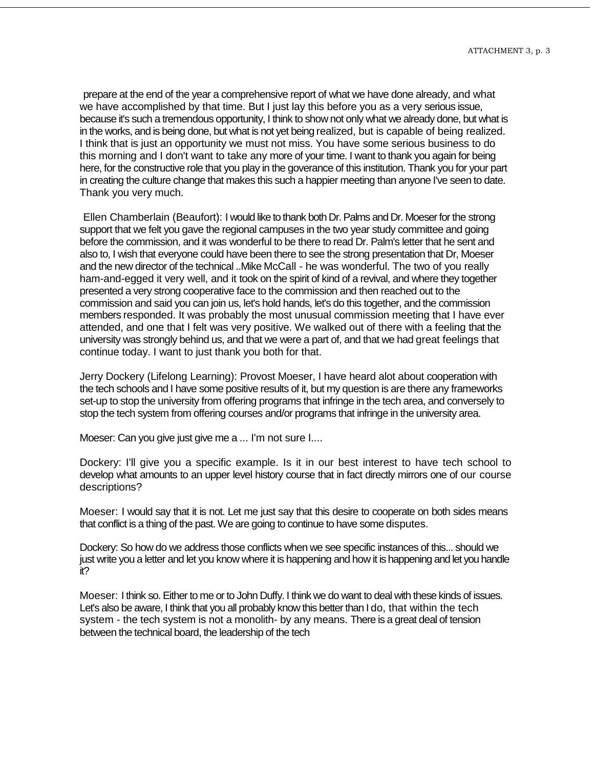prepare at the end of the year a comprehensive report of what we have done already, and what we have accomplished by that time. But I just lay this before you as a very serious issue, because it's such a tremendous opportunity, I think to show not only what we already done, but what is in the works, and is being done, but what is not yet being realized, but is capable of being realized. I think that is just an opportunity we must not miss. You have some serious business to do this morning and I don't want to take any more of your time. I want to thank you again for being here, for the constructive role that you play in the goverance of this institution. Thank you for your part in creating the culture change that makes this such a happier meeting than anyone I've seen to date. Thank you very much.

Ellen Chamberlain (Beaufort): I would like to thank both Dr. Palms and Dr. Moeser for the strong support that we felt you gave the regional campuses in the two year study committee and going before the commission, and it was wonderful to be there to read Dr. Palm's letter that he sent and also to, I wish that everyone could have been there to see the strong presentation that Dr, Moeser and the new director of the technical ..Mike McCall - he was wonderful. The two of you really ham-and-egged it very well, and it took on the spirit of kind of a revival, and where they together presented a very strong cooperative face to the commission and then reached out to the commission and said you can join us, let's hold hands, let's do this together, and the commission members responded. It was probably the most unusual commission meeting that I have ever attended, and one that I felt was very positive. We walked out of there with a feeling that the university was strongly behind us, and that we were a part of, and that we had great feelings that continue today. I want to just thank you both for that.

Jerry Dockery (Lifelong Learning): Provost Moeser, I have heard alot about cooperation with the tech schools and I have some positive results of it, but my question is are there any frameworks set-up to stop the university from offering programs that infringe in the tech area, and conversely to stop the tech system from offering courses and/or programs that infringe in the university area.

Moeser: Can you give just give me a ... I'm not sure I....

Dockery: I'll give you a specific example. Is it in our best interest to have tech school to develop what amounts to an upper level history course that in fact directly mirrors one of our course descriptions?

Moeser: I would say that it is not. Let me just say that this desire to cooperate on both sides means that conflict is a thing of the past. We are going to continue to have some disputes.

Dockery: So how do we address those conflicts when we see specific instances of this... should we just write you a letter and let you know where it is happening and how it is happening and let you handle it?

Moeser: I think so. Either to me or to John Duffy. I think we do want to deal with these kinds of issues. Let's also be aware, I think that you all probably know this better than I do, that within the tech system - the tech system is not a monolith- by any means. There is a great deal of tension between the technical board, the leadership of the tech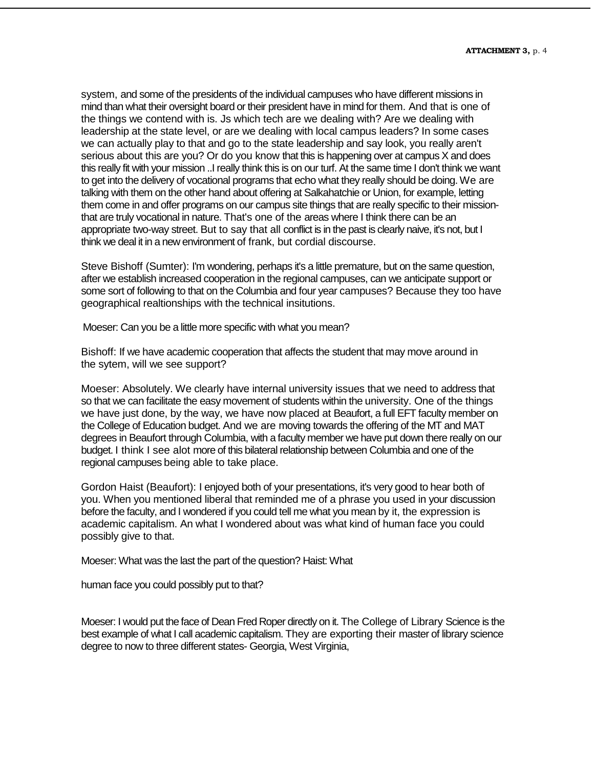system, and some of the presidents of the individual campuses who have different missions in mind than what their oversight board or their president have in mind for them. And that is one of the things we contend with is. Js which tech are we dealing with? Are we dealing with leadership at the state level, or are we dealing with local campus leaders? In some cases we can actually play to that and go to the state leadership and say look, you really aren't serious about this are you? Or do you know that this is happening over at campus X and does this really fit with your mission ..I really think this is on our turf. At the same time I don't think we want to get into the delivery of vocational programs that echo what they really should be doing. We are talking with them on the other hand about offering at Salkahatchie or Union, for example, letting them come in and offer programs on our campus site things that are really specific to their missionthat are truly vocational in nature. That's one of the areas where I think there can be an appropriate two-way street. But to say that all conflict is in the past is clearly naive, it's not, but I think we deal it in a new environment of frank, but cordial discourse.

Steve Bishoff (Sumter): I'm wondering, perhaps it's a little premature, but on the same question, after we establish increased cooperation in the regional campuses, can we anticipate support or some sort of following to that on the Columbia and four year campuses? Because they too have geographical realtionships with the technical insitutions.

Moeser: Can you be a little more specific with what you mean?

Bishoff: If we have academic cooperation that affects the student that may move around in the sytem, will we see support?

Moeser: Absolutely. We clearly have internal university issues that we need to address that so that we can facilitate the easy movement of students within the university. One of the things we have just done, by the way, we have now placed at Beaufort, a full EFT faculty member on the College of Education budget. And we are moving towards the offering of the MT and MAT degrees in Beaufort through Columbia, with a faculty member we have put down there really on our budget. I think I see alot more of this bilateral relationship between Columbia and one of the regional campuses being able to take place.

Gordon Haist (Beaufort): I enjoyed both of your presentations, it's very good to hear both of you. When you mentioned liberal that reminded me of a phrase you used in your discussion before the faculty, and I wondered if you could tell me what you mean by it, the expression is academic capitalism. An what I wondered about was what kind of human face you could possibly give to that.

Moeser: What was the last the part of the question? Haist: What

human face you could possibly put to that?

Moeser: I would put the face of Dean Fred Roper directly on it. The College of Library Science is the best example of what I call academic capitalism. They are exporting their master of library science degree to now to three different states- Georgia, West Virginia,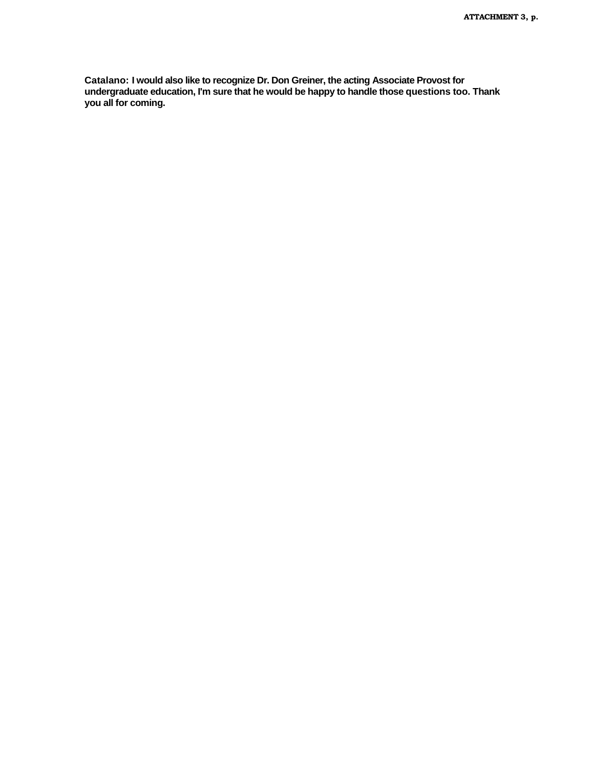**Catalano: I would also like to recognize Dr. Don Greiner, the acting Associate Provost for undergraduate education, I'm sure that he would be happy to handle those questions too. Thank you all for coming.**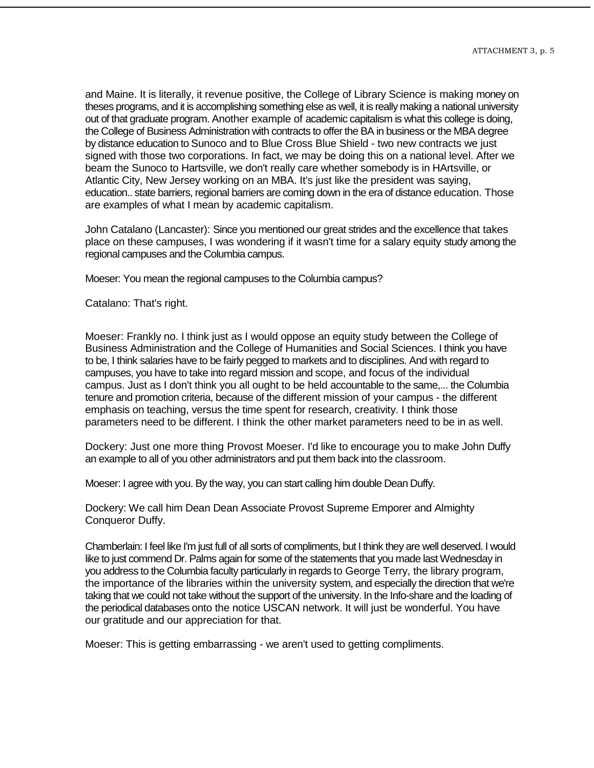and Maine. It is literally, it revenue positive, the College of Library Science is making money on theses programs, and it is accomplishing something else as well, it is really making a national university out of that graduate program. Another example of academic capitalism is what this college is doing, the College of Business Administration with contracts to offer the BA in business or the MBA degree by distance education to Sunoco and to Blue Cross Blue Shield - two new contracts we just signed with those two corporations. In fact, we may be doing this on a national level. After we beam the Sunoco to Hartsville, we don't really care whether somebody is in HArtsville, or Atlantic City, New Jersey working on an MBA. It's just like the president was saying, education.. state barriers, regional barriers are coming down in the era of distance education. Those are examples of what I mean by academic capitalism.

John Catalano (Lancaster): Since you mentioned our great strides and the excellence that takes place on these campuses, I was wondering if it wasn't time for a salary equity study among the regional campuses and the Columbia campus.

Moeser: You mean the regional campuses to the Columbia campus?

Catalano: That's right.

Moeser: Frankly no. I think just as I would oppose an equity study between the College of Business Administration and the College of Humanities and Social Sciences. I think you have to be, I think salaries have to be fairly pegged to markets and to disciplines. And with regard to campuses, you have to take into regard mission and scope, and focus of the individual campus. Just as I don't think you all ought to be held accountable to the same,... the Columbia tenure and promotion criteria, because of the different mission of your campus - the different emphasis on teaching, versus the time spent for research, creativity. I think those parameters need to be different. I think the other market parameters need to be in as well.

Dockery: Just one more thing Provost Moeser. I'd like to encourage you to make John Duffy an example to all of you other administrators and put them back into the classroom.

Moeser: I agree with you. By the way, you can start calling him double Dean Duffy.

Dockery: We call him Dean Dean Associate Provost Supreme Emporer and Almighty Conqueror Duffy.

Chamberlain: I feel like I'm just full of all sorts of compliments, but I think they are well deserved. I would like to just commend Dr. Palms again for some of the statements that you made last Wednesday in you address to the Columbia faculty particularly in regards to George Terry, the library program, the importance of the libraries within the university system, and especially the direction that we're taking that we could not take without the support of the university. In the Info-share and the loading of the periodical databases onto the notice USCAN network. It will just be wonderful. You have our gratitude and our appreciation for that.

Moeser: This is getting embarrassing - we aren't used to getting compliments.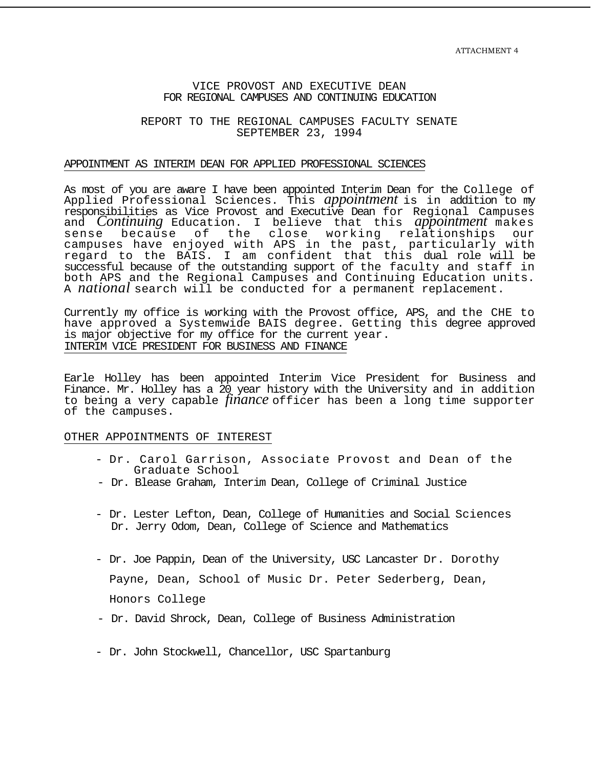ATTACHMENT 4

#### VICE PROVOST AND EXECUTIVE DEAN FOR REGIONAL CAMPUSES AND CONTINUING EDUCATION

### REPORT TO THE REGIONAL CAMPUSES FACULTY SENATE SEPTEMBER 23, 1994

#### APPOINTMENT AS INTERIM DEAN FOR APPLIED PROFESSIONAL SCIENCES

As most of you are aware I have been appointed Interim Dean for the College of Applied Professional Sciences. This *appointment* is in addition to my responsibilities as Vice Provost and Executive Dean for Regional Campuses and *Continuing* Education. I believe that this *appointment* makes sense because of the close working relationships our campuses have enjoyed with APS in the past, particularly with regard to the BAIS. I am confident that this dual role will be successful because of the outstanding support of the faculty and staff in both APS and the Regional Campuses and Continuing Education units. A *national* search will be conducted for a permanent replacement.

Currently my office is working with the Provost office, APS, and the CHE to have approved a Systemwide BAIS degree. Getting this degree approved is major objective for my office for the current year. INTERIM VICE PRESIDENT FOR BUSINESS AND FINANCE

Earle Holley has been appointed Interim Vice President for Business and Finance. Mr. Holley has a 20 year history with the University and in addition to being a very capable *finance* officer has been a long time supporter of the campuses.

#### OTHER APPOINTMENTS OF INTEREST

- Dr. Carol Garrison, Associate Provost and Dean of the Graduate School
- Dr. Blease Graham, Interim Dean, College of Criminal Justice
- Dr. Lester Lefton, Dean, College of Humanities and Social Sciences Dr. Jerry Odom, Dean, College of Science and Mathematics
- Dr. Joe Pappin, Dean of the University, USC Lancaster Dr. Dorothy Payne, Dean, School of Music Dr. Peter Sederberg, Dean, Honors College
- Dr. David Shrock, Dean, College of Business Administration
- Dr. John Stockwell, Chancellor, USC Spartanburg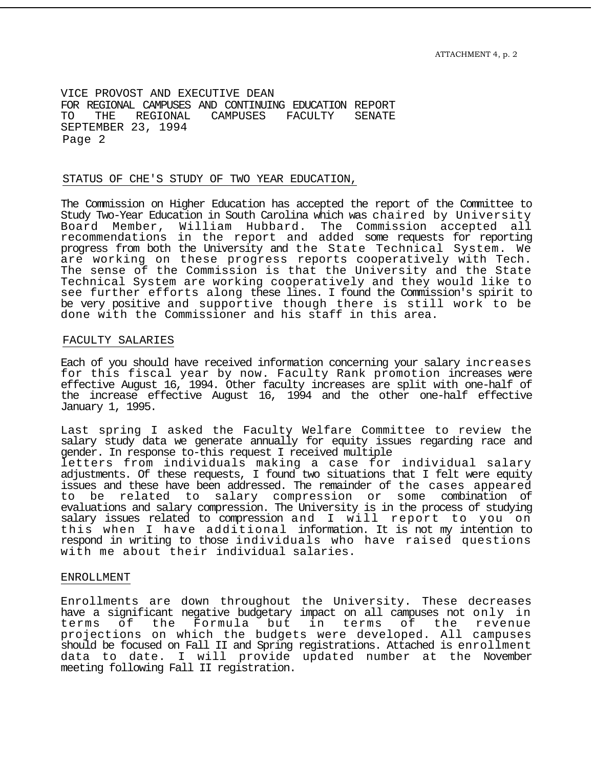VICE PROVOST AND EXECUTIVE DEAN FOR REGIONAL CAMPUSES AND CONTINUING EDUCATION REPORT CAMPUSES FACULTY SENATE SEPTEMBER 23, 1994 Page 2

#### STATUS OF CHE'S STUDY OF TWO YEAR EDUCATION,

The Commission on Higher Education has accepted the report of the Committee to Study Two-Year Education in South Carolina which was chaired by University Board Member, William Hubbard. The Commission accepted all recommendations in the report and added some requests for reporting progress from both the University and the State Technical System. We are working on these progress reports cooperatively with Tech. The sense of the Commission is that the University and the State Technical System are working cooperatively and they would like to see further efforts along these lines. I found the Commission's spirit to be very positive and supportive though there is still work to be done with the Commissioner and his staff in this area.

#### FACULTY SALARIES

Each of you should have received information concerning your salary increases for this fiscal year by now. Faculty Rank promotion increases were effective August 16, 1994. Other faculty increases are split with one-half of the increase effective August 16, 1994 and the other one-half effective January 1, 1995.

Last spring I asked the Faculty Welfare Committee to review the salary study data we generate annually for equity issues regarding race and gender. In response to-this request I received multiple letters from individuals making a case for individual salary adjustments. Of these requests, I found two situations that I felt were equity issues and these have been addressed. The remainder of the cases appeared to be related to salary compression or some combination of evaluations and salary compression. The University is in the process of studying salary issues related to compression and I will report to you on this when I have additional information. It is not my intention to respond in writing to those individuals who have raised questions with me about their individual salaries.

#### ENROLLMENT

Enrollments are down throughout the University. These decreases have a significant negative budgetary impact on all campuses not only in terms of the Formula but in terms of the revenue projections on which the budgets were developed. All campuses should be focused on Fall II and Spring registrations. Attached is enrollment data to date. I will provide updated number at the November meeting following Fall II registration.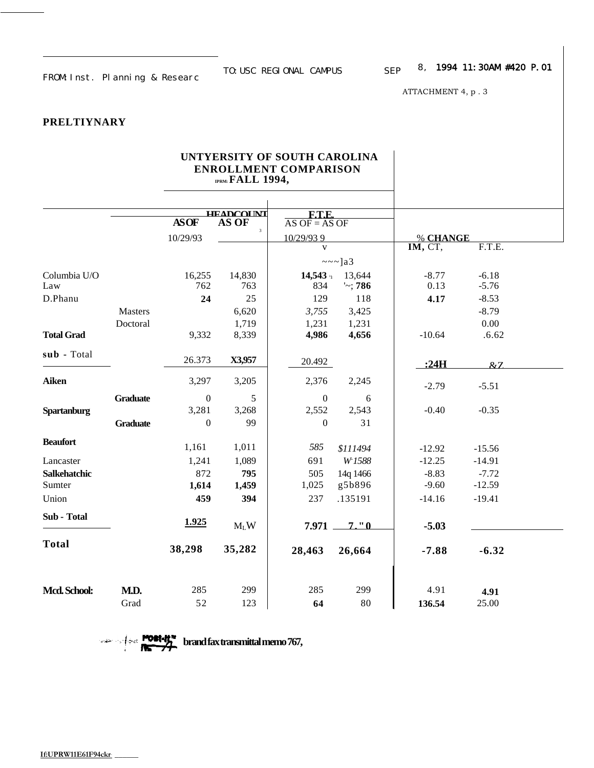ATTACHMENT 4, p . 3

### **PRELTIYNARY**

# **UNTYERSITY OF SOUTH CAROLINA ENROLLMENT COMPARISON IPRM: FALL 1994,**

|                     |                 |                  | <b>HEADCOLINT</b><br>AS OF | <b>F.T.E.</b>    |                |          |          |
|---------------------|-----------------|------------------|----------------------------|------------------|----------------|----------|----------|
|                     |                 | <b>ASOF</b>      | $\overline{3}$             | $AS OF = AS OF$  |                |          |          |
|                     |                 | 10/29/93         |                            | 10/29/939        |                | % CHANGE |          |
|                     |                 |                  |                            | $\mathbf{V}$     |                | IM, CT,  | F.T.E.   |
|                     |                 |                  |                            |                  | $\sim$ ~   a 3 |          |          |
| Columbia U/O        |                 | 16,255           | 14,830                     | 14,543           | 13,644         | $-8.77$  | $-6.18$  |
| Law                 |                 | 762              | 763                        | 834              | $\sim$ ; 786   | 0.13     | $-5.76$  |
| D.Phanu             |                 | 24               | 25                         | 129              | 118            | 4.17     | $-8.53$  |
|                     | Masters         |                  | 6,620                      | 3,755            | 3,425          |          | $-8.79$  |
|                     | Doctoral        |                  | 1,719                      | 1,231            | 1,231          |          | 0.00     |
| <b>Total Grad</b>   |                 | 9,332            | 8,339                      | 4,986            | 4,656          | $-10.64$ | .6.62    |
| sub - Total         |                 |                  |                            |                  |                |          |          |
|                     |                 | 26.373           | X3,957                     | 20.492           |                | :24H     | &7       |
| <b>Aiken</b>        |                 | 3,297            | 3,205                      | 2,376            | 2,245          | $-2.79$  | $-5.51$  |
|                     | <b>Graduate</b> | $\mathbf{0}$     | 5                          | $\boldsymbol{0}$ | 6              |          |          |
| Spartanburg         |                 | 3,281            | 3,268                      | 2,552            | 2,543          | $-0.40$  | $-0.35$  |
|                     | <b>Graduate</b> | $\boldsymbol{0}$ | 99                         | $\boldsymbol{0}$ | 31             |          |          |
| <b>Beaufort</b>     |                 | 1,161            | 1,011                      | 585              | \$111494       | $-12.92$ | $-15.56$ |
| Lancaster           |                 | 1,241            | 1,089                      | 691              | W1588          | $-12.25$ | $-14.91$ |
| <b>Salkehatchic</b> |                 | 872              | 795                        | 505              | 14q 1466       | $-8.83$  | $-7.72$  |
| Sumter              |                 | 1,614            | 1,459                      | 1,025            | g5b896         | $-9.60$  | $-12.59$ |
| Union               |                 | 459              | 394                        | 237              | .135191        | $-14.16$ | $-19.41$ |
| Sub - Total         |                 |                  |                            |                  |                |          |          |
|                     |                 | 1.925            | $M_LW$                     | 7.971            | 7. "0          | $-5.03$  |          |
| <b>Total</b>        |                 | 38,298           | 35,282                     | 28,463           | 26,664         | $-7.88$  | $-6.32$  |
|                     |                 |                  |                            |                  |                |          |          |
| Mcd. School:        | M.D.            | 285              | 299                        | 285              | 299            | 4.91     | 4.91     |
|                     | Grad            | 52               | 123                        | 64               | 80             | 136.54   | 25.00    |

**brand fax transmittal memo 767,**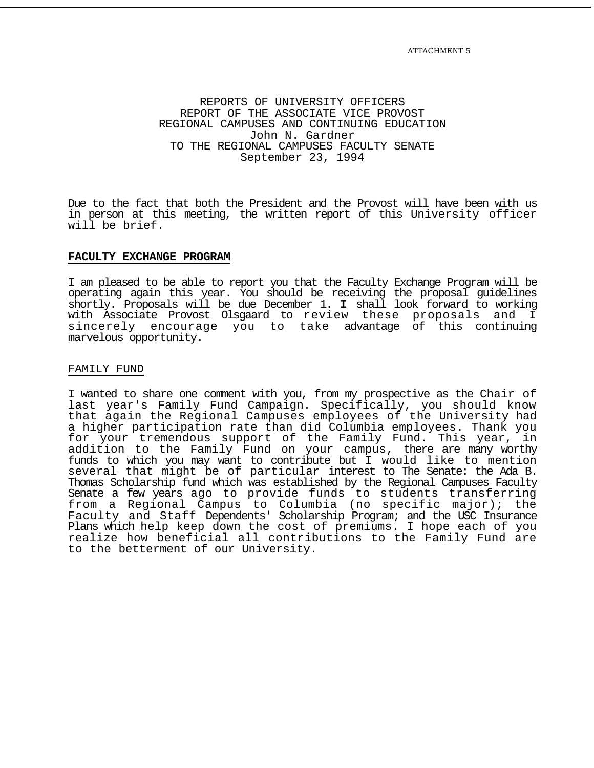ATTACHMENT 5

### REPORTS OF UNIVERSITY OFFICERS REPORT OF THE ASSOCIATE VICE PROVOST REGIONAL CAMPUSES AND CONTINUING EDUCATION John N. Gardner TO THE REGIONAL CAMPUSES FACULTY SENATE September 23, 1994

Due to the fact that both the President and the Provost will have been with us in person at this meeting, the written report of this University officer will be brief.

#### **FACULTY EXCHANGE PROGRAM**

I am pleased to be able to report you that the Faculty Exchange Program will be operating again this year. You should be receiving the proposal guidelines shortly. Proposals will be due December 1. **I** shall look forward to working with Associate Provost Olsgaard to review these proposals and I sincerely encourage you to take advantage of this continuing marvelous opportunity.

#### FAMILY FUND

I wanted to share one comment with you, from my prospective as the Chair of last year's Family Fund Campaign. Specifically, you should know that again the Regional Campuses employees of the University had a higher participation rate than did Columbia employees. Thank you for your tremendous support of the Family Fund. This year, in addition to the Family Fund on your campus, there are many worthy funds to which you may want to contribute but I would like to mention several that might be of particular interest to The Senate: the Ada B. Thomas Scholarship fund which was established by the Regional Campuses Faculty Senate a few years ago to provide funds to students transferring from a Regional Campus to Columbia (no specific major); the Faculty and Staff Dependents' Scholarship Program; and the USC Insurance Plans which help keep down the cost of premiums. I hope each of you realize how beneficial all contributions to the Family Fund are to the betterment of our University.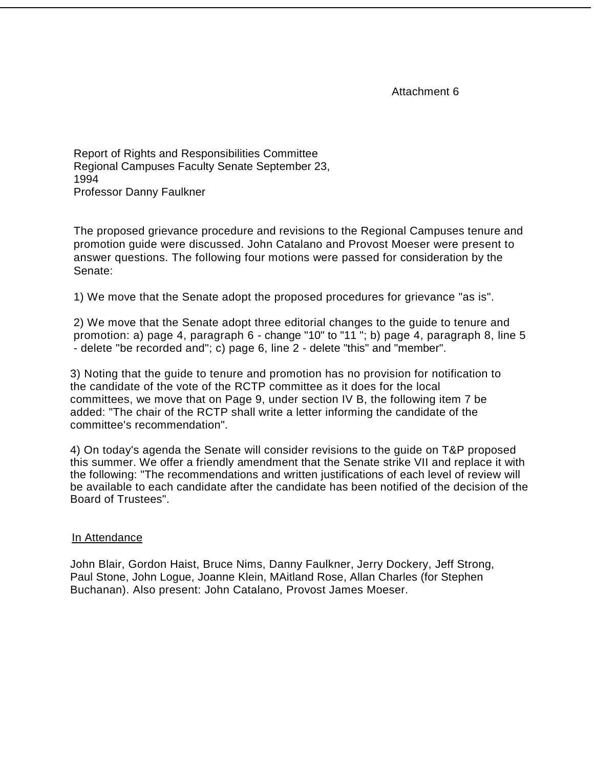Report of Rights and Responsibilities Committee Regional Campuses Faculty Senate September 23, 1994 Professor Danny Faulkner

The proposed grievance procedure and revisions to the Regional Campuses tenure and promotion guide were discussed. John Catalano and Provost Moeser were present to answer questions. The following four motions were passed for consideration by the Senate:

1) We move that the Senate adopt the proposed procedures for grievance "as is".

2) We move that the Senate adopt three editorial changes to the guide to tenure and promotion: a) page 4, paragraph 6 - change "10" to "11 "; b) page 4, paragraph 8, line 5 - delete "be recorded and"; c) page 6, line 2 - delete "this" and "member".

3) Noting that the guide to tenure and promotion has no provision for notification to the candidate of the vote of the RCTP committee as it does for the local committees, we move that on Page 9, under section IV B, the following item 7 be added: "The chair of the RCTP shall write a letter informing the candidate of the committee's recommendation".

4) On today's agenda the Senate will consider revisions to the guide on T&P proposed this summer. We offer a friendly amendment that the Senate strike VII and replace it with the following: "The recommendations and written justifications of each level of review will be available to each candidate after the candidate has been notified of the decision of the Board of Trustees".

# In Attendance

John Blair, Gordon Haist, Bruce Nims, Danny Faulkner, Jerry Dockery, Jeff Strong, Paul Stone, John Logue, Joanne Klein, MAitland Rose, Allan Charles (for Stephen Buchanan). Also present: John Catalano, Provost James Moeser.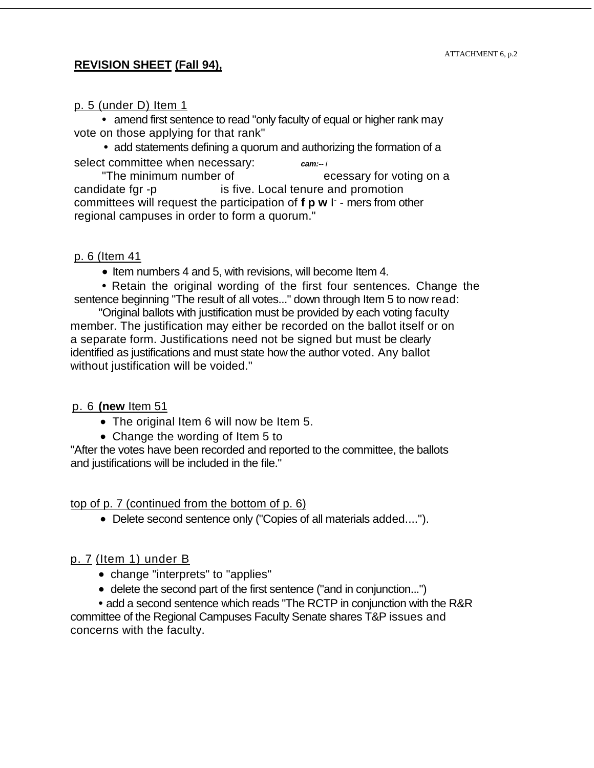# **REVISION SHEET (Fall 94),**

# p. 5 (under D) Item 1

• amend first sentence to read "only faculty of equal or higher rank may vote on those applying for that rank"

• add statements defining a quorum and authorizing the formation of a select committee when necessary: *cam:-- <sup>i</sup>*

"The minimum number of ecessary for voting on a candidate fgr -p is five. Local tenure and promotion committees will request the participation of **f p w** I - mers from other regional campuses in order to form a quorum."

# p. 6 (Item 41

• Item numbers 4 and 5, with revisions, will become Item 4.

• Retain the original wording of the first four sentences. Change the sentence beginning "The result of all votes..." down through Item 5 to now read:

"Original ballots with justification must be provided by each voting faculty member. The justification may either be recorded on the ballot itself or on a separate form. Justifications need not be signed but must be clearly identified as justifications and must state how the author voted. Any ballot without justification will be voided."

# p. 6 **(new** Item 51

- The original Item 6 will now be Item 5.
- Change the wording of Item 5 to

"After the votes have been recorded and reported to the committee, the ballots and justifications will be included in the file."

# top of p. 7 (continued from the bottom of p. 6)

• Delete second sentence only ("Copies of all materials added....").

# p. 7 (Item 1) under B

- change "interprets" to "applies"
- delete the second part of the first sentence ("and in conjunction...")
- add a second sentence which reads "The RCTP in conjunction with the R&R

committee of the Regional Campuses Faculty Senate shares T&P issues and concerns with the faculty.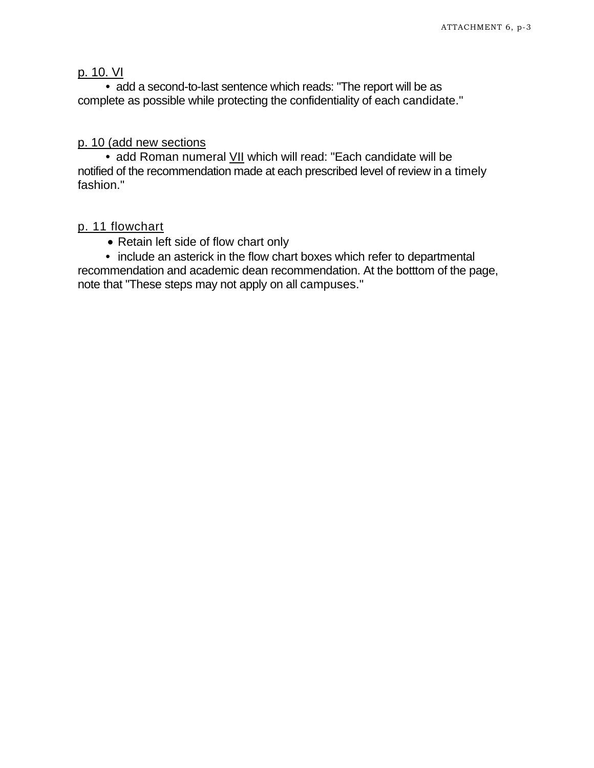# p. 10. VI

• add a second-to-last sentence which reads: "The report will be as complete as possible while protecting the confidentiality of each candidate."

# p. 10 (add new sections

• add Roman numeral VII which will read: "Each candidate will be notified of the recommendation made at each prescribed level of review in a timely fashion."

# p. 11 flowchart

• Retain left side of flow chart only

• include an asterick in the flow chart boxes which refer to departmental recommendation and academic dean recommendation. At the botttom of the page, note that "These steps may not apply on all campuses."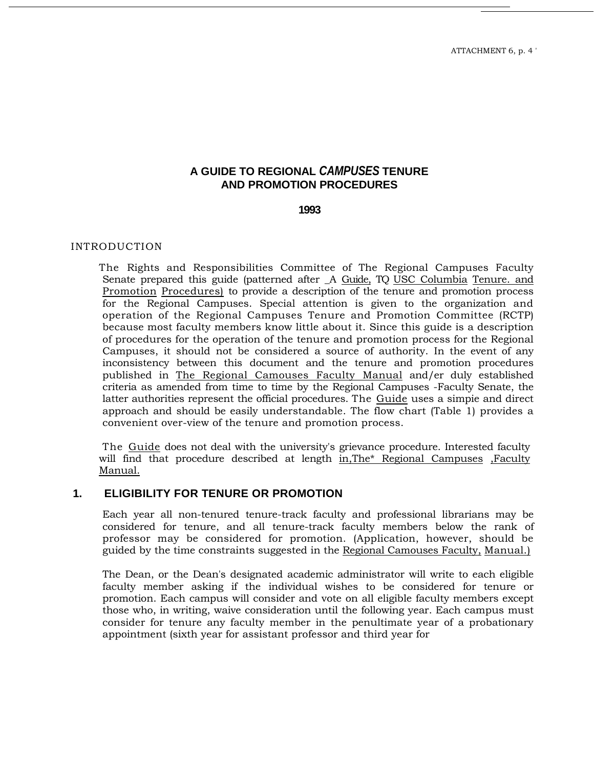# **A GUIDE TO REGIONAL** *CAMPUSES* **TENURE AND PROMOTION PROCEDURES**

### **1993**

### INTRODUCTION

The Rights and Responsibilities Committee of The Regional Campuses Faculty Senate prepared this guide (patterned after \_A Guide, TQ USC Columbia Tenure. and Promotion Procedures) to provide a description of the tenure and promotion process for the Regional Campuses. Special attention is given to the organization and operation of the Regional Campuses Tenure and Promotion Committee (RCTP) because most faculty members know little about it. Since this guide is a description of procedures for the operation of the tenure and promotion process for the Regional Campuses, it should not be considered a source of authority. In the event of any inconsistency between this document and the tenure and promotion procedures published in The Regional Camouses Faculty Manual and/er duly established criteria as amended from time to time by the Regional Campuses -Faculty Senate, the latter authorities represent the official procedures. The Guide uses a simpie and direct approach and should be easily understandable. The flow chart (Table 1) provides a convenient over-view of the tenure and promotion process.

The Guide does not deal with the university's grievance procedure. Interested faculty will find that procedure described at length in, The\* Regional Campuses , Faculty Manual.

### **1. ELIGIBILITY FOR TENURE OR PROMOTION**

Each year all non-tenured tenure-track faculty and professional librarians may be considered for tenure, and all tenure-track faculty members below the rank of professor may be considered for promotion. (Application, however, should be guided by the time constraints suggested in the Regional Camouses Faculty, Manual.)

The Dean, or the Dean's designated academic administrator will write to each eligible faculty member asking if the individual wishes to be considered for tenure or promotion. Each campus will consider and vote on all eligible faculty members except those who, in writing, waive consideration until the following year. Each campus must consider for tenure any faculty member in the penultimate year of a probationary appointment (sixth year for assistant professor and third year for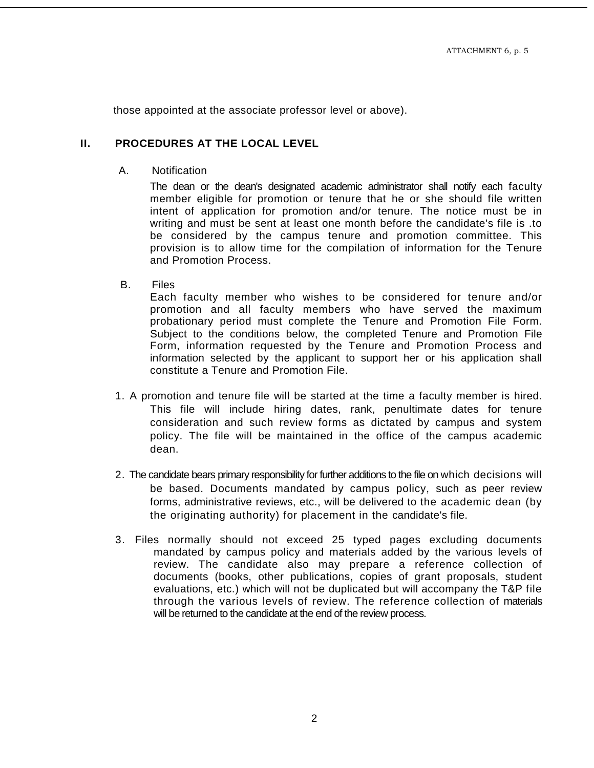those appointed at the associate professor level or above).

### **II. PROCEDURES AT THE LOCAL LEVEL**

A. Notification

The dean or the dean's designated academic administrator shall notify each faculty member eligible for promotion or tenure that he or she should file written intent of application for promotion and/or tenure. The notice must be in writing and must be sent at least one month before the candidate's file is .to be considered by the campus tenure and promotion committee. This provision is to allow time for the compilation of information for the Tenure and Promotion Process.

B. Files

Each faculty member who wishes to be considered for tenure and/or promotion and all faculty members who have served the maximum probationary period must complete the Tenure and Promotion File Form. Subject to the conditions below, the completed Tenure and Promotion File Form, information requested by the Tenure and Promotion Process and information selected by the applicant to support her or his application shall constitute a Tenure and Promotion File.

- 1. A promotion and tenure file will be started at the time a faculty member is hired. This file will include hiring dates, rank, penultimate dates for tenure consideration and such review forms as dictated by campus and system policy. The file will be maintained in the office of the campus academic dean.
- 2. The candidate bears primary responsibility for further additions to the file on which decisions will be based. Documents mandated by campus policy, such as peer review forms, administrative reviews, etc., will be delivered to the academic dean (by the originating authority) for placement in the candidate's file.
- 3. Files normally should not exceed 25 typed pages excluding documents mandated by campus policy and materials added by the various levels of review. The candidate also may prepare a reference collection of documents (books, other publications, copies of grant proposals, student evaluations, etc.) which will not be duplicated but will accompany the T&P file through the various levels of review. The reference collection of materials will be returned to the candidate at the end of the review process.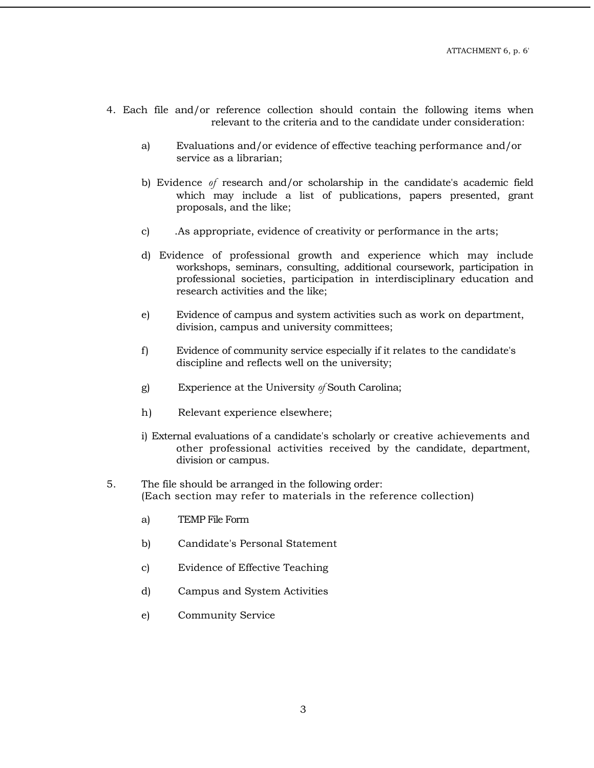- 4. Each file and/or reference collection should contain the following items when relevant to the criteria and to the candidate under consideration:
	- a) Evaluations and/or evidence of effective teaching performance and/or service as a librarian;
	- b) Evidence *of* research and/or scholarship in the candidate's academic field which may include a list of publications, papers presented, grant proposals, and the like;
	- c) .As appropriate, evidence of creativity or performance in the arts;
	- d) Evidence of professional growth and experience which may include workshops, seminars, consulting, additional coursework, participation in professional societies, participation in interdisciplinary education and research activities and the like;
	- e) Evidence of campus and system activities such as work on department, division, campus and university committees;
	- f) Evidence of community service especially if it relates to the candidate's discipline and reflects well on the university;
	- g) Experience at the University *of* South Carolina;
	- h) Relevant experience elsewhere;
	- i) External evaluations of a candidate's scholarly or creative achievements and other professional activities received by the candidate, department, division or campus.
- 5. The file should be arranged in the following order: (Each section may refer to materials in the reference collection)
	- a) TEMP File Form
	- b) Candidate's Personal Statement
	- c) Evidence of Effective Teaching
	- d) Campus and System Activities
	- e) Community Service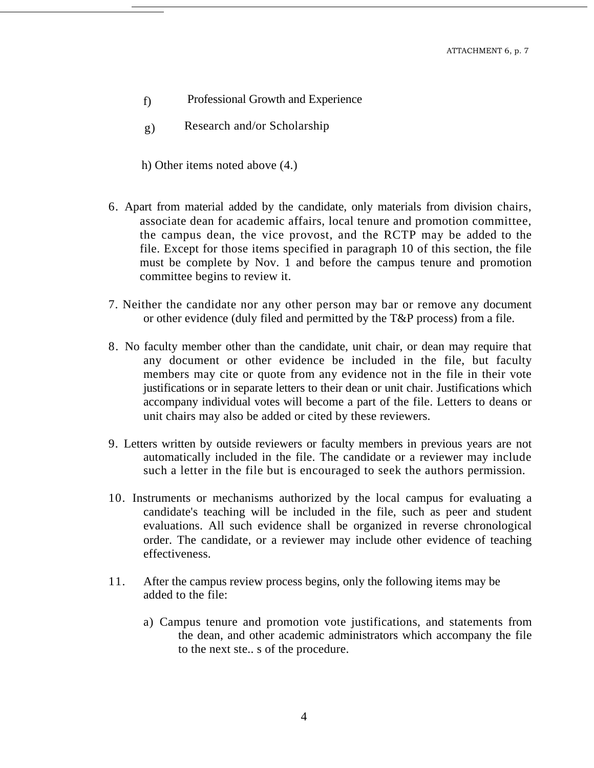- f) Professional Growth and Experience
- g) Research and/or Scholarship
- h) Other items noted above (4.)
- 6. Apart from material added by the candidate, only materials from division chairs, associate dean for academic affairs, local tenure and promotion committee, the campus dean, the vice provost, and the RCTP may be added to the file. Except for those items specified in paragraph 10 of this section, the file must be complete by Nov. 1 and before the campus tenure and promotion committee begins to review it.
- 7. Neither the candidate nor any other person may bar or remove any document or other evidence (duly filed and permitted by the T&P process) from a file.
- 8. No faculty member other than the candidate, unit chair, or dean may require that any document or other evidence be included in the file, but faculty members may cite or quote from any evidence not in the file in their vote justifications or in separate letters to their dean or unit chair. Justifications which accompany individual votes will become a part of the file. Letters to deans or unit chairs may also be added or cited by these reviewers.
- 9. Letters written by outside reviewers or faculty members in previous years are not automatically included in the file. The candidate or a reviewer may include such a letter in the file but is encouraged to seek the authors permission.
- 10. Instruments or mechanisms authorized by the local campus for evaluating a candidate's teaching will be included in the file, such as peer and student evaluations. All such evidence shall be organized in reverse chronological order. The candidate, or a reviewer may include other evidence of teaching effectiveness.
- 11. After the campus review process begins, only the following items may be added to the file:
	- a) Campus tenure and promotion vote justifications, and statements from the dean, and other academic administrators which accompany the file to the next ste.. s of the procedure.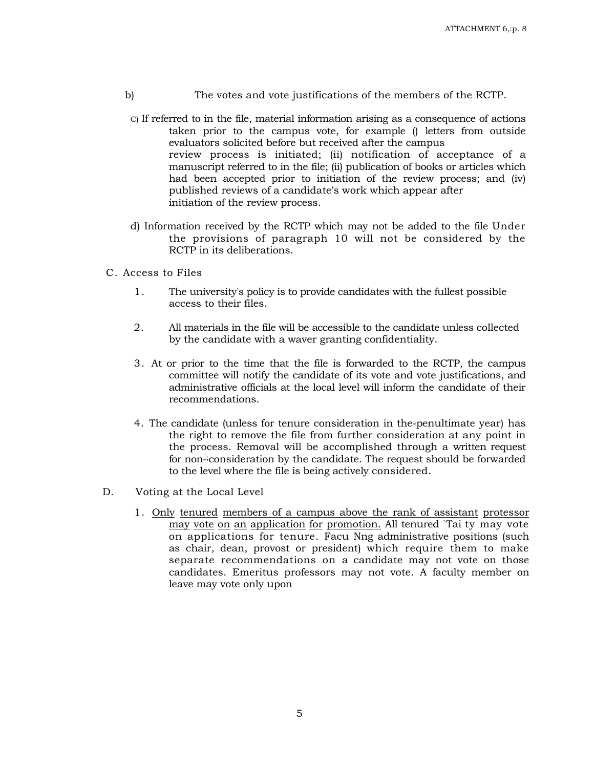- b) The votes and vote justifications of the members of the RCTP.
	- C) If referred to in the file, material information arising as a consequence of actions taken prior to the campus vote, for example () letters from outside evaluators solicited before but received after the campus review process is initiated; (ii) notification of acceptance of a manuscript referred to in the file; (ii) publication of books or articles which had been accepted prior to initiation of the review process; and (iv) published reviews of a candidate's work which appear after initiation of the review process.
	- d) Information received by the RCTP which may not be added to the file Under the provisions of paragraph 10 will not be considered by the RCTP in its deliberations.
- C. Access to Files
	- 1. The university's policy is to provide candidates with the fullest possible access to their files.
	- 2. All materials in the file will be accessible to the candidate unless collected by the candidate with a waver granting confidentiality.
	- 3. At or prior to the time that the file is forwarded to the RCTP, the campus committee will notify the candidate of its vote and vote justifications, and administrative officials at the local level will inform the candidate of their recommendations.
	- 4. The candidate (unless for tenure consideration in the-penultimate year) has the right to remove the file from further consideration at any point in the process. Removal will be accomplished through a written request for non-; consideration by the candidate. The request should be forwarded to the level where the file is being actively considered.
- D. Voting at the Local Level
	- 1. Only tenured members of a campus above the rank of assistant protessor may vote on an application for promotion. All tenured Tai ty may vote on applications for tenure. Facu Nng administrative positions (such as chair, dean, provost or president) which require them to make separate recommendations on a candidate may not vote on those candidates. Emeritus professors may not vote. A faculty member on leave may vote only upon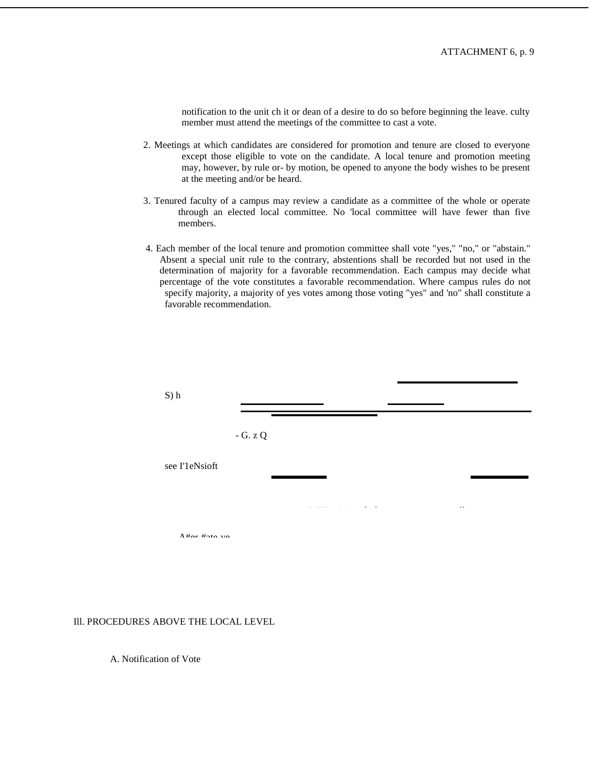notification to the unit ch it or dean of a desire to do so before beginning the leave. culty member must attend the meetings of the committee to cast a vote.

- 2. Meetings at which candidates are considered for promotion and tenure are closed to everyone except those eligible to vote on the candidate. A local tenure and promotion meeting may, however, by rule or- by motion, be opened to anyone the body wishes to be present at the meeting and/or be heard.
- 3. Tenured faculty of a campus may review a candidate as a committee of the whole or operate through an elected local committee. No 'local committee will have fewer than five members.
- 4. Each member of the local tenure and promotion committee shall vote "yes," "no," or "abstain." Absent a special unit rule to the contrary, abstentions shall be recorded but not used in the determination of majority for a favorable recommendation. Each campus may decide what percentage of the vote constitutes a favorable recommendation. Where campus rules do not specify majority, a majority of yes votes among those voting "yes" and 'no" shall constitute a favorable recommendation.

| S) h                         |   |               |  |
|------------------------------|---|---------------|--|
| - G. z ${\bf Q}$             |   |               |  |
| see I'leNsioft               |   |               |  |
|                              | . | $\sim$ $\sim$ |  |
| $A$ $\#$ ar $\#$ ata $\pi$ a |   |               |  |

Ill. PROCEDURES ABOVE THE LOCAL LEVEL

A. Notification of Vote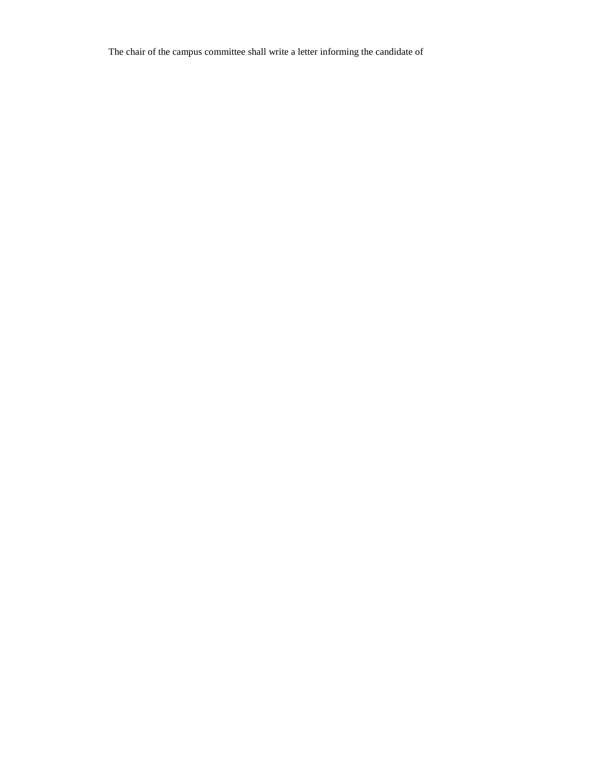The chair of the campus committee shall write a letter informing the candidate of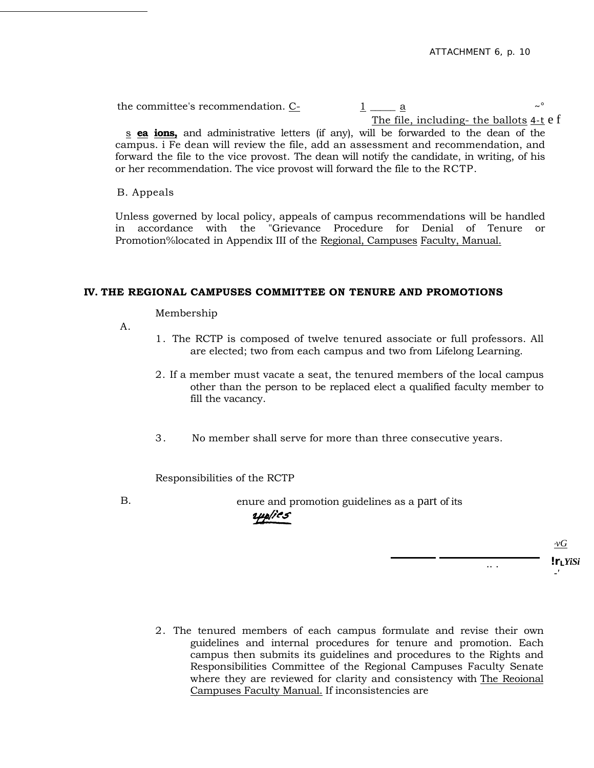the committee's recommendation.  $C$ -  $1 \_\_\_\_\$  a  $\sim$ ° The file, including- the ballots 4-t e f

s **ea ions,** and administrative letters (if any), will be forwarded to the dean of the campus. i Fe dean will review the file, add an assessment and recommendation, and forward the file to the vice provost. The dean will notify the candidate, in writing, of his or her recommendation. The vice provost will forward the file to the RCTP.

B. Appeals

Unless governed by local policy, appeals of campus recommendations will be handled in accordance with the "Grievance Procedure for Denial of Tenure or Promotion%located in Appendix III of the Regional, Campuses Faculty, Manual.

## **IV. THE REGIONAL CAMPUSES COMMITTEE ON TENURE AND PROMOTIONS**

Membership

A.

- 1. The RCTP is composed of twelve tenured associate or full professors. All are elected; two from each campus and two from Lifelong Learning.
- 2. If a member must vacate a seat, the tenured members of the local campus other than the person to be replaced elect a qualified faculty member to fill the vacancy.
- 3. No member shall serve for more than three consecutive years.

Responsibilities of the RCTP

B.

enure and promotion guidelines as a part of its rpplies

> *, vG !rLYiSi -'*

.. .

2. The tenured members of each campus formulate and revise their own guidelines and internal procedures for tenure and promotion. Each campus then submits its guidelines and procedures to the Rights and Responsibilities Committee of the Regional Campuses Faculty Senate where they are reviewed for clarity and consistency with The Reoional Campuses Faculty Manual. If inconsistencies are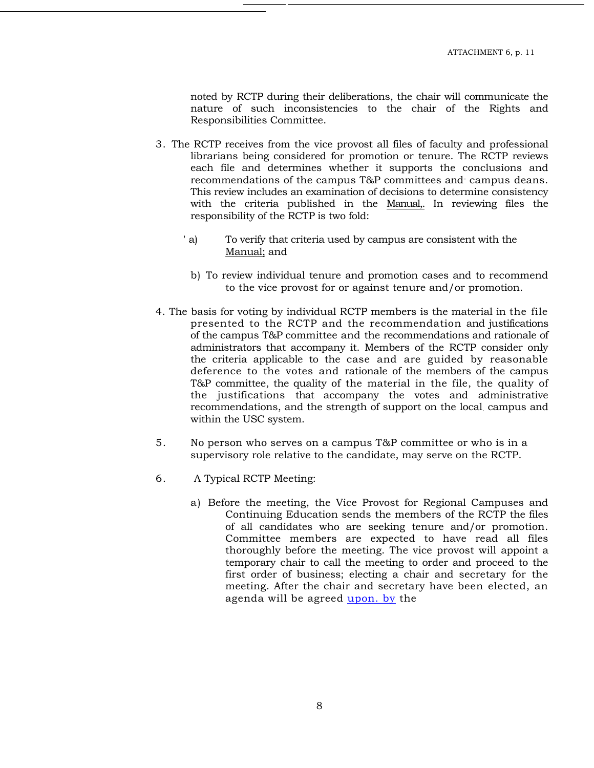noted by RCTP during their deliberations, the chair will communicate the nature of such inconsistencies to the chair of the Rights and Responsibilities Committee.

- 3. The RCTP receives from the vice provost all files of faculty and professional librarians being considered for promotion or tenure. The RCTP reviews each file and determines whether it supports the conclusions and recommendations of the campus T&P committees and- campus deans. This review includes an examination of decisions to determine consistency with the criteria published in the Manual,. In reviewing files the responsibility of the RCTP is two fold:
	- ' a) To verify that criteria used by campus are consistent with the Manual; and
	- b) To review individual tenure and promotion cases and to recommend to the vice provost for or against tenure and/or promotion.
- 4. The basis for voting by individual RCTP members is the material in the file presented to the RCTP and the recommendation and justifications of the campus T&P committee and the recommendations and rationale of administrators that accompany it. Members of the RCTP consider only the criteria applicable to the case and are guided by reasonable deference to the votes and rationale of the members of the campus T&P committee, the quality of the material in the file, the quality of the justifications that accompany the votes and administrative recommendations, and the strength of support on the local. campus and within the USC system.
- 5. No person who serves on a campus T&P committee or who is in a supervisory role relative to the candidate, may serve on the RCTP.
- 6. A Typical RCTP Meeting:
	- a) Before the meeting, the Vice Provost for Regional Campuses and Continuing Education sends the members of the RCTP the files of all candidates who are seeking tenure and/or promotion. Committee members are expected to have read all files thoroughly before the meeting. The vice provost will appoint a temporary chair to call the meeting to order and proceed to the first order of business; electing a chair and secretary for the meeting. After the chair and secretary have been elected, an agenda will be agreed [upon. by](http://upon.by/) the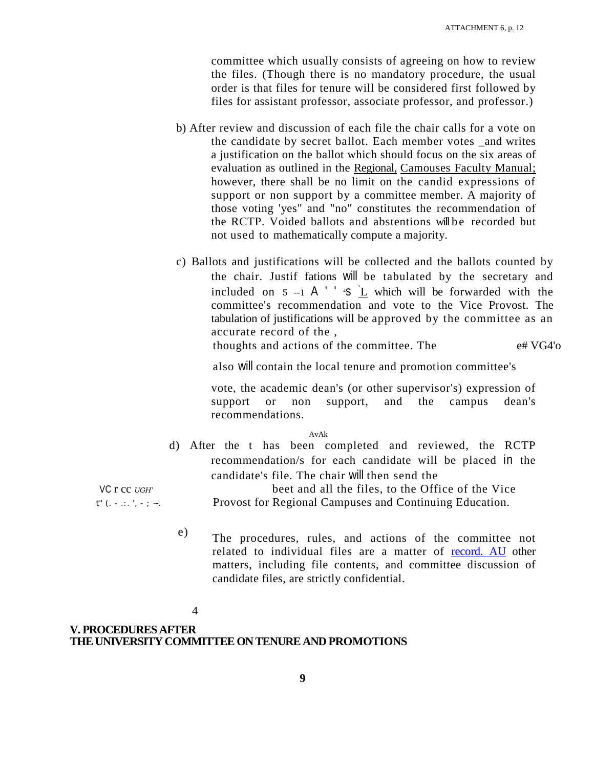committee which usually consists of agreeing on how to review the files. (Though there is no mandatory procedure, the usual order is that files for tenure will be considered first followed by files for assistant professor, associate professor, and professor.)

- b) After review and discussion of each file the chair calls for a vote on the candidate by secret ballot. Each member votes \_and writes a justification on the ballot which should focus on the six areas of evaluation as outlined in the Regional, Camouses Faculty Manual; however, there shall be no limit on the candid expressions of support or non support by a committee member. A majority of those voting 'yes" and "no" constitutes the recommendation of the RCTP. Voided ballots and abstentions will be recorded but not used to mathematically compute a majority.
- c) Ballots and justifications will be collected and the ballots counted by the chair. Justif fations will be tabulated by the secretary and included on  $5 -1$  A ' ' <sup>4</sup>S  $\overline{L}$  which will be forwarded with the committee's recommendation and vote to the Vice Provost. The tabulation of justifications will be approved by the committee as an accurate record of the ,

thoughts and actions of the committee. The e# VG4'o

also will contain the local tenure and promotion committee's

vote, the academic dean's (or other supervisor's) expression of support or non support, and the campus dean's recommendations.

AvAk

d) After the t has been completed and reviewed, the RCTP recommendation/s for each candidate will be placed in the candidate's file. The chair will then send the

VC r cc *UGH'* beet and all the files, to the Office of the Vice  $t^{\prime\prime}$  ( $\cdot$  ... ',  $\cdot$  ;  $\sim$ . Provost for Regional Campuses and Continuing Education.

> e) The procedures, rules, and actions of the committee not related to individual files are a matter of [record. AU](http://record.au/) other matters, including file contents, and committee discussion of candidate files, are strictly confidential.

4

## **V. PROCEDURES AFTER THE UNIVERSITY COMMITTEE ON TENURE AND PROMOTIONS**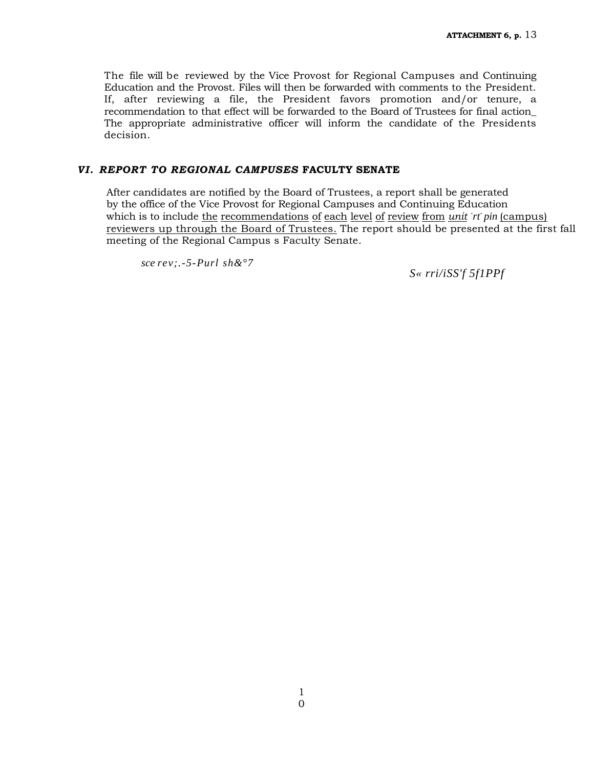The file will be reviewed by the Vice Provost for Regional Campuses and Continuing Education and the Provost. Files will then be forwarded with comments to the President. If, after reviewing a file, the President favors promotion and/or tenure, a recommendation to that effect will be forwarded to the Board of Trustees for final action\_ The appropriate administrative officer will inform the candidate of the Presidents decision.

## *VI. REPORT TO REGIONAL CAMPUSES* **FACULTY SENATE**

After candidates are notified by the Board of Trustees, a report shall be generated by the office of the Vice Provost for Regional Campuses and Continuing Education which is to include the recommendations of each level of review from *unit rt pin* (campus) reviewers up through the Board of Trustees. The report should be presented at the first fall meeting of the Regional Campus s Faculty Senate.

*sce rev;.-5-Purl sh&°7*

*S« rri/iSS'f 5f1PPf*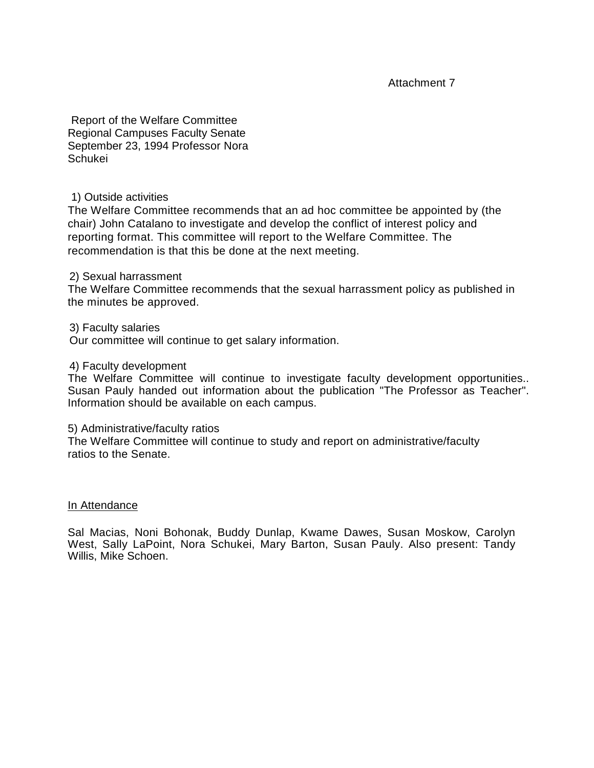## Attachment 7

Report of the Welfare Committee Regional Campuses Faculty Senate September 23, 1994 Professor Nora Schukei

1) Outside activities

The Welfare Committee recommends that an ad hoc committee be appointed by (the chair) John Catalano to investigate and develop the conflict of interest policy and reporting format. This committee will report to the Welfare Committee. The recommendation is that this be done at the next meeting.

## 2) Sexual harrassment

The Welfare Committee recommends that the sexual harrassment policy as published in the minutes be approved.

3) Faculty salaries

Our committee will continue to get salary information.

## 4) Faculty development

The Welfare Committee will continue to investigate faculty development opportunities.. Susan Pauly handed out information about the publication "The Professor as Teacher". Information should be available on each campus.

## 5) Administrative/faculty ratios

The Welfare Committee will continue to study and report on administrative/faculty ratios to the Senate.

## In Attendance

Sal Macias, Noni Bohonak, Buddy Dunlap, Kwame Dawes, Susan Moskow, Carolyn West, Sally LaPoint, Nora Schukei, Mary Barton, Susan Pauly. Also present: Tandy Willis, Mike Schoen.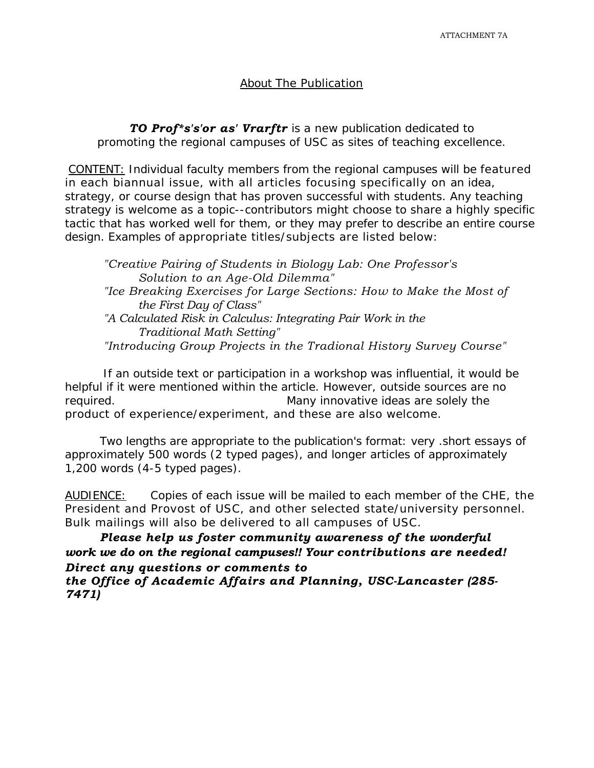## About The Publication

*TO Prof\*s's'or as' Vrarftr* is a new publication dedicated to promoting the regional campuses of USC as sites of teaching excellence.

CONTENT: Individual faculty members from the regional campuses will be featured in each biannual issue, with all articles focusing specifically on an idea, strategy, or course design that has proven successful with students. Any teaching strategy is welcome as a topic--contributors might choose to share a highly specific tactic that has worked well for them, or they may prefer to describe an entire course design. Examples of appropriate titles/subjects are listed below:

*"Creative Pairing of Students in Biology Lab: One Professor's Solution to an Age-Old Dilemma" "Ice Breaking Exercises for Large Sections: How to Make the Most of the First Day of Class" "A Calculated Risk in Calculus: Integrating Pair Work in the Traditional Math Setting" "Introducing Group Projects in the Tradional History Survey Course"*

If an outside text or participation in a workshop was influential, it would be helpful if it were mentioned within the article. However, outside sources are no required. Many innovative ideas are solely the product of experience/experiment, and these are also welcome.

Two lengths are appropriate to the publication's format: very .short essays of approximately 500 words (2 typed pages), and longer articles of approximately 1,200 words (4-5 typed pages).

AUDIENCE: Copies of each issue will be mailed to each member of the CHE, the President and Provost of USC, and other selected state/university personnel. Bulk mailings will also be delivered to all campuses of USC.

*Please help us foster community awareness of the wonderful work we do on the regional campuses!! Your contributions are needed! Direct any questions or comments to the Office of Academic Affairs and Planning, USC-Lancaster (285- 7471)*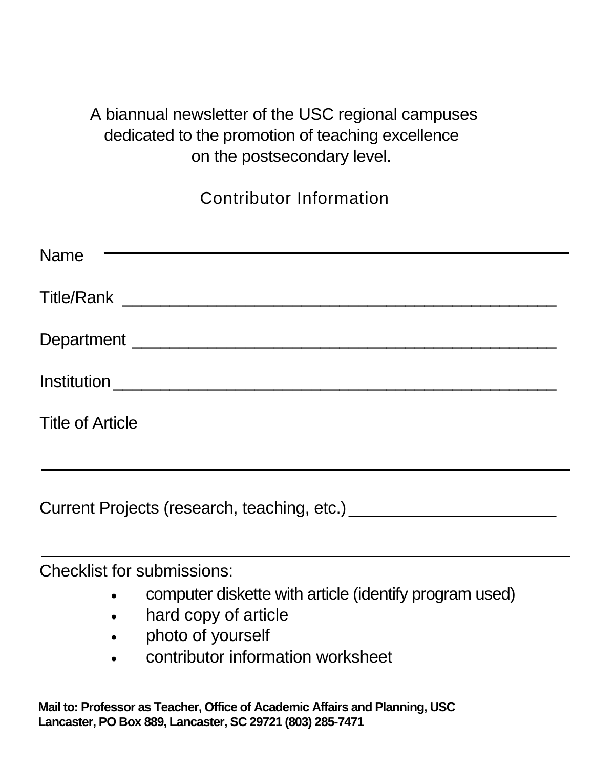A biannual newsletter of the USC regional campuses dedicated to the promotion of teaching excellence on the postsecondary level.

Contributor Information

| the control of the control of the control of the control of the control of the control of the control of the control of the control of the control of the control of the control of the control of the control of the control<br><b>Name</b> |
|----------------------------------------------------------------------------------------------------------------------------------------------------------------------------------------------------------------------------------------------|
|                                                                                                                                                                                                                                              |
|                                                                                                                                                                                                                                              |
|                                                                                                                                                                                                                                              |
| <b>Title of Article</b>                                                                                                                                                                                                                      |

Current Projects (research, teaching, etc.) \_\_\_\_\_\_\_\_\_\_\_\_\_\_\_\_\_\_\_\_\_\_

Checklist for submissions:

- computer diskette with article (identify program used)
- hard copy of article
- photo of yourself
- contributor information worksheet

**Mail to: Professor as Teacher, Office of Academic Affairs and Planning, USC Lancaster, PO Box 889, Lancaster, SC 29721 (803) 285-7471**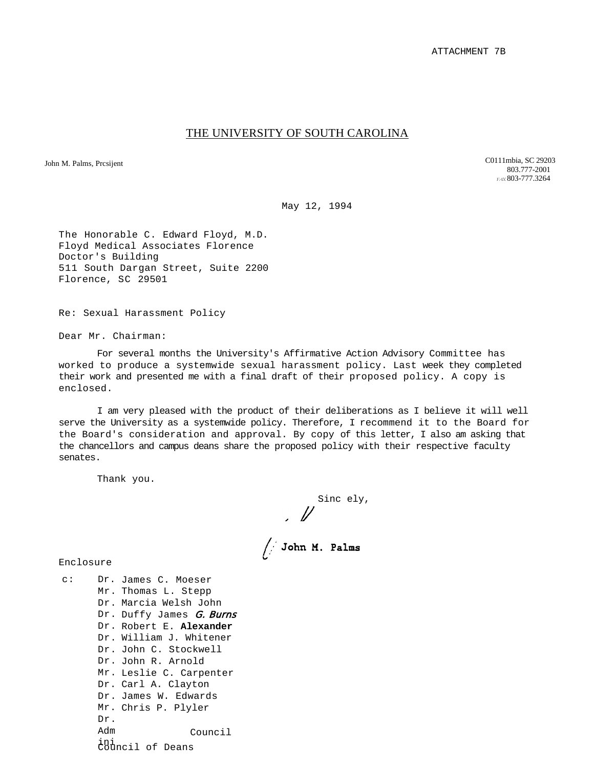## THE UNIVERSITY OF SOUTH CAROLINA

John M. Palms, Prcsijent

C0111mbia, SC 29203 803.777-2001 *FAX* 803-777.3264

May 12, 1994

The Honorable C. Edward Floyd, M.D. Floyd Medical Associates Florence Doctor's Building 511 South Dargan Street, Suite 2200 Florence, SC 29501

Re: Sexual Harassment Policy

Dear Mr. Chairman:

For several months the University's Affirmative Action Advisory Committee has worked to produce a systemwide sexual harassment policy. Last week they completed their work and presented me with a final draft of their proposed policy. A copy is enclosed.

I am very pleased with the product of their deliberations as I believe it will well serve the University as a systemwide policy. Therefore, I recommend it to the Board for the Board's consideration and approval. By copy of this letter, I also am asking that the chancellors and campus deans share the proposed policy with their respective faculty senates.

Thank you.

Sinc ely,  $\mathscr{N}$ 

 $\sqrt{\frac{1}{2}}$  John M. Palms

Enclosure

c: Dr. James C. Moeser Mr. Thomas L. Stepp Dr. Marcia Welsh John Dr. Duffy James *G. Burns* Dr. Robert E. **Alexander**  Dr. William J. Whitener Dr. John C. Stockwell Dr. John R. Arnold Mr. Leslie C. Carpenter Dr. Carl A. Clayton Dr. James W. Edwards Mr. Chris P. Plyler Dr. Adm ini Council of Deans Council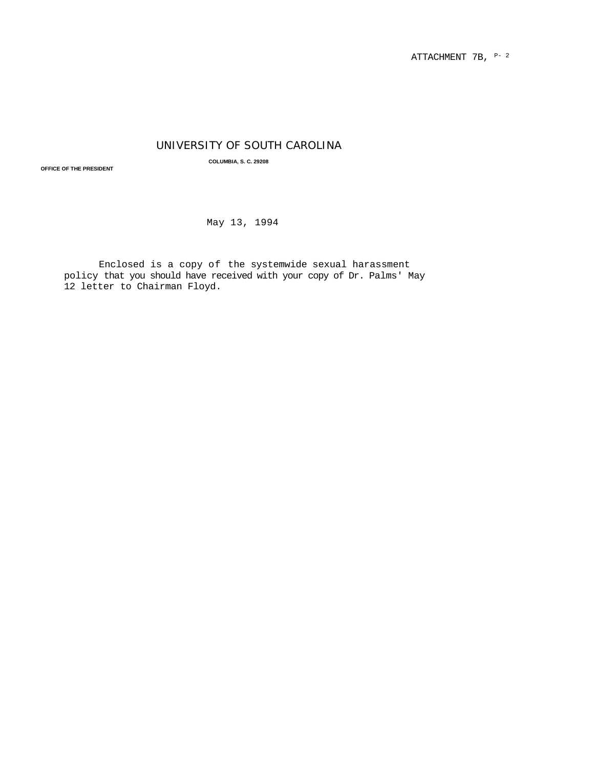ATTACHMENT 7B,  $\mathbb{P}^{-2}$ 

## UNIVERSITY OF SOUTH CAROLINA

**COLUMBIA, S. C. 29208**

**OFFICE OF THE PRESIDENT**

May 13, 1994

Enclosed is a copy of the systemwide sexual harassment policy that you should have received with your copy of Dr. Palms' May 12 letter to Chairman Floyd.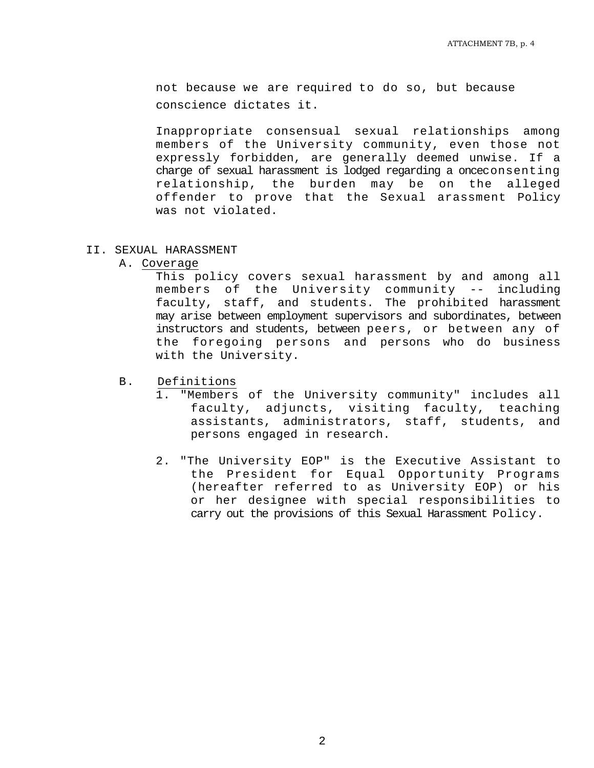not because we are required to do so, but because conscience dictates it.

Inappropriate consensual sexual relationships among members of the University community, even those not expressly forbidden, are generally deemed unwise. If a charge of sexual harassment is lodged regarding a onceconsenting relationship, the burden may be on the alleged offender to prove that the Sexual arassment Policy was not violated.

## II. SEXUAL HARASSMENT

A. Coverage

This policy covers sexual harassment by and among all members of the University community -- including faculty, staff, and students. The prohibited harassment may arise between employment supervisors and subordinates, between instructors and students, between peers, or between any of the foregoing persons and persons who do business with the University.

B. Definitions

- 1. "Members of the University community" includes all faculty, adjuncts, visiting faculty, teaching assistants, administrators, staff, students, and persons engaged in research.
- 2. "The University EOP" is the Executive Assistant to the President for Equal Opportunity Programs (hereafter referred to as University EOP) or his or her designee with special responsibilities to carry out the provisions of this Sexual Harassment Policy.

2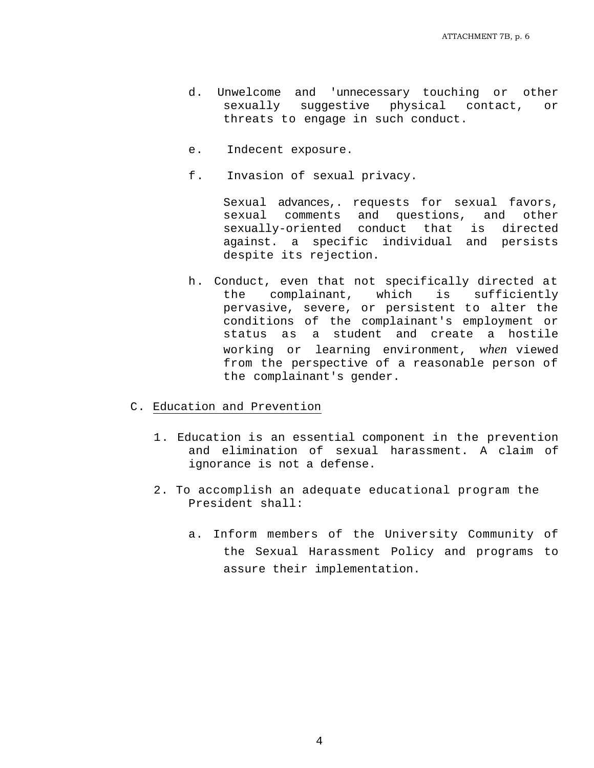- d. Unwelcome and 'unnecessary touching or other<br>sexually suggestive physical contact, or physical contact, or threats to engage in such conduct.
- e. Indecent exposure.
- f. Invasion of sexual privacy.

Sexual advances,. requests for sexual favors, sexual comments and questions, and other sexually-oriented conduct that is directed against. a specific individual and persists despite its rejection.

- h. Conduct, even that not specifically directed at the complainant, which is sufficiently pervasive, severe, or persistent to alter the conditions of the complainant's employment or status as a student and create a hostile working or learning environment, *when* viewed from the perspective of a reasonable person of the complainant's gender.
- C. Education and Prevention
	- 1. Education is an essential component in the prevention and elimination of sexual harassment. A claim of ignorance is not a defense.
	- 2. To accomplish an adequate educational program the President shall:
		- a. Inform members of the University Community of the Sexual Harassment Policy and programs to assure their implementation.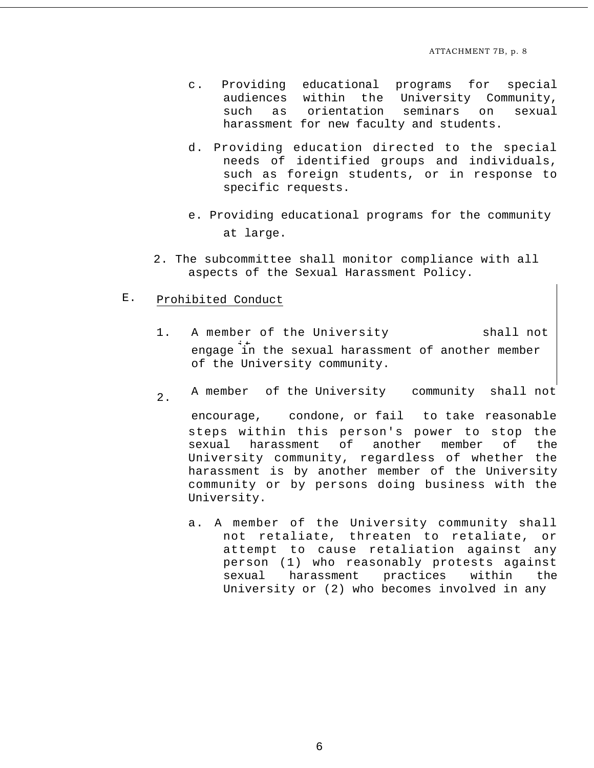- c. Providing educational programs for special audiences within the University Community, such as orientation seminars on sexual harassment for new faculty and students.
- d. Providing education directed to the special needs of identified groups and individuals, such as foreign students, or in response to specific requests.
- e. Providing educational programs for the community at large.
- 2. The subcommittee shall monitor compliance with all aspects of the Sexual Harassment Policy.
- E. Prohibited Conduct
	- 1. A member of the University engage in the sexual harassment of another member shall not of the University community.
	- 2. A member of the University community shall not

encourage, condone, or fail to take reasonable steps within this person's power to stop the sexual harassment of another member of the University community, regardless of whether the harassment is by another member of the University community or by persons doing business with the University.

a. A member of the University community shall not retaliate, threaten to retaliate, or attempt to cause retaliation against any person (1) who reasonably protests against sexual harassment practices within the University or (2) who becomes involved in any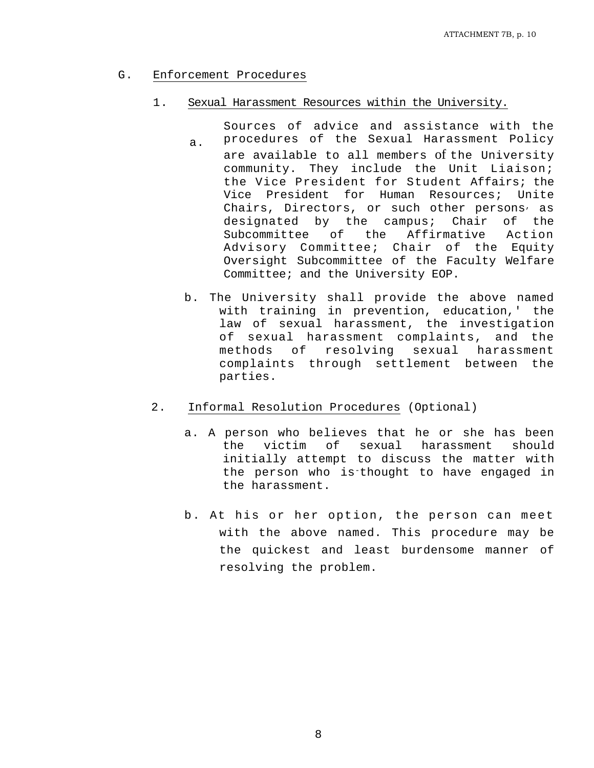## G. Enforcement Procedures

### 1. Sexual Harassment Resources within the University.

Sources of advice and assistance with the procedures of the Sexual Harassment Policy are available to all members of the University community. They include the Unit Liaison; the Vice President for Student Affairs; the Vice President for Human Resources; Unite Chairs, Directors, or such other persons, as designated by the campus; Chair of the<br>Subcommittee of the Affirmative Action Subcommittee of the Advisory Committee; Chair of the Equity Oversight Subcommittee of the Faculty Welfare Committee; and the University EOP. a.

- b. The University shall provide the above named with training in prevention, education,' the law of sexual harassment, the investigation of sexual harassment complaints, and the methods of resolving sexual harassment complaints through settlement between the parties.
- 2. Informal Resolution Procedures (Optional)
	- a. A person who believes that he or she has been the victim of sexual harassment should initially attempt to discuss the matter with the person who is-thought to have engaged in the harassment.
	- b. At his or her option, the person can meet with the above named. This procedure may be the quickest and least burdensome manner of resolving the problem.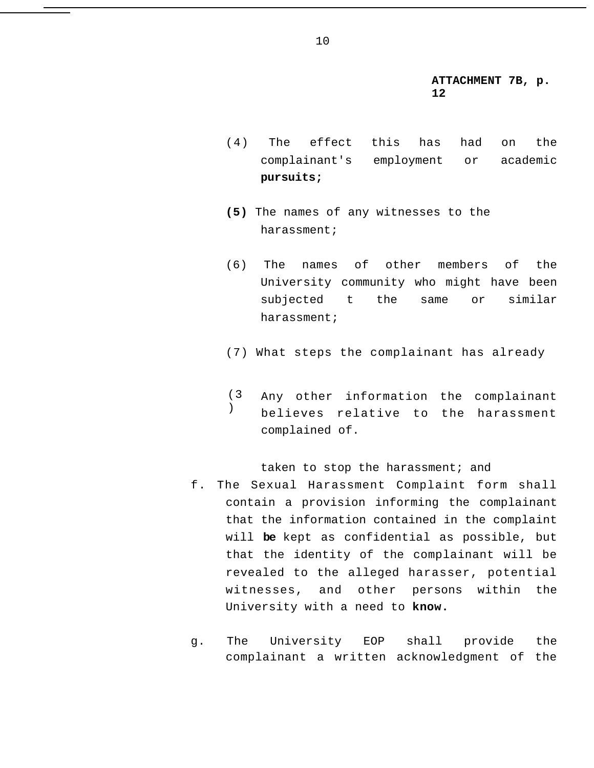**ATTACHMENT 7B, p. 12**

- (4) The effect this has had on the complainant's employment or academic **pursuits;**
- **(5)** The names of any witnesses to the harassment;
- (6) The names of other members of the University community who might have been subjected t the same or similar harassment;
- (7) What steps the complainant has already
- (3 ) Any other information the complainant believes relative to the harassment complained of.

taken to stop the harassment; and

- f. The Sexual Harassment Complaint form shall contain a provision informing the complainant that the information contained in the complaint will **be** kept as confidential as possible, but that the identity of the complainant will be revealed to the alleged harasser, potential witnesses, and other persons within the University with a need to **know.**
- g. The University EOP shall provide the complainant a written acknowledgment of the

10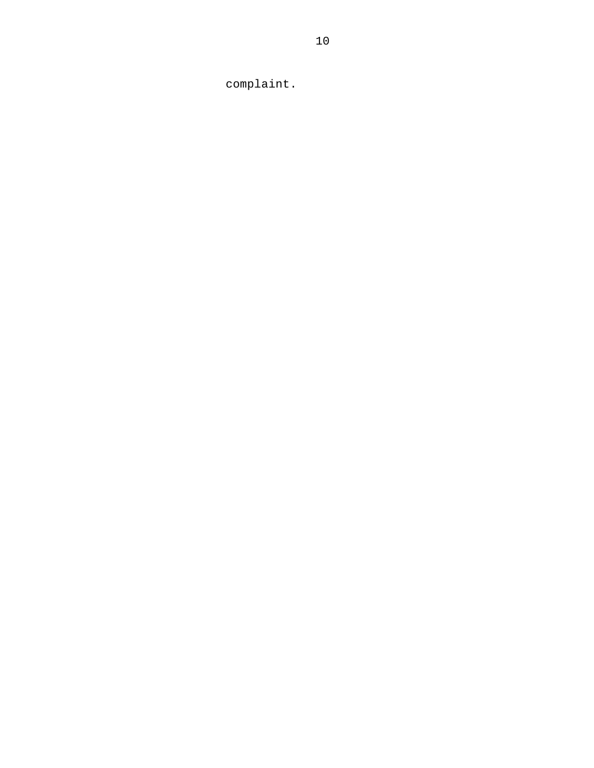complaint.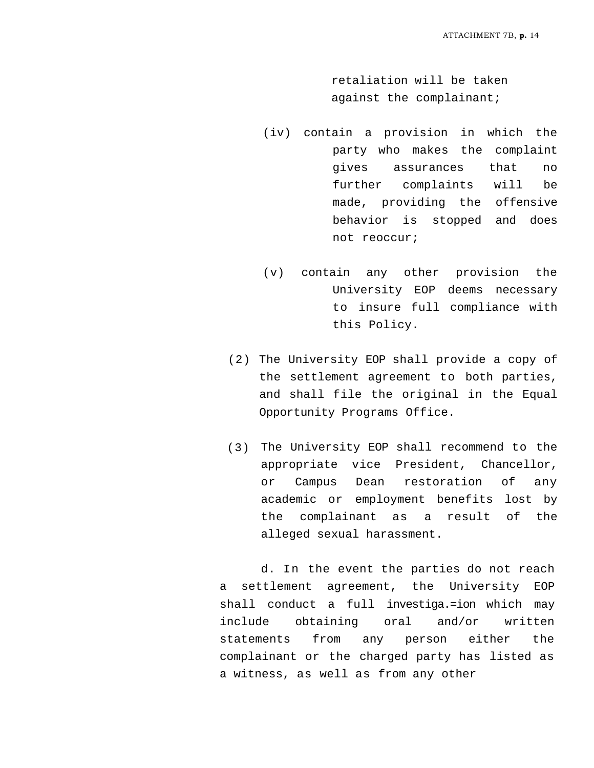retaliation will be taken against the complainant;

- (iv) contain a provision in which the party who makes the complaint gives assurances that no further complaints will be made, providing the offensive behavior is stopped and does not reoccur;
- (v) contain any other provision the University EOP deems necessary to insure full compliance with this Policy.
- (2) The University EOP shall provide a copy of the settlement agreement to both parties, and shall file the original in the Equal Opportunity Programs Office.
- (3) The University EOP shall recommend to the appropriate vice President, Chancellor, or Campus Dean restoration of any academic or employment benefits lost by the complainant as a result of the alleged sexual harassment.

d. In the event the parties do not reach a settlement agreement, the University EOP shall conduct a full investiga.=ion which may include obtaining oral and/or written statements from any person either the complainant or the charged party has listed as a witness, as well as from any other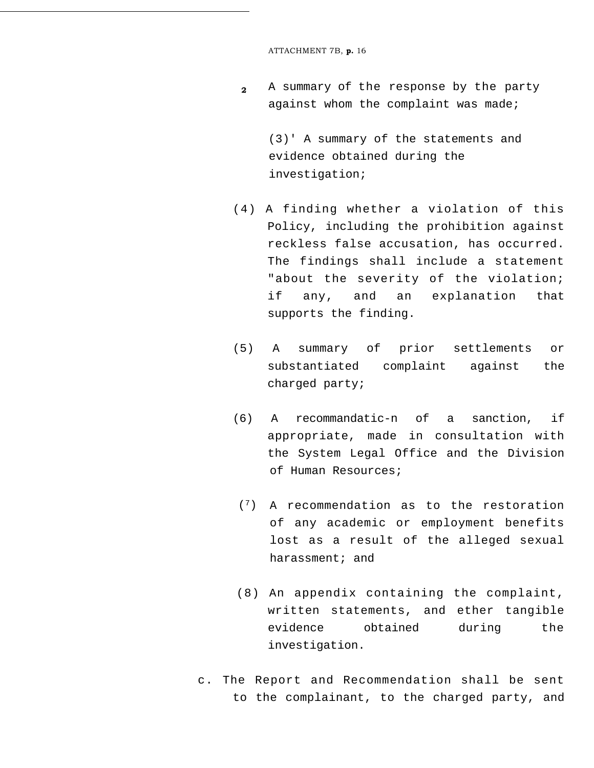A summary of the response by the party against whom the complaint was made; **2**

(3)' A summary of the statements and evidence obtained during the investigation;

- (4) A finding whether a violation of this Policy, including the prohibition against reckless false accusation, has occurred. The findings shall include a statement "about the severity of the violation; if any, and an explanation that supports the finding.
- (5) A summary of prior settlements or substantiated complaint against the charged party;
- (6) A recommandatic-n of a sanction, if appropriate, made in consultation with the System Legal Office and the Division of Human Resources;
- $(7)$  A recommendation as to the restoration of any academic or employment benefits lost as a result of the alleged sexual harassment; and
- (8) An appendix containing the complaint, written statements, and ether tangible evidence obtained during the investigation.
- c. The Report and Recommendation shall be sent to the complainant, to the charged party, and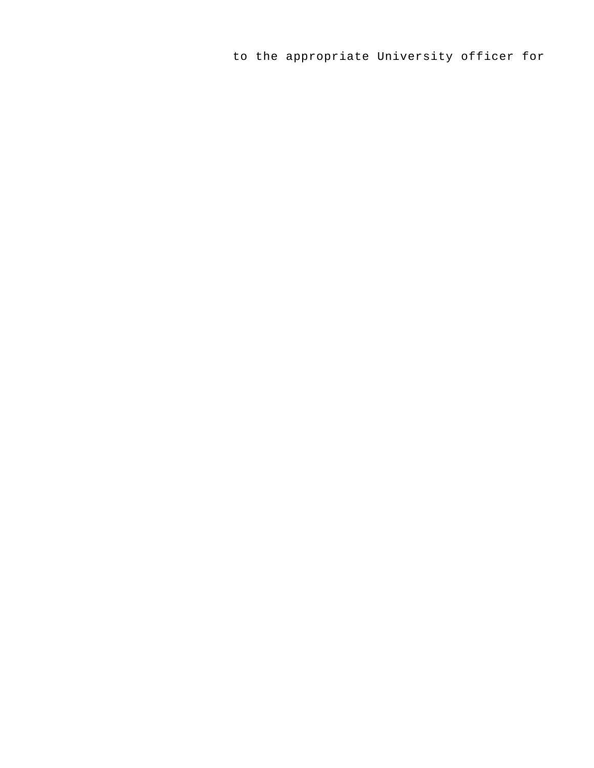to the appropriate University officer for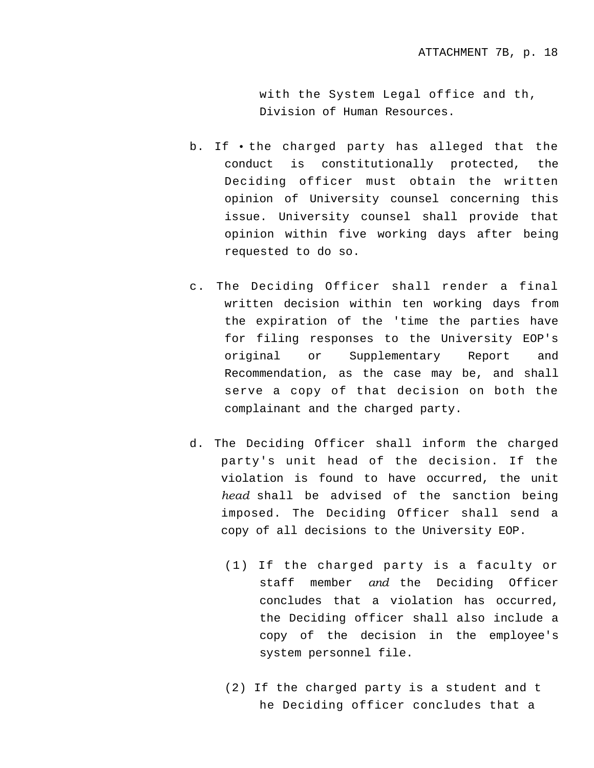with the System Legal office and th, Division of Human Resources.

- b. If the charged party has alleged that the conduct is constitutionally protected, the Deciding officer must obtain the written opinion of University counsel concerning this issue. University counsel shall provide that opinion within five working days after being requested to do so.
- c. The Deciding Officer shall render a final written decision within ten working days from the expiration of the 'time the parties have for filing responses to the University EOP's original or Supplementary Report and Recommendation, as the case may be, and shall serve a copy of that decision on both the complainant and the charged party.
- d. The Deciding Officer shall inform the charged party's unit head of the decision. If the violation is found to have occurred, the unit *head* shall be advised of the sanction being imposed. The Deciding Officer shall send a copy of all decisions to the University EOP.
	- (1) If the charged party is a faculty or staff member *and* the Deciding Officer concludes that a violation has occurred, the Deciding officer shall also include a copy of the decision in the employee's system personnel file.
	- (2) If the charged party is a student and t he Deciding officer concludes that a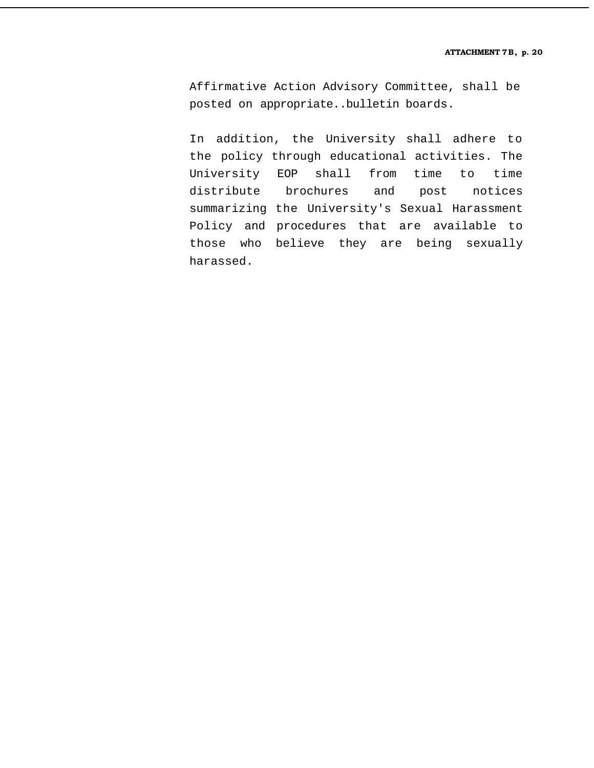Affirmative Action Advisory Committee, shall be posted on appropriate..bulletin boards.

In addition, the University shall adhere to the policy through educational activities. The University EOP shall from time to time distribute brochures and post notices summarizing the University's Sexual Harassment Policy and procedures that are available to those who believe they are being sexually harassed.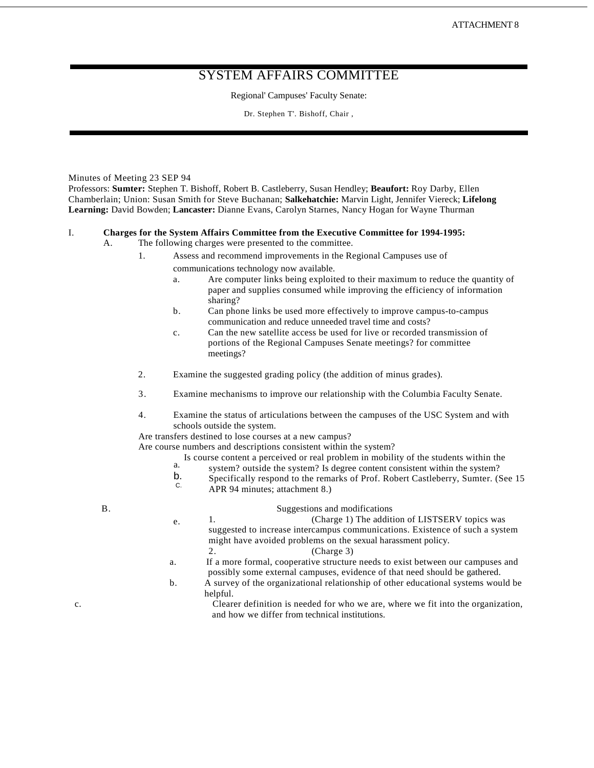## SYSTEM AFFAIRS COMMITTEE

Regional' Campuses' Faculty Senate:

Dr. Stephen T'. Bishoff, Chair ,

Minutes of Meeting 23 SEP 94

Professors: **Sumter:** Stephen T. Bishoff, Robert B. Castleberry, Susan Hendley; **Beaufort:** Roy Darby, Ellen Chamberlain; Union: Susan Smith for Steve Buchanan; **Salkehatchie:** Marvin Light, Jennifer Viereck; **Lifelong Learning:** David Bowden; **Lancaster:** Dianne Evans, Carolyn Starnes, Nancy Hogan for Wayne Thurman

#### I. **Charges for the System Affairs Committee from the Executive Committee for 1994-1995:**

- A. The following charges were presented to the committee.
	- 1. Assess and recommend improvements in the Regional Campuses use of

communications technology now available.

- a. Are computer links being exploited to their maximum to reduce the quantity of paper and supplies consumed while improving the efficiency of information sharing?
- b. Can phone links be used more effectively to improve campus-to-campus communication and reduce unneeded travel time and costs?
- c. Can the new satellite access be used for live or recorded transmission of portions of the Regional Campuses Senate meetings? for committee meetings?
- 2. Examine the suggested grading policy (the addition of minus grades).
- 3. Examine mechanisms to improve our relationship with the Columbia Faculty Senate.
- 4. Examine the status of articulations between the campuses of the USC System and with schools outside the system.

Are transfers destined to lose courses at a new campus?

Are course numbers and descriptions consistent within the system?

- Is course content a perceived or real problem in mobility of the students within the
- system? outside the system? Is degree content consistent within the system? a.
- Specifically respond to the remarks of Prof. Robert Castleberry, Sumter. (See 15 b. C.
	- APR 94 minutes; attachment 8.)

#### B. Suggestions and modifications

- 1. (Charge 1) The addition of LISTSERV topics was suggested to increase intercampus communications. Existence of such a system might have avoided problems on the sexual harassment policy. 2. (Charge 3) e.
- a. If a more formal, cooperative structure needs to exist between our campuses and possibly some external campuses, evidence of that need should be gathered.
- b. A survey of the organizational relationship of other educational systems would be helpful.
- c. Clearer definition is needed for who we are, where we fit into the organization, and how we differ from technical institutions.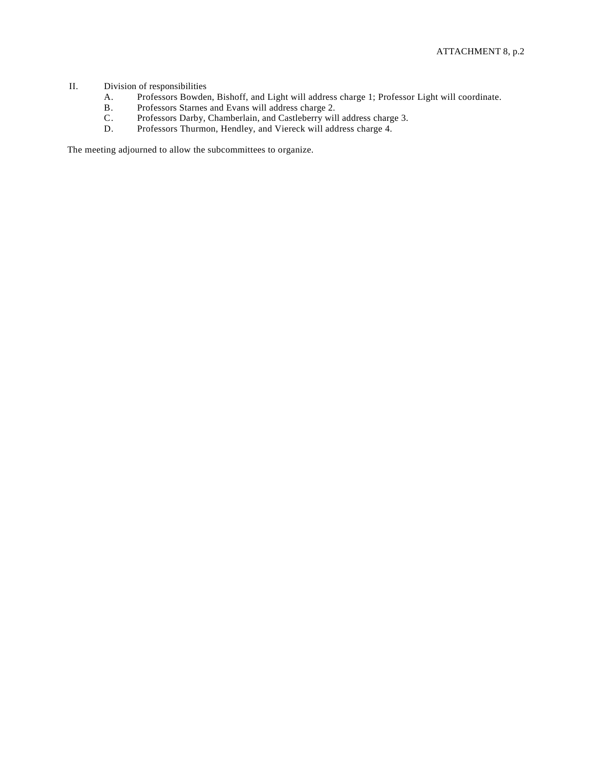### II. Division of responsibilities

- A. Professors Bowden, Bishoff, and Light will address charge 1; Professor Light will coordinate.
- B. Professors Starnes and Evans will address charge 2.
- C. Professors Darby, Chamberlain, and Castleberry will address charge 3.
- D. Professors Thurmon, Hendley, and Viereck will address charge 4.

The meeting adjourned to allow the subcommittees to organize.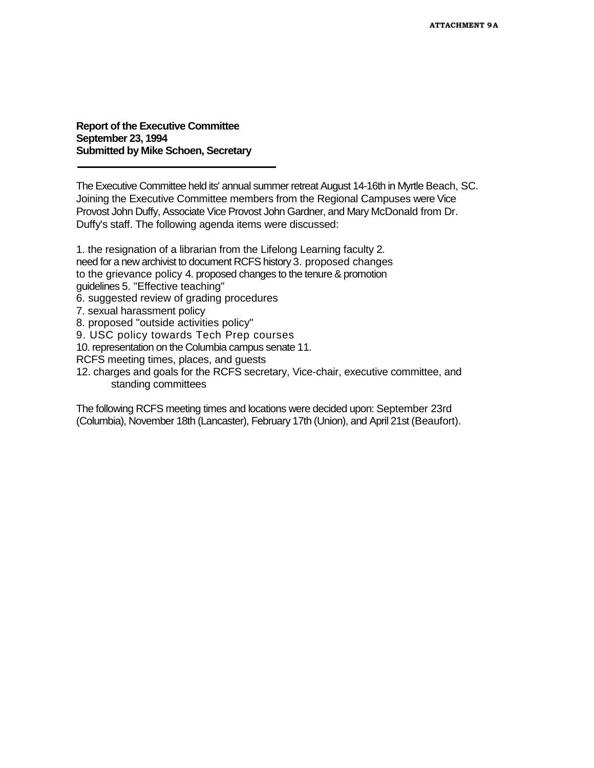**Report of the Executive Committee September 23, 1994 Submitted by Mike Schoen, Secretary**

The Executive Committee held its' annual summer retreat August 14-16th in Myrtle Beach, SC. Joining the Executive Committee members from the Regional Campuses were Vice Provost John Duffy, Associate Vice Provost John Gardner, and Mary McDonald from Dr. Duffy's staff. The following agenda items were discussed:

1. the resignation of a librarian from the Lifelong Learning faculty 2. need for a new archivist to document RCFS history 3. proposed changes to the grievance policy 4. proposed changes to the tenure & promotion guidelines 5. "Effective teaching" 6. suggested review of grading procedures 7. sexual harassment policy 8. proposed "outside activities policy" 9. USC policy towards Tech Prep courses 10. representation on the Columbia campus senate 11. RCFS meeting times, places, and guests 12. charges and goals for the RCFS secretary, Vice-chair, executive committee, and standing committees

The following RCFS meeting times and locations were decided upon: September 23rd (Columbia), November 18th (Lancaster), February 17th (Union), and April 21st (Beaufort).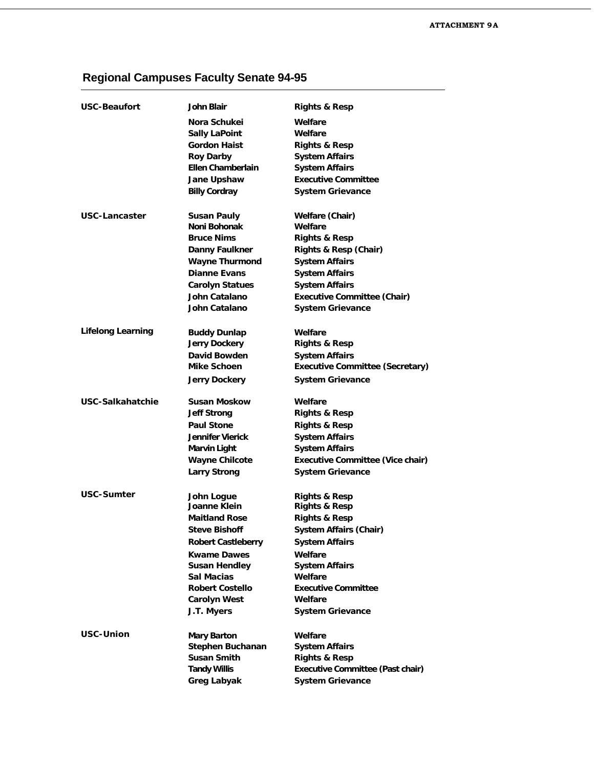# **Regional Campuses Faculty Senate 94-95**

| <b>USC-Beaufort</b>      | John Blair                | <b>Rights &amp; Resp</b>                |
|--------------------------|---------------------------|-----------------------------------------|
|                          | Nora Schukei              | Welfare                                 |
|                          | <b>Sally LaPoint</b>      | Welfare                                 |
|                          | <b>Gordon Haist</b>       | <b>Rights &amp; Resp</b>                |
|                          | <b>Roy Darby</b>          | <b>System Affairs</b>                   |
|                          | Ellen Chamberlain         | <b>System Affairs</b>                   |
|                          | Jane Upshaw               | <b>Executive Committee</b>              |
|                          | <b>Billy Cordray</b>      | <b>System Grievance</b>                 |
|                          |                           |                                         |
| USC-Lancaster            | <b>Susan Pauly</b>        | <b>Welfare (Chair)</b>                  |
|                          | Noni Bohonak              | Welfare                                 |
|                          | <b>Bruce Nims</b>         | <b>Rights &amp; Resp</b>                |
|                          | Danny Faulkner            | Rights & Resp (Chair)                   |
|                          | <b>Wayne Thurmond</b>     | <b>System Affairs</b>                   |
|                          | <b>Dianne Evans</b>       | <b>System Affairs</b>                   |
|                          | <b>Carolyn Statues</b>    | <b>System Affairs</b>                   |
|                          | John Catalano             | <b>Executive Committee (Chair)</b>      |
|                          | John Catalano             | <b>System Grievance</b>                 |
|                          |                           |                                         |
| <b>Lifelong Learning</b> | <b>Buddy Dunlap</b>       | Welfare                                 |
|                          | <b>Jerry Dockery</b>      | <b>Rights &amp; Resp</b>                |
|                          | David Bowden              | <b>System Affairs</b>                   |
|                          | Mike Schoen               | <b>Executive Committee (Secretary)</b>  |
|                          | <b>Jerry Dockery</b>      | <b>System Grievance</b>                 |
|                          |                           |                                         |
| USC-Salkahatchie         | <b>Susan Moskow</b>       | Welfare                                 |
|                          | <b>Jeff Strong</b>        | <b>Rights &amp; Resp</b>                |
|                          | <b>Paul Stone</b>         | <b>Rights &amp; Resp</b>                |
|                          | <b>Jennifer Vierick</b>   | <b>System Affairs</b>                   |
|                          | Marvin Light              | <b>System Affairs</b>                   |
|                          | <b>Wayne Chilcote</b>     | <b>Executive Committee (Vice chair)</b> |
|                          | <b>Larry Strong</b>       | <b>System Grievance</b>                 |
| USC-Sumter               | John Logue                | <b>Rights &amp; Resp</b>                |
|                          | Joanne Klein              | <b>Rights &amp; Resp</b>                |
|                          | <b>Maitland Rose</b>      | <b>Rights &amp; Resp</b>                |
|                          | <b>Steve Bishoff</b>      | <b>System Affairs (Chair)</b>           |
|                          | <b>Robert Castleberry</b> | <b>System Affairs</b>                   |
|                          | <b>Kwame Dawes</b>        | Welfare                                 |
|                          | Susan Hendley             | <b>System Affairs</b>                   |
|                          | Sal Macias                | Welfare                                 |
|                          | <b>Robert Costello</b>    | <b>Executive Committee</b>              |
|                          | <b>Carolyn West</b>       | Welfare                                 |
|                          | J.T. Myers                | <b>System Grievance</b>                 |
|                          |                           |                                         |
| USC-Union                | <b>Mary Barton</b>        | Welfare                                 |
|                          | <b>Stephen Buchanan</b>   | <b>System Affairs</b>                   |
|                          | <b>Susan Smith</b>        | <b>Rights &amp; Resp</b>                |
|                          | <b>Tandy Willis</b>       | Executive Committee (Past chair)        |
|                          | Greg Labyak               | <b>System Grievance</b>                 |
|                          |                           |                                         |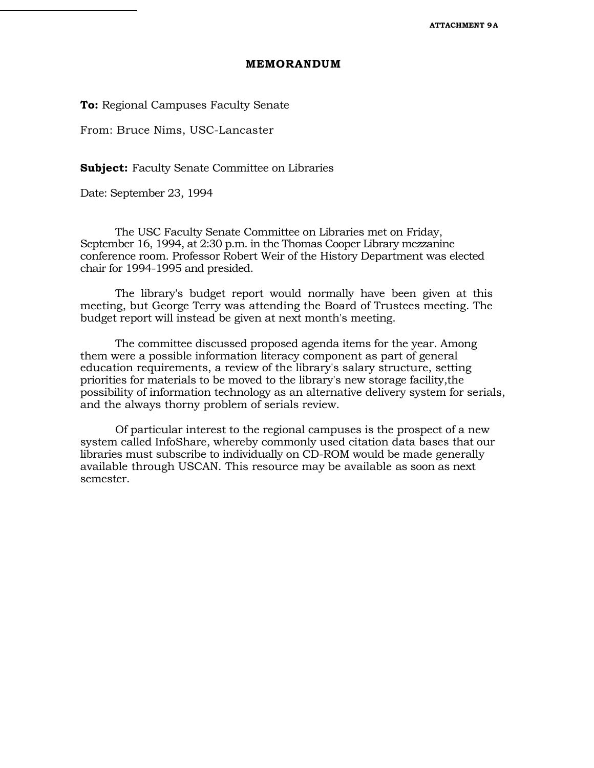### **MEMORANDUM**

**To:** Regional Campuses Faculty Senate

From: Bruce Nims, USC-Lancaster

**Subject:** Faculty Senate Committee on Libraries

Date: September 23, 1994

The USC Faculty Senate Committee on Libraries met on Friday, September 16, 1994, at 2:30 p.m. in the Thomas Cooper Library mezzanine conference room. Professor Robert Weir of the History Department was elected chair for 1994-1995 and presided.

The library's budget report would normally have been given at this meeting, but George Terry was attending the Board of Trustees meeting. The budget report will instead be given at next month's meeting.

The committee discussed proposed agenda items for the year. Among them were a possible information literacy component as part of general education requirements, a review of the library's salary structure, setting priorities for materials to be moved to the library's new storage facility,the possibility of information technology as an alternative delivery system for serials, and the always thorny problem of serials review.

Of particular interest to the regional campuses is the prospect of a new system called InfoShare, whereby commonly used citation data bases that our libraries must subscribe to individually on CD-ROM would be made generally available through USCAN. This resource may be available as soon as next semester.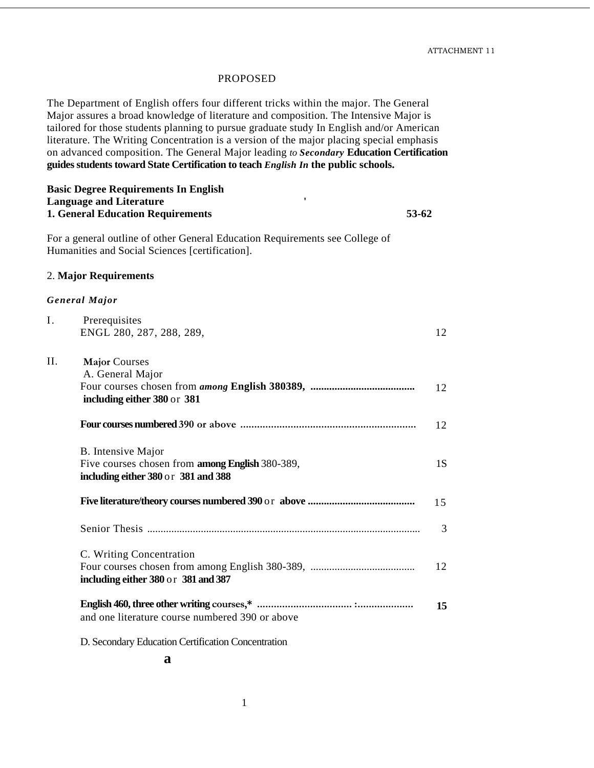### PROPOSED

The Department of English offers four different tricks within the major. The General Major assures a broad knowledge of literature and composition. The Intensive Major is tailored for those students planning to pursue graduate study In English and/or American literature. The Writing Concentration is a version of the major placing special emphasis on advanced composition. The General Major leading *to Secondary* **Education Certification guides students toward State Certification to teach** *English In* **the public schools.**

## **Basic Degree Requirements In English Language and Literature ' 1. General Education Requirements 53-62**

For a general outline of other General Education Requirements see College of Humanities and Social Sciences [certification].

### 2. **Major Requirements**

### *General Major*

| I.  | Prerequisites<br>ENGL 280, 287, 288, 289,                                                                    | 12 |
|-----|--------------------------------------------------------------------------------------------------------------|----|
| II. | <b>Major Courses</b><br>A. General Major<br>including either 380 or 381                                      | 12 |
|     |                                                                                                              | 12 |
|     | B. Intensive Major<br>Five courses chosen from among English 380-389,<br>including either 380 or 381 and 388 | 1S |
|     |                                                                                                              | 15 |
|     |                                                                                                              | 3  |
|     | C. Writing Concentration<br>including either 380 or 381 and 387                                              | 12 |
|     | and one literature course numbered 390 or above                                                              | 15 |

D. Secondary Education Certification Concentration

**a**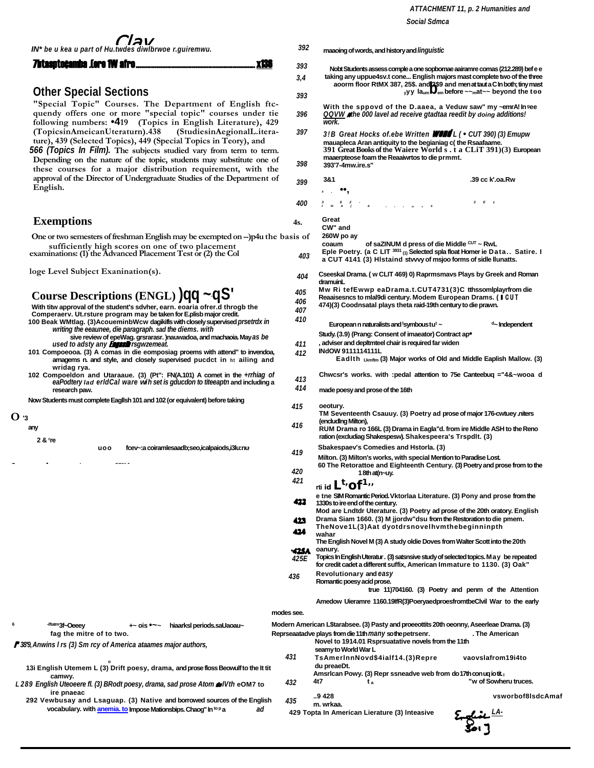Clay

*IN\* be u kea u part of Hu.twdes diwlbrwoe r.guiremwu.*

## 7btaspto¢amba .(ore 1W afro ................................................................ x136

## **Other Special Sections**

**"Special Topic" Courses. The Department of English ftcquendy offers one or more "special topic" courses under tie following numbers: •419 (Topics in English Literature), 429 (TopicsinAmeicanUteraturn).438 (StudiesinAegionalL.iterature), 439 (Selected Topics), 449 (Special Topics in Teory), and** *566 (Topics In Film).* **The subjects studied vary from term to term. Depending on the nature of the topic, students may substitute one of these courses for a major distribution requirement, with the approval of the Director of Undergraduate Studies of the Department of English.**

### **Exemptions 4s.**

One or two semesters of freshman English may be exempted on --)p4u the basis of sufficiently high scores on one of two placement examinations: (1) the Advanced Placement Test or (2) the Col

**loge Level Subject Exanination(s).**

# **Course Descriptions (ENGL) )qq ~- qS'**

**With titw approval of the student's sdvher, earn. eoaria ofrer.d throgb the Comperaerv. Ut.rsture program may be taken for E.plisb major credit. 100 Beak WMtlag. (3)AcoueminbWcw dagikifls with closely supervised** *prsetrdx in* 

- *writing the eeaunee, die paragraph. sad the diems. with* **sive review of epeWag. grsrarasr. )nauwadoa, and machaoia. May** *as be used to adsty any* Engasih *rsgwzemeat.*
- **101 Compoeooa. (3) A comas in die eomposiag proems with attend" to invendoa, arnagems n. and style, and closely supervised pucdct in ht ailing and**
- **wridag rya. 102 Compoeldon and Utaraaue. (3) (Pt": FN(A.101) A comet in the** *+rrhiag of eaPodtery lad erldCal ware wi h set is gducdon to titeeaptn* **and including a research paw.**

**Now Students must complete Eagllsh 101 and 102 (or equivalent) before taking**

#### **O '3 any**

**2 & r re**

**3 ' ( W1** 

**uoo fcev~:a coiramlesaadb;seo,icalpaiods,i3lu:nu,**

*ATTACHMENT 11, p. 2 Humanities and Social Sdmca*

**maaoing of words, and history and** *linguistic 392*

- **Nobt Students assess comple a one sopbomae aairamre comas (212.289) bef e e taking any uppue4sv.t cone... English majors mast complete two of the three aoorm floor RtMX 387, 25\$. and 3\$9 and men at taut a C In both; tiny mast yyy laumbem before ~~mat~~ beyond the too** *393 3,4*
- **With the sppovd of the D.aaea, a Veduw saw" my ~emrA! In gee**  *393*
- *QQVW* Al *the 000 lavel ad receive gtadtaa reedit by doing additions! work. 396*
- *3!B Great Hocks of.ebe Written* wend *L ( CUT 390) (3) Emupw* **mauapleca Aran antiquity to the begianiag c( the Rsaafaame. 391 Great Books of the Waiere World s . t a CLiT 391)(3) European maaerpteose foam the Reaaiwrtos to die prmmt. 393'7-4mw.ire.s"** *397 398*

**3&1 .39 cc k'.oa.Rw**  *s ,* **••,** *399*

*3 82 - 3Ec rwaj a ,,, m s s 400*

**Great**

**CW" and 260W po ay coaum of saZINUM d press of die Middle CUT ~ RwL Eple Poetry. (a C LIT 3931 (1) Selected spla float Homer ie Data.. Satire. I**  *403* **a CUT 4141 (3) Hlstaind stvvvy of msjoo forms of sidle llunatts. Cseeskal Drama. ( w CLIT 469) 0) Raprmsmavs Plays by Greek and Roman**  *404* **dramuinL Mw Ri tefEwwp eaDrama.t.CUT4731(3)C tthssomlplayrfrom die**  *405*  **Reaaisesncs to mlal9di century. Modem European Drams. (** ∎ C U T *406*  **474)(3) Coodnsatal plays theta raid-19th century to die prawn.** *407 410* European n naturalists and <sup>1</sup> symbous tu<sup>t</sup> ~ **d** a lndependent **Study. (3.9) (Prang: Consent of imaeator) Contract ap•** *411*  **, adviser and depltmteel chair is required far widen INdOW 9111114111L** *412* **Eadlth Lkmftm (3) Major works of Old and Middle Eaplish Mallow. (3) Chwcsr's works. with :pedal attention to 75e Canteebuq ="4&~wooa d**  *413 414* **made poesy and prose of the 16th** *415*  **oeotury. TM Seventeenth Csauuy. (3) Poetry ad prose of major 176-cwtuey .niters (encludlng Milton),** *416*  **RUM Drama ro 166L (3) Drama in Eagla"d. from ire Middle ASH to the Reno ration (excludiag Shakespesw). Shakespeera's Trspdlt. (3) Sbakespaev's Comedies and Hstorla. (3)** *419*  **Milton. (3) Milton's works, with special Mention to Paradise Lost. 60 The Retorattoe and Eighteenth Century. (3) Poetry and prose from to the** *420* **1 8th at(n~uy.** *421* **rti id Lt,of1,, e tne SIM Romantic Period. Vktorlaa Literature. (3) Pony and prose from the**  422 **1330s to ire end of the century. Mod are Lndtdr Uterature. (3) Poetry ad prose of the 20th oratory. English Drama Siam 1660. (3) M jjordw"dsu from the Restoration to die pmem.** 423 **TheNove1L(3)Aat dyotdrsnovelhvmthebeginninpth**  424 **wahar The English Novel M (3) A study oldie Doves from Walter Scott into the 20th**  *425E*  **oanury. Topics In English Uteratur . (3) satsnsive study of selected topics. May be repeated for credit cadet a different suffix, American Immature to 1130. (3) Oak" Revolutionary and** *easy 436* **Romantic poesy acid prose. true 11)704160. (3) Poetry and penm of the Attention Amedow Uieramre 1160.19IfR(3)PoeryaedproesfromtbeClvil War to the early** 

#### **modes see.**

| 6 | -iftatm3f.-Oeeev<br>fag the mitre of to two.                                                | +~ ois •~~ | hiaarksl periods.saUaoau~ |     |                      | Reprseaatadve plays from die 11th many sothe petrsenr.                                              | Modern American L\$tarabsee. (3) Pasty and proeeottits 20th oeonny, Aseerleae Drama. (3)<br>. The American |
|---|---------------------------------------------------------------------------------------------|------------|---------------------------|-----|----------------------|-----------------------------------------------------------------------------------------------------|------------------------------------------------------------------------------------------------------------|
|   | P 389, Anwins I rs (3) Sm rcy of America ataames major authors,                             |            |                           |     | seamy to World War L | Novel to 1914.01 Rsprsuatative novels from the 11th                                                 |                                                                                                            |
|   | 13 English Utemem L (3) Drift poesy, drama, and prose floss Beowulf to the It tit<br>camwy. |            |                           | 431 | du preaeDt.          | TsAmerInnNovd\$4ialf14.(3)Repre<br>Amsrican Powy. (3) Repr ssneadve web from do 17th con ug io tit. | vaovslafrom19i4to                                                                                          |
|   | L 289 English Uteoeere fl. (3) BRodt poesy, drama, sad prose Atom will the OM7 to           |            |                           | 432 | 4t7                  |                                                                                                     | "w of Sowheru truces.                                                                                      |
|   | ire pnaeac<br>292 Vewbusay and Lsaguap. (3) Native and borrowed sources of the English      |            |                           | 435 | 9 428<br>m. wrkaa.   |                                                                                                     | vsworbof8lsdcAmaf                                                                                          |
|   | vocabulary. with anemia. to Impose Mationsbips. Chaog" In to P a                            |            | ad                        |     |                      | 429 Topta In American Lierature (3) Inteasive                                                       | $5 - 12$                                                                                                   |

 $30.7$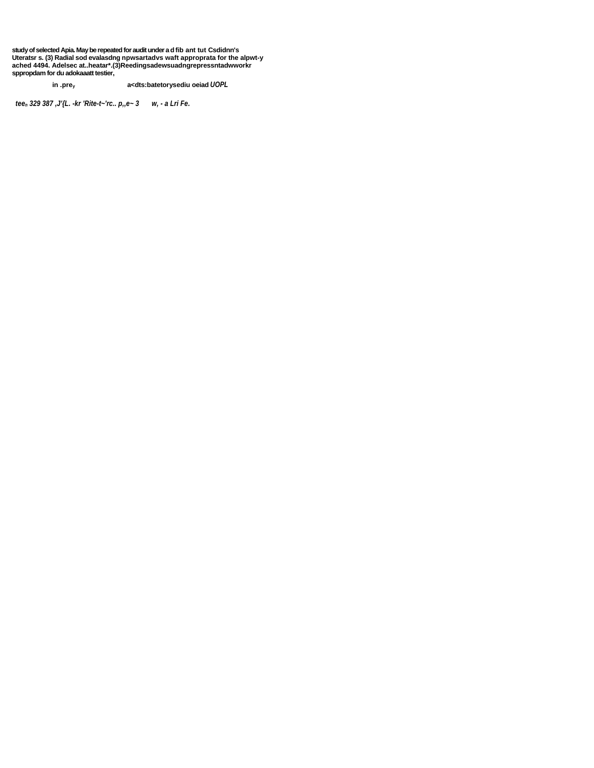**study of selected Apia. May be repeated for audit under a d fib ant tut Csdidnn's Uteratsr s. (3) Radial sod evalasdng npwsartadvs waft approprata for the alpwt-y ached 4494. Adelsec at..heatar\*.(3)Reedingsadewsuadngrepressntadwworkr sppropdam for du adokaaatt testier,**

**in .prey a<dts:batetorysediu oeiad** *UOPL*

*teen 329 387 ,J'{L. -kr 'Rite-t~'rc.. p,,e~ 3 w, - a Lri Fe.*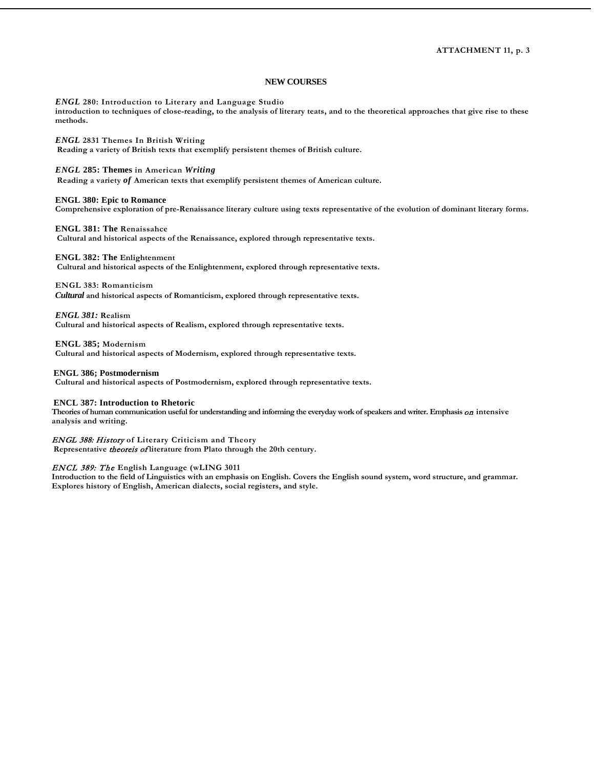**ATTACHMENT 11, p. 3**

#### **NEW COURSES**

*ENGL* **280: Introduction to Literary and Language Studio**

**introduction to techniques of close-reading, to the analysis of literary teats, and to the theoretical approaches that give rise to these methods.**

*ENGL* **2831 Themes In British Writing**

**Reading a variety of British texts that exemplify persistent themes of British culture.**

#### *ENGL* **285: Themes in American** *Writing*

**Reading a variety** *of* **American texts that exemplify persistent themes of American culture.**

#### **ENGL 380: Epic to Romance**

**Comprehensive exploration of pre-Renaissance literary culture using texts representative of the evolution of dominant literary forms.**

#### **ENGL 381: The Renaissahce**

**Cultural and historical aspects of the Renaissance, explored through representative texts.**

## **ENGL 382: The Enlightenment**

**Cultural and historical aspects of the Enlightenment, explored through representative texts.**

## **ENGL 383: Romanticism**

*Cultural* **and historical aspects of Romanticism, explored through representative texts.**

#### *ENGL 381:* **Realism**

**Cultural and historical aspects of Realism, explored through representative texts.**

#### **ENGL 385; Modernism**

**Cultural and historical aspects of Modernism, explored through representative texts.**

#### **ENGL 386; Postmodernism**

**Cultural and historical aspects of Postmodernism, explored through representative texts.**

#### **ENCL 387: Introduction to Rhetoric**

Theories of human communication useful for understanding and informing the everyday work of speakers and writer. Emphasis *on* intensive **analysis and writing.**

#### ENGL 388: H istory **of Literary Criticism and Theory**

**Representative** theoreis of **literature from Plato through the 20th century.**

#### ENCL 389: The **English Language (wLING 3011**

**Introduction to the field of Linguistics with an emphasis on English. Covers the English sound system, word structure, and grammar. Explores history of English, American dialects, social registers, and style.**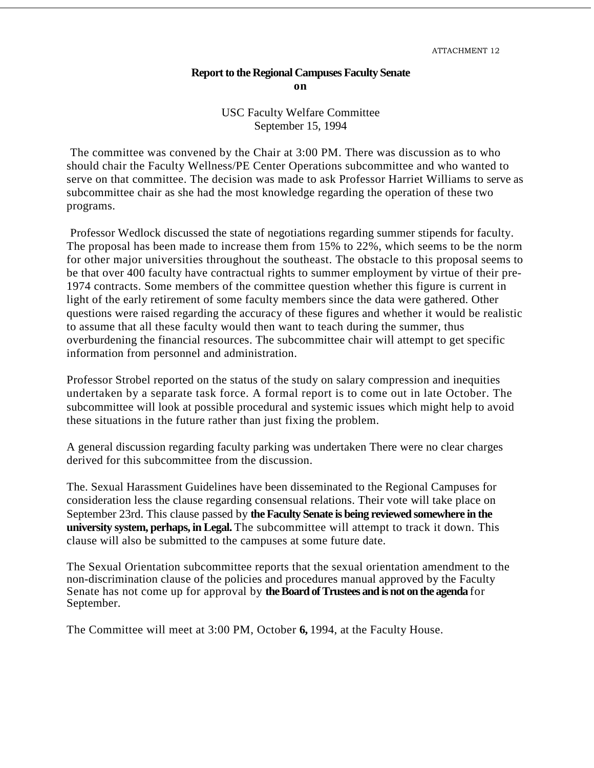## **Report to the Regional Campuses Faculty Senate on**

USC Faculty Welfare Committee September 15, 1994

The committee was convened by the Chair at 3:00 PM. There was discussion as to who should chair the Faculty Wellness/PE Center Operations subcommittee and who wanted to serve on that committee. The decision was made to ask Professor Harriet Williams to serve as subcommittee chair as she had the most knowledge regarding the operation of these two programs.

Professor Wedlock discussed the state of negotiations regarding summer stipends for faculty. The proposal has been made to increase them from 15% to 22%, which seems to be the norm for other major universities throughout the southeast. The obstacle to this proposal seems to be that over 400 faculty have contractual rights to summer employment by virtue of their pre-1974 contracts. Some members of the committee question whether this figure is current in light of the early retirement of some faculty members since the data were gathered. Other questions were raised regarding the accuracy of these figures and whether it would be realistic to assume that all these faculty would then want to teach during the summer, thus overburdening the financial resources. The subcommittee chair will attempt to get specific information from personnel and administration.

Professor Strobel reported on the status of the study on salary compression and inequities undertaken by a separate task force. A formal report is to come out in late October. The subcommittee will look at possible procedural and systemic issues which might help to avoid these situations in the future rather than just fixing the problem.

A general discussion regarding faculty parking was undertaken There were no clear charges derived for this subcommittee from the discussion.

The. Sexual Harassment Guidelines have been disseminated to the Regional Campuses for consideration less the clause regarding consensual relations. Their vote will take place on September 23rd. This clause passed by **the Faculty Senate is being reviewed somewhere in the university system, perhaps, in Legal.** The subcommittee will attempt to track it down. This clause will also be submitted to the campuses at some future date.

The Sexual Orientation subcommittee reports that the sexual orientation amendment to the non-discrimination clause of the policies and procedures manual approved by the Faculty Senate has not come up for approval by **the Board of Trustees and is not on the agenda** for September.

The Committee will meet at 3:00 PM, October **6,** 1994, at the Faculty House.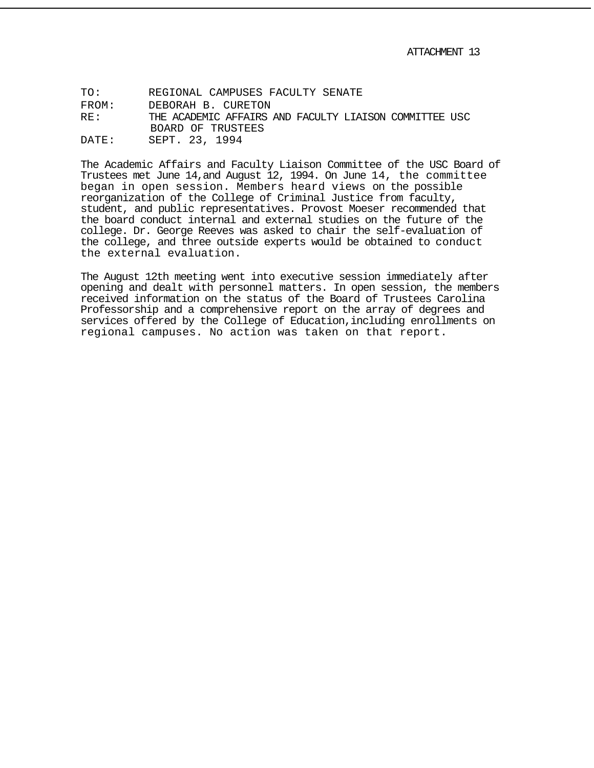| TO:   | REGIONAL CAMPUSES FACULTY SENATE                                            |
|-------|-----------------------------------------------------------------------------|
| FROM: | DEBORAH B. CURETON                                                          |
| RF :  | THE ACADEMIC AFFAIRS AND FACULTY LIAISON COMMITTEE USC<br>BOARD OF TRUSTEES |
| DATE: | SEPT. 23, 1994                                                              |

The Academic Affairs and Faculty Liaison Committee of the USC Board of Trustees met June 14,and August 12, 1994. On June 14, the committee began in open session. Members heard views on the possible reorganization of the College of Criminal Justice from faculty, student, and public representatives. Provost Moeser recommended that the board conduct internal and external studies on the future of the college. Dr. George Reeves was asked to chair the self-evaluation of the college, and three outside experts would be obtained to conduct the external evaluation.

The August 12th meeting went into executive session immediately after opening and dealt with personnel matters. In open session, the members received information on the status of the Board of Trustees Carolina Professorship and a comprehensive report on the array of degrees and services offered by the College of Education,including enrollments on regional campuses. No action was taken on that report.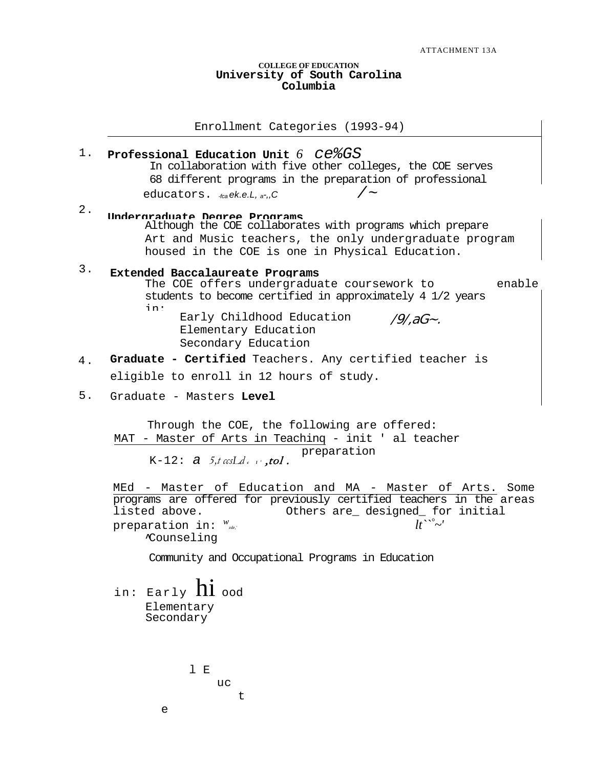### **COLLEGE OF EDUCATION University of South Carolina Columbia**

Enrollment Categories (1993-94)

|       | $1\cdot$ Professional Education Unit $6$ Ce% $GS$<br>In collaboration with five other colleges, the COE serves<br>68 different programs in the preparation of professional<br>$/ \sim$<br>educators. to ek.e.L, a-,, C                                                         |
|-------|--------------------------------------------------------------------------------------------------------------------------------------------------------------------------------------------------------------------------------------------------------------------------------|
| $2$ . | IIndergraduate Degree Programs<br>Although the COE collaborates with programs which prepare<br>Art and Music teachers, the only undergraduate program<br>housed in the COE is one in Physical Education.                                                                       |
| $3$ . | Extended Baccalaureate Programs<br>The COE offers undergraduate coursework to<br>enable<br>students to become certified in approximately 4 1/2 years<br>in:<br>Early Childhood Education<br>$191.86 - 1$<br>Elementary Education<br>Secondary Education                        |
| 4.    | Graduate - Certified Teachers. Any certified teacher is                                                                                                                                                                                                                        |
|       | eligible to enroll in 12 hours of study.                                                                                                                                                                                                                                       |
| 5.    | Graduate - Masters Level                                                                                                                                                                                                                                                       |
|       | Through the COE, the following are offered:<br>MAT - Master of Arts in Teaching - init ' al teacher<br>preparation<br>$K-12$ : a 5,t ccsLd. $\cup$ ,tol.                                                                                                                       |
|       | MEd - Master of Education and MA - Master of Arts.<br>Some<br>programs are offered for previously certified teachers in the areas<br>listed above.<br>Others are_ designed_ for initial<br>$h^{\wedge\vee\circ}\sim'$<br>preparation in: $W_{\text{adv}}$<br><b>Counseling</b> |

Community and Occupational Programs in Education

in: Early  $\overline{\text{hi}}$  ood Elementary Secondary

e

l E uc t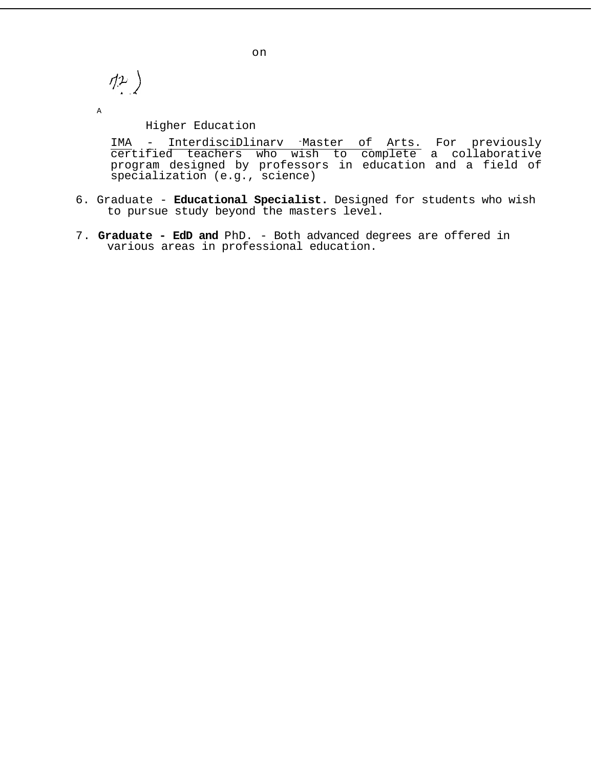$\ket{\psi}$ 

A

## Higher Education

IMA - InterdisciDlinarv -Master of Arts. For previously certified teachers who wish to complete a collaborative program designed by professors in education and a field of specialization (e.g., science)

- 6. Graduate **Educational Specialist.** Designed for students who wish to pursue study beyond the masters level.
- 7. **Graduate - EdD and** PhD. Both advanced degrees are offered in various areas in professional education.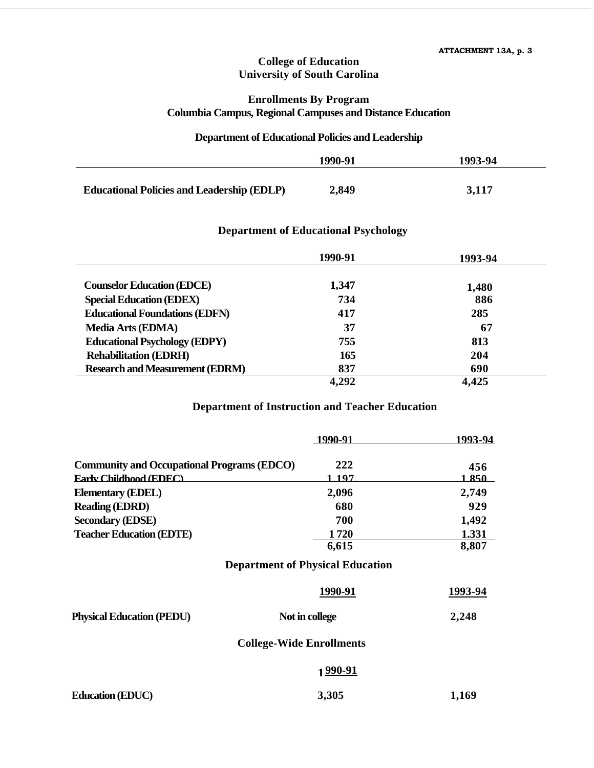## **College of Education University of South Carolina**

## **Enrollments By Program Columbia Campus, Regional Campuses and Distance Education**

## **Department of Educational Policies and Leadership**

|                                                   | 1990-91 | 1993-94 |
|---------------------------------------------------|---------|---------|
|                                                   |         |         |
| <b>Educational Policies and Leadership (EDLP)</b> | 2,849   | 3,117   |

## **Department of Educational Psychology**

|                                        | 1990-91 | 1993-94 |
|----------------------------------------|---------|---------|
|                                        |         |         |
| <b>Counselor Education (EDCE)</b>      | 1,347   | 1,480   |
| <b>Special Education (EDEX)</b>        | 734     | 886     |
| <b>Educational Foundations (EDFN)</b>  | 417     | 285     |
| <b>Media Arts (EDMA)</b>               | 37      | 67      |
| <b>Educational Psychology (EDPY)</b>   | 755     | 813     |
| <b>Rehabilitation (EDRH)</b>           | 165     | 204     |
| <b>Research and Measurement (EDRM)</b> | 837     | 690     |
|                                        | 4,292   | 4,425   |

## **Department of Instruction and Teacher Education**

|                                                   | -1990-91                                | 1993-94 |
|---------------------------------------------------|-----------------------------------------|---------|
| <b>Community and Occupational Programs (EDCO)</b> | 222                                     | 456     |
| <b>Early Childhood (EDEC)</b>                     | 1 197                                   | 1.850   |
| <b>Elementary (EDEL)</b>                          | 2,096                                   | 2,749   |
| <b>Reading (EDRD)</b>                             | 680                                     | 929     |
| <b>Secondary (EDSE)</b>                           | 700                                     | 1,492   |
| <b>Teacher Education (EDTE)</b>                   | 1720                                    | 1.331   |
|                                                   | 6,615                                   | 8,807   |
|                                                   | <b>Department of Physical Education</b> |         |
|                                                   | 1990-91                                 | 1993-94 |
| <b>Physical Education (PEDU)</b>                  | Not in college                          | 2,248   |

## **College-Wide Enrollments**

# **990-91 1**

| <b>Education (EDUC)</b> | 3,305 | 1,169 |
|-------------------------|-------|-------|
|                         |       |       |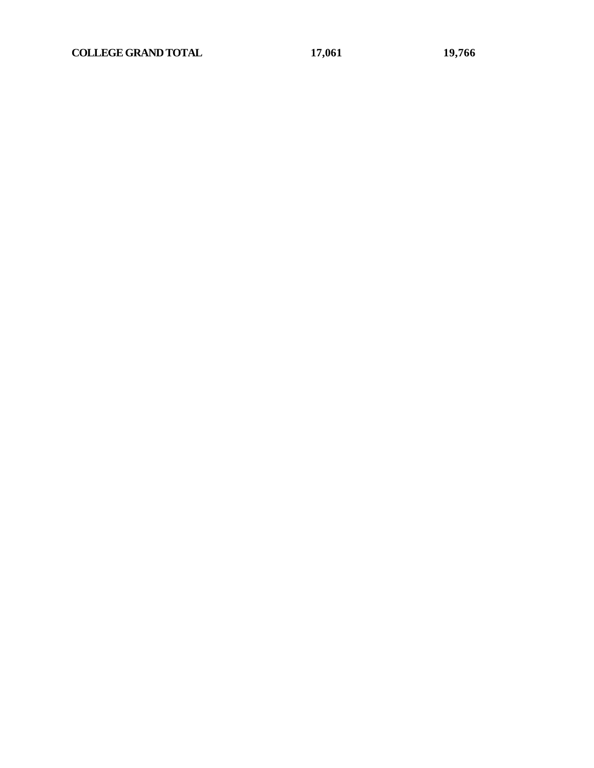**COLLEGE GRAND TOTAL 17,061 19,766**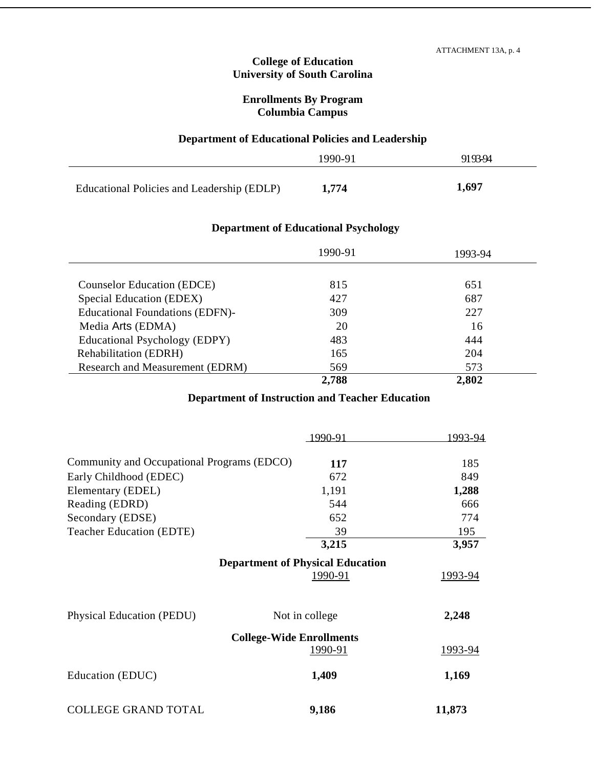# **College of Education University of South Carolina**

## **Enrollments By Program Columbia Campus**

## **Department of Educational Policies and Leadership**

|                                            | 1990-91 | 9193-94 |
|--------------------------------------------|---------|---------|
| Educational Policies and Leadership (EDLP) | 1.774   | 1,697   |

# **Department of Educational Psychology**

|                                        | 1990-91 | 1993-94 |
|----------------------------------------|---------|---------|
|                                        |         |         |
| <b>Counselor Education (EDCE)</b>      | 815     | 651     |
| Special Education (EDEX)               | 427     | 687     |
| <b>Educational Foundations (EDFN)-</b> | 309     | 227     |
| Media Arts (EDMA)                      | 20      | 16      |
| Educational Psychology (EDPY)          | 483     | 444     |
| Rehabilitation (EDRH)                  | 165     | 204     |
| Research and Measurement (EDRM)        | 569     | 573     |
|                                        | 2,788   | 2,802   |

# **Department of Instruction and Teacher Education**

|                                            | 1990-91                                 | <u> 1993-94</u> |
|--------------------------------------------|-----------------------------------------|-----------------|
| Community and Occupational Programs (EDCO) | 117                                     | 185             |
| Early Childhood (EDEC)                     | 672                                     | 849             |
| Elementary (EDEL)                          | 1,191                                   | 1,288           |
| Reading (EDRD)                             | 544                                     | 666             |
| Secondary (EDSE)                           | 652                                     | 774             |
| <b>Teacher Education (EDTE)</b>            | 39                                      | 195             |
|                                            | 3,215                                   | 3,957           |
|                                            | <b>Department of Physical Education</b> |                 |
|                                            | 1990-91                                 | 1993-94         |
| Physical Education (PEDU)                  | Not in college.                         | 2,248           |
|                                            | <b>College-Wide Enrollments</b>         |                 |
|                                            | 1990-91                                 | <u>1993-94</u>  |
| Education (EDUC)                           | 1,409                                   | 1,169           |
| <b>COLLEGE GRAND TOTAL</b>                 | 9,186                                   | 11,873          |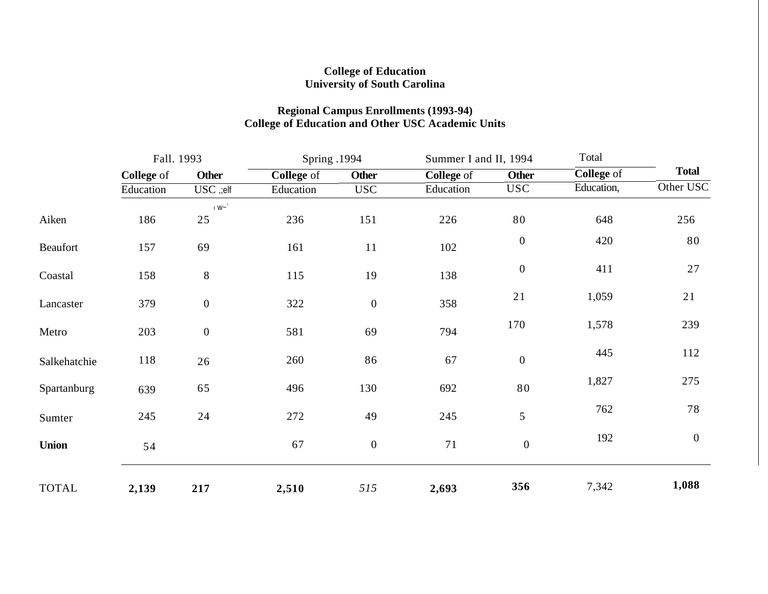## **College of Education University of South Carolina**

# **Regional Campus Enrollments (1993-94) College of Education and Other USC Academic Units**

|              | Fall. 1993        |                  | Spring .1994      |                  | Summer I and II, 1994 |                  | Total             |                |
|--------------|-------------------|------------------|-------------------|------------------|-----------------------|------------------|-------------------|----------------|
|              | <b>College</b> of | <b>Other</b>     | <b>College</b> of | <b>Other</b>     | <b>College</b> of     | <b>Other</b>     | <b>College</b> of | <b>Total</b>   |
|              | Education         | USC ,;elf        | Education         | <b>USC</b>       | Education             | <b>USC</b>       | Education,        | Other USC      |
| Aiken        | 186               | $1 W^-$<br>25    | 236               | 151              | 226                   | 80               | 648               | 256            |
| Beaufort     | 157               | 69               | 161               | 11               | 102                   | $\boldsymbol{0}$ | 420               | 80             |
| Coastal      | 158               | $8\,$            | 115               | 19               | 138                   | $\boldsymbol{0}$ | 411               | 27             |
| Lancaster    | 379               | $\boldsymbol{0}$ | 322               | $\mathbf{0}$     | 358                   | 21               | 1,059             | 21             |
| Metro        | 203               | $\boldsymbol{0}$ | 581               | 69               | 794                   | 170              | 1,578             | 239            |
| Salkehatchie | 118               | 26               | 260               | 86               | 67                    | $\boldsymbol{0}$ | 445               | 112            |
| Spartanburg  | 639               | 65               | 496               | 130              | 692                   | 80               | 1,827             | 275            |
| Sumter       | 245               | 24               | 272               | 49               | 245                   | 5                | 762               | 78             |
| <b>Union</b> | 54                |                  | 67                | $\boldsymbol{0}$ | 71                    | $\boldsymbol{0}$ | 192               | $\overline{0}$ |
| <b>TOTAL</b> | 2,139             | 217              | 2,510             | 515              | 2,693                 | 356              | 7,342             | 1,088          |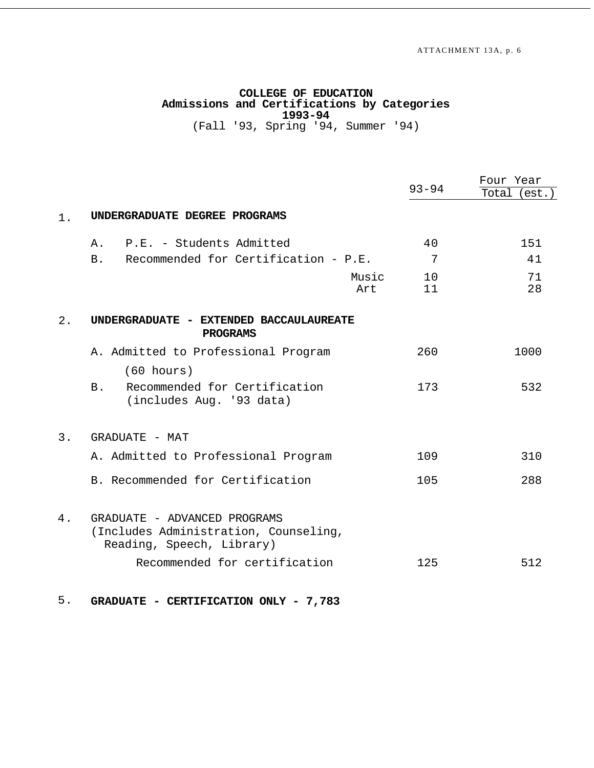### **COLLEGE OF EDUCATION Admissions and Certifications by Categories 1993-94** (Fall '93, Spring '94, Summer '94)

93-94 Four Year Total (est.) 1. **UNDERGRADUATE DEGREE PROGRAMS** A. P.E. - Students Admitted 151 B. Recommended for Certification - P.E. 7 41 Music 10 71<br>
Art 11 28 Art 11 28 2. **UNDERGRADUATE - EXTENDED BACCAULAUREATE PROGRAMS** A. Admitted to Professional Program 260 200 1000 (60 hours) B. Recommended for Certification (includes Aug. '93 data) 173 532 3. GRADUATE - MAT A. Admitted to Professional Program 109 310 B. Recommended for Certification 105 105 288 4. GRADUATE - ADVANCED PROGRAMS (Includes Administration, Counseling, Reading, Speech, Library) Recommended for certification 125 512

5. **GRADUATE - CERTIFICATION ONLY - 7,783**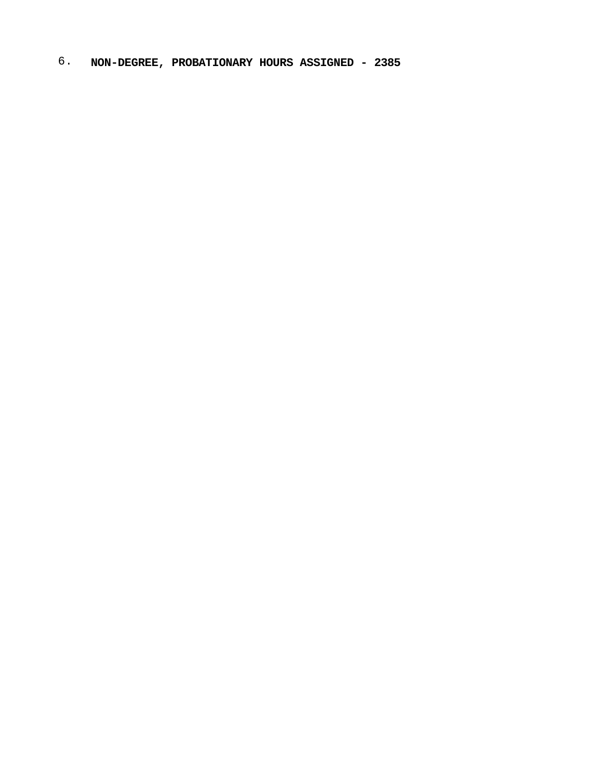6. **NON-DEGREE, PROBATIONARY HOURS ASSIGNED - 2385**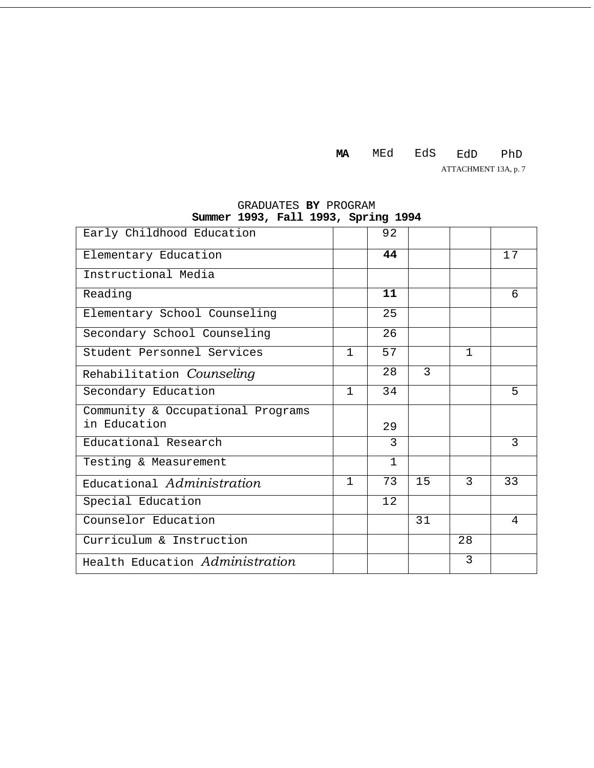# **MA** MEd EdS EdD PhD

ATTACHMENT 13A, p. 7

### GRADUATES **BY** PROGRAM **Summer 1993, Fall 1993, Spring 1994**

| Early Childhood Education         |              | 92           |    |              |    |
|-----------------------------------|--------------|--------------|----|--------------|----|
| Elementary Education              |              | 44           |    |              | 17 |
| Instructional Media               |              |              |    |              |    |
| Reading                           |              | 11           |    |              | 6  |
| Elementary School Counseling      |              | 25           |    |              |    |
| Secondary School Counseling       |              | 26           |    |              |    |
| Student Personnel Services        | $\mathbf{1}$ | 57           |    | $\mathbf{1}$ |    |
| Rehabilitation Counseling         |              | 28           | 3  |              |    |
| Secondary Education               | $\mathbf{1}$ | 34           |    |              | 5  |
| Community & Occupational Programs |              |              |    |              |    |
| in Education                      |              | 29           |    |              |    |
| Educational Research              |              | 3            |    |              | 3  |
| Testing & Measurement             |              | $\mathbf{1}$ |    |              |    |
| Educational Administration        | $\mathbf{1}$ | 73           | 15 | 3            | 33 |
| Special Education                 |              | 12           |    |              |    |
| Counselor Education               |              |              | 31 |              | 4  |
| Curriculum & Instruction          |              |              |    | 28           |    |
| Health Education Administration   |              |              |    | 3            |    |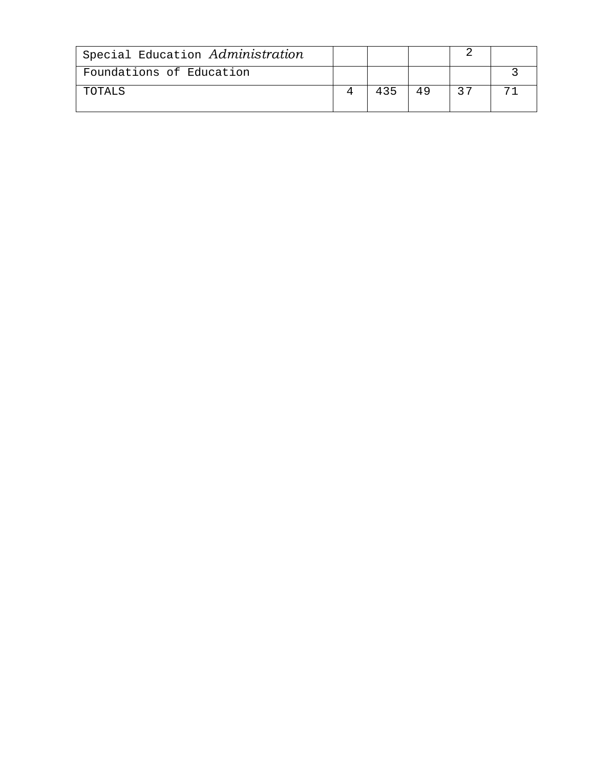| Special Education Administration |     |    |    |  |
|----------------------------------|-----|----|----|--|
| Foundations of Education         |     |    |    |  |
| TOTALS                           | 435 | 49 | 27 |  |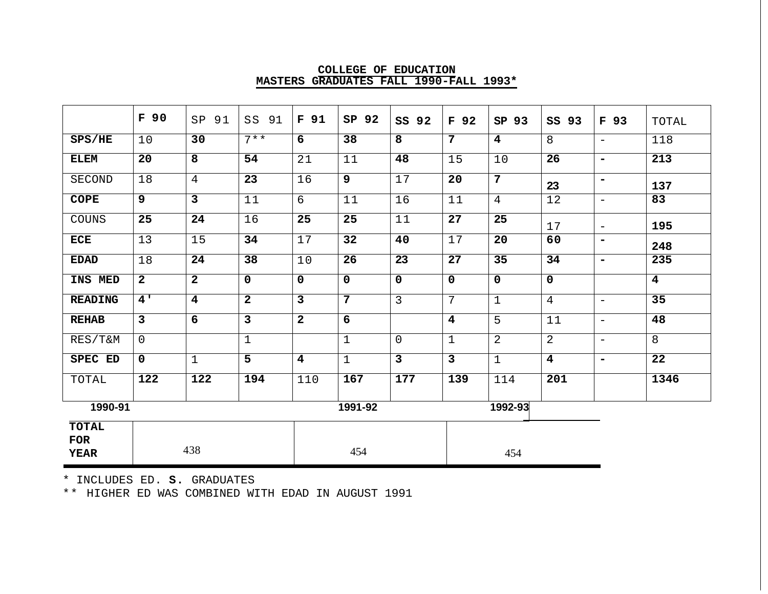|                                           | F 90           | <b>SP</b><br>91         | SS 91        | F 91                    | SP 92          | 92<br>SS       | F 92                    | SP 93                   | SS<br>93                | F 93                     | TOTAL                   |
|-------------------------------------------|----------------|-------------------------|--------------|-------------------------|----------------|----------------|-------------------------|-------------------------|-------------------------|--------------------------|-------------------------|
| SPS/HE                                    | 10             | 30                      | $7 * *$      | 6                       | 38             | 8              | $7\overline{ }$         | $\overline{\mathbf{4}}$ | 8                       | $\overline{\phantom{m}}$ | 118                     |
| <b>ELEM</b>                               | 20             | 8                       | 54           | 21                      | 11             | 48             | 15                      | 10                      | 26                      | $\overline{\phantom{a}}$ | 213                     |
| SECOND                                    | 18             | $\overline{4}$          | 23           | 16                      | 9              | 17             | 20                      | $\overline{7}$          | 23                      | $\blacksquare$           | 137                     |
| <b>COPE</b>                               | $\mathbf{9}$   | $\overline{\mathbf{3}}$ | 11           | 6                       | 11             | 16             | 11                      | $\overline{4}$          | 12                      | $\overline{\phantom{m}}$ | 83                      |
| COUNS                                     | 25             | 24                      | 16           | 25                      | 25             | 11             | 27                      | 25                      | 17                      | $\overline{\phantom{m}}$ | 195                     |
| <b>ECE</b>                                | 13             | 15                      | 34           | 17                      | 32             | 40             | 17                      | 20                      | 60                      | $\overline{\phantom{a}}$ | 248                     |
| <b>EDAD</b>                               | $18$           | 24                      | 38           | 10                      | 26             | 23             | 27                      | 35                      | 34                      | $\blacksquare$           | 235                     |
| INS MED                                   | $\overline{2}$ | $\mathbf{2}$            | $\mathbf 0$  | 0                       | $\mathbf 0$    | $\mathbf 0$    | $\mathbf 0$             | $\mathbf 0$             | $\mathbf 0$             |                          | $\overline{\mathbf{4}}$ |
| <b>READING</b>                            | 4'             | $\overline{\mathbf{4}}$ | $\mathbf{2}$ | 3                       | $\overline{7}$ | 3              | 7                       | $\mathbf{1}$            | $\overline{4}$          | $\overline{\phantom{m}}$ | 35                      |
| <b>REHAB</b>                              | 3              | 6                       | $\mathbf{3}$ | $\overline{2}$          | 6              |                | $\overline{\mathbf{4}}$ | 5                       | 11                      | $\overline{\phantom{a}}$ | 48                      |
| RES/T&M                                   | 0              |                         | $\mathbf 1$  |                         | $\mathbf 1$    | $\overline{0}$ | $\mathbf{1}$            | $\overline{2}$          | $\overline{a}$          | $\overline{\phantom{m}}$ | 8                       |
| SPEC ED                                   | $\mathbf 0$    | $1\,$                   | 5            | $\overline{\mathbf{4}}$ | $\mathbf 1$    | $\overline{3}$ | $\mathbf{3}$            | $\mathbf{1}$            | $\overline{\mathbf{4}}$ | $\overline{\phantom{a}}$ | 22                      |
| TOTAL                                     | 122            | 122                     | 194          | 110                     | 167            | 177            | 139                     | 114                     | 201                     |                          | 1346                    |
| 1990-91                                   | 1991-92        |                         |              |                         |                |                |                         | 1992-93                 |                         |                          |                         |
| <b>TOTAL</b><br><b>FOR</b><br><b>YEAR</b> |                | 438                     |              |                         | 454            |                |                         | 454                     |                         |                          |                         |

### **COLLEGE OF EDUCATION MASTERS GRADUATES FALL 1990-FALL 1993\***

\* INCLUDES ED. **S.** GRADUATES

\*\* HIGHER ED WAS COMBINED WITH EDAD IN AUGUST 1991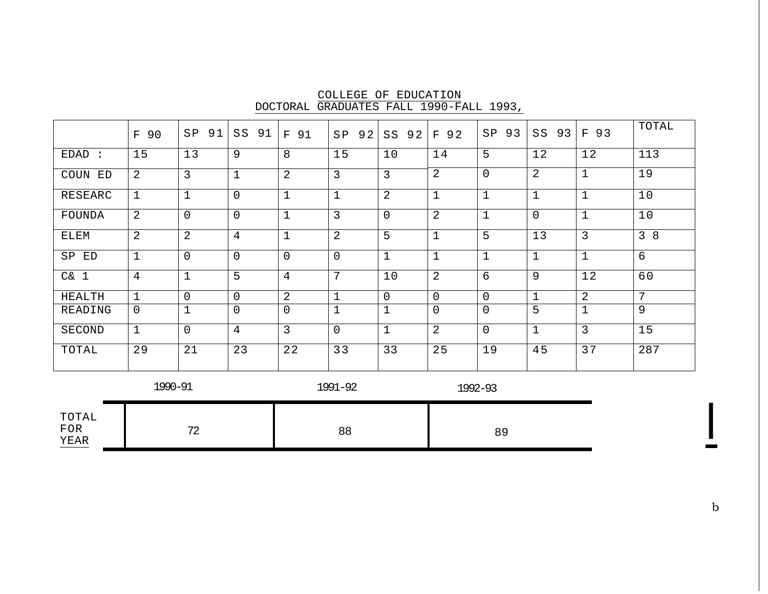|                        | 90<br>$\mathbf{F}$ | 91<br>SP       | SS<br>91       | F<br>91     | 92<br>SP       | 92<br>SS       | 92<br>$_{\rm F}$ | 93<br>SP       | SS<br>93       | F 93         | TOTAL             |
|------------------------|--------------------|----------------|----------------|-------------|----------------|----------------|------------------|----------------|----------------|--------------|-------------------|
| EDAD<br>$\ddot{\cdot}$ | 15                 | 13             | 9              | 8           | 15             | 10             | 14               | 5              | 12             | 12           | 113               |
| COUN<br>ED             | 2                  | 3              | 1              | 2           | 3              | 3              | 2                | $\overline{0}$ | $\overline{2}$ | $\mathbf{1}$ | 19                |
| RESEARC                | 1                  | $\mathbf 1$    | $\overline{0}$ | 1           |                | $\overline{2}$ | $\mathbf{1}$     | $\mathbf{1}$   | $\mathbf 1$    | $\mathbf 1$  | 10                |
| FOUNDA                 | 2                  | $\mathbf 0$    | $\mathbf 0$    | $\mathbf 1$ | 3              | $\overline{0}$ | 2                | $\mathbf{1}$   | $\mathbf 0$    | $\mathbf 1$  | 10                |
| ELEM                   | 2                  | $\overline{2}$ | 4              | 1           | $\overline{2}$ | 5              | $\mathbf 1$      | 5              | 13             | 3            | 8<br>$\mathsf{3}$ |
| SP ED                  | $\mathbf{1}$       | $\mathbf 0$    | $\mathbf 0$    | $\mathbf 0$ | $\mathbf 0$    | 1              | $\mathbf{1}$     | $\mathbf 1$    | $\mathbf 1$    | $\mathbf 1$  | 6                 |
| C&1                    | 4                  | $\mathbf 1$    | 5              | 4           | 7              | 10             | 2                | 6              | 9              | 12           | 60                |
| HEALTH                 | 1                  | $\overline{0}$ | $\Omega$       | 2           |                | $\overline{0}$ | 0                | $\overline{0}$ | 1              | 2            | 7                 |
| READING                | $\Omega$           | $\mathbf 1$    | $\overline{0}$ | $\mathbf 0$ |                |                | $\overline{0}$   | $\overline{0}$ | 5              | $\mathbf 1$  | 9                 |
| SECOND                 | $\mathbf{1}$       | $\overline{0}$ | 4              | 3           | 0              | $\mathbf 1$    | 2                | $\mathbf 0$    | $\mathbf 1$    | 3            | 15                |
| TOTAL                  | 29                 | 21             | 23             | 22          | 33             | 33             | 25               | 19             | 45             | 37           | 287               |

COLLEGE OF EDUCATION DOCTORAL GRADUATES FALL 1990-FALL 1993,

|                      | 1990-91          | 1991-92 | 1992-93 |  |  |
|----------------------|------------------|---------|---------|--|--|
| TOTAL<br>FOR<br>YEAR | $\neg \cap$<br>▵ | 88      | 89      |  |  |

 $\overline{\mathsf{I}}$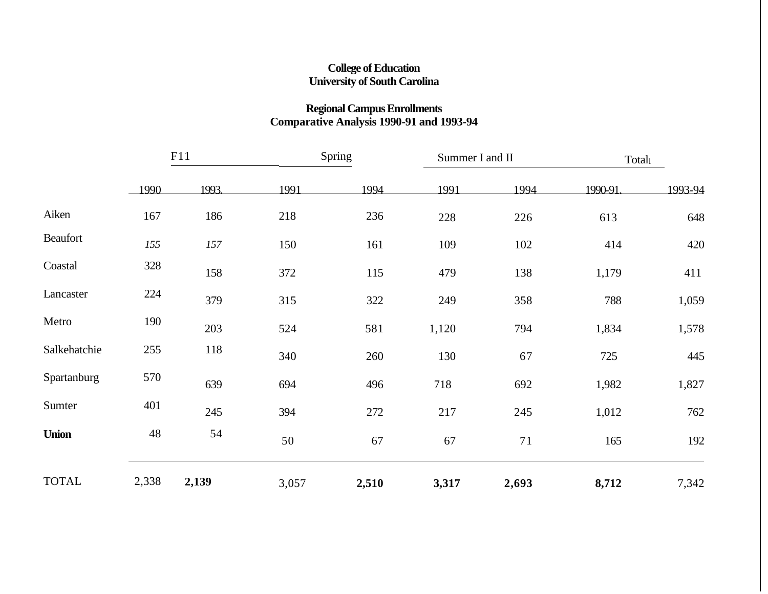## **College of Education University of South Carolina**

## **Regional Campus Enrollments Comparative Analysis 1990-91 and 1993-94**

|              | F11   |       |       | Spring |       | Summer I and II | Total <sub>1</sub> |         |
|--------------|-------|-------|-------|--------|-------|-----------------|--------------------|---------|
|              | 1990  | 1993. | 1991  | 1994   | 1991  | 1994            | 1990-91            | 1993-94 |
| Aiken        | 167   | 186   | 218   | 236    | 228   | 226             | 613                | 648     |
| Beaufort     | 155   | 157   | 150   | 161    | 109   | 102             | 414                | 420     |
| Coastal      | 328   | 158   | 372   | 115    | 479   | 138             | 1,179              | 411     |
| Lancaster    | 224   | 379   | 315   | 322    | 249   | 358             | 788                | 1,059   |
| Metro        | 190   | 203   | 524   | 581    | 1,120 | 794             | 1,834              | 1,578   |
| Salkehatchie | 255   | 118   | 340   | 260    | 130   | 67              | 725                | 445     |
| Spartanburg  | 570   | 639   | 694   | 496    | 718   | 692             | 1,982              | 1,827   |
| Sumter       | 401   | 245   | 394   | 272    | 217   | 245             | 1,012              | 762     |
| <b>Union</b> | 48    | 54    | 50    | 67     | 67    | 71              | 165                | 192     |
| <b>TOTAL</b> | 2,338 | 2,139 | 3,057 | 2,510  | 3,317 | 2,693           | 8,712              | 7,342   |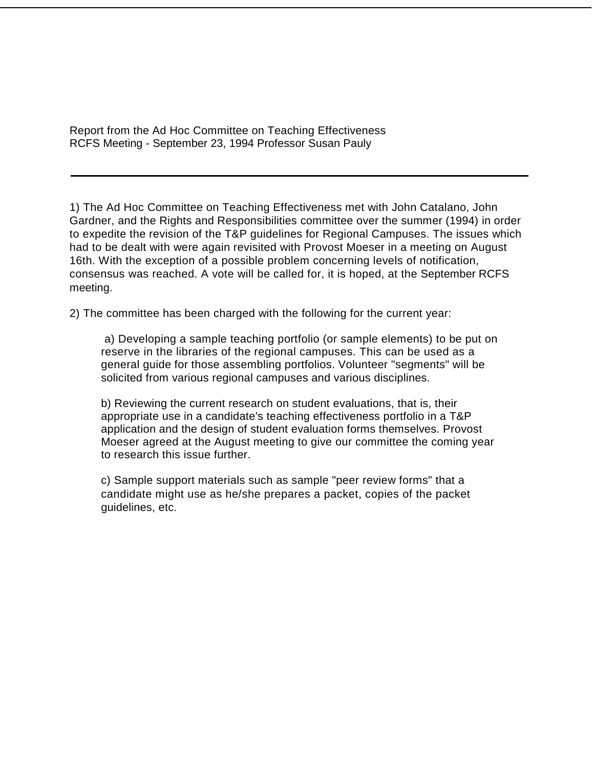Report from the Ad Hoc Committee on Teaching Effectiveness RCFS Meeting - September 23, 1994 Professor Susan Pauly

1) The Ad Hoc Committee on Teaching Effectiveness met with John Catalano, John Gardner, and the Rights and Responsibilities committee over the summer (1994) in order to expedite the revision of the T&P guidelines for Regional Campuses. The issues which had to be dealt with were again revisited with Provost Moeser in a meeting on August 16th. With the exception of a possible problem concerning levels of notification, consensus was reached. A vote will be called for, it is hoped, at the September RCFS meeting.

2) The committee has been charged with the following for the current year:

a) Developing a sample teaching portfolio (or sample elements) to be put on reserve in the libraries of the regional campuses. This can be used as a general guide for those assembling portfolios. Volunteer "segments" will be solicited from various regional campuses and various disciplines.

b) Reviewing the current research on student evaluations, that is, their appropriate use in a candidate's teaching effectiveness portfolio in a T&P application and the design of student evaluation forms themselves. Provost Moeser agreed at the August meeting to give our committee the coming year to research this issue further.

c) Sample support materials such as sample "peer review forms" that a candidate might use as he/she prepares a packet, copies of the packet guidelines, etc.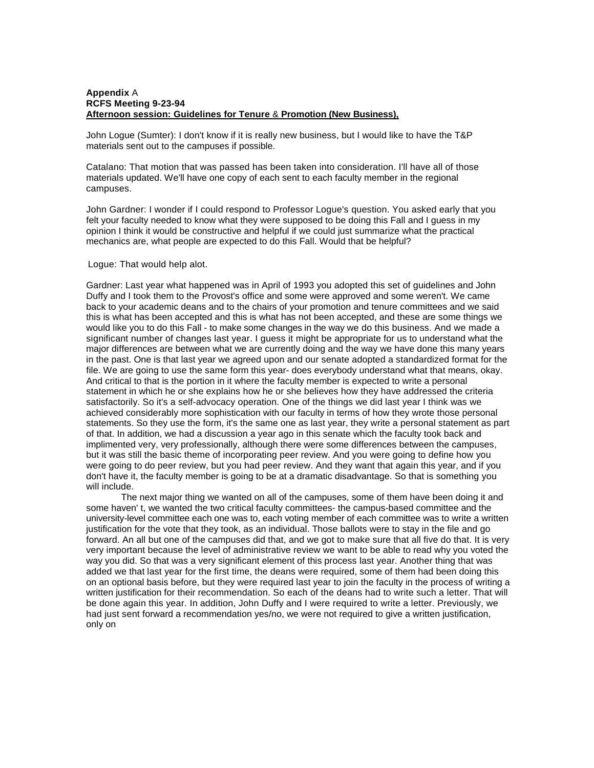#### **Appendix** A **RCFS Meeting 9-23-94 Afternoon session: Guidelines for Tenure** & **Promotion (New Business),**

John Logue (Sumter): I don't know if it is really new business, but I would like to have the T&P materials sent out to the campuses if possible.

Catalano: That motion that was passed has been taken into consideration. I'll have all of those materials updated. We'll have one copy of each sent to each faculty member in the regional campuses.

John Gardner: I wonder if I could respond to Professor Logue's question. You asked early that you felt your faculty needed to know what they were supposed to be doing this Fall and I guess in my opinion I think it would be constructive and helpful if we could just summarize what the practical mechanics are, what people are expected to do this Fall. Would that be helpful?

#### Logue: That would help alot.

Gardner: Last year what happened was in April of 1993 you adopted this set of guidelines and John Duffy and I took them to the Provost's office and some were approved and some weren't. We came back to your academic deans and to the chairs of your promotion and tenure committees and we said this is what has been accepted and this is what has not been accepted, and these are some things we would like you to do this Fall - to make some changes in the way we do this business. And we made a significant number of changes last year. I guess it might be appropriate for us to understand what the major differences are between what we are currently doing and the way we have done this many years in the past. One is that last year we agreed upon and our senate adopted a standardized format for the file. We are going to use the same form this year- does everybody understand what that means, okay. And critical to that is the portion in it where the faculty member is expected to write a personal statement in which he or she explains how he or she believes how they have addressed the criteria satisfactorily. So it's a self-advocacy operation. One of the things we did last year I think was we achieved considerably more sophistication with our faculty in terms of how they wrote those personal statements. So they use the form, it's the same one as last year, they write a personal statement as part of that. In addition, we had a discussion a year ago in this senate which the faculty took back and implimented very, very professionally, although there were some differences between the campuses, but it was still the basic theme of incorporating peer review. And you were going to define how you were going to do peer review, but you had peer review. And they want that again this year, and if you don't have it, the faculty member is going to be at a dramatic disadvantage. So that is something you will include.

The next major thing we wanted on all of the campuses, some of them have been doing it and some haven' t, we wanted the two critical faculty committees- the campus-based committee and the university-level committee each one was to, each voting member of each committee was to write a written justification for the vote that they took, as an individual. Those ballots were to stay in the file and go forward. An all but one of the campuses did that, and we got to make sure that all five do that. It is very very important because the level of administrative review we want to be able to read why you voted the way you did. So that was a very significant element of this process last year. Another thing that was added we that last year for the first time, the deans were required, some of them had been doing this on an optional basis before, but they were required last year to join the faculty in the process of writing a written justification for their recommendation. So each of the deans had to write such a letter. That will be done again this year. In addition, John Duffy and I were required to write a letter. Previously, we had just sent forward a recommendation yes/no, we were not required to give a written justification, only on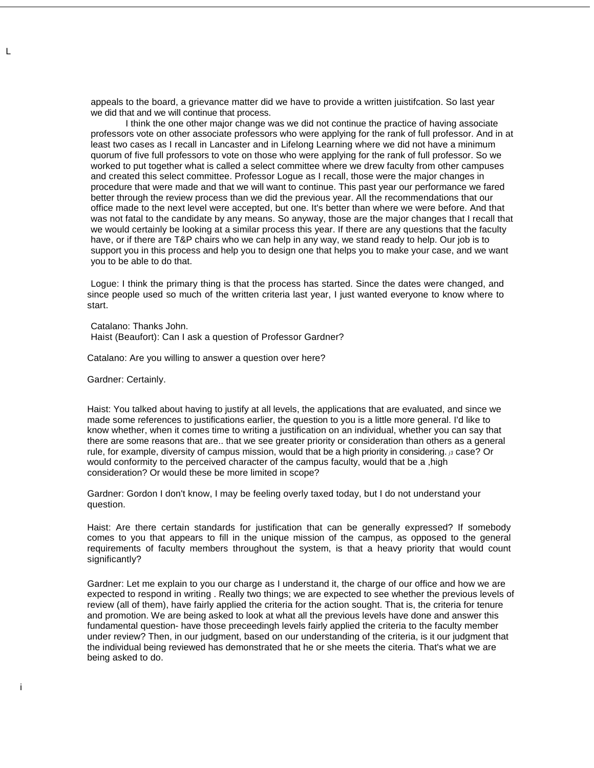appeals to the board, a grievance matter did we have to provide a written juistifcation. So last year we did that and we will continue that process.

I think the one other major change was we did not continue the practice of having associate professors vote on other associate professors who were applying for the rank of full professor. And in at least two cases as I recall in Lancaster and in Lifelong Learning where we did not have a minimum quorum of five full professors to vote on those who were applying for the rank of full professor. So we worked to put together what is called a select committee where we drew faculty from other campuses and created this select committee. Professor Logue as I recall, those were the major changes in procedure that were made and that we will want to continue. This past year our performance we fared better through the review process than we did the previous year. All the recommendations that our office made to the next level were accepted, but one. It's better than where we were before. And that was not fatal to the candidate by any means. So anyway, those are the major changes that I recall that we would certainly be looking at a similar process this year. If there are any questions that the faculty have, or if there are T&P chairs who we can help in any way, we stand ready to help. Our job is to support you in this process and help you to design one that helps you to make your case, and we want you to be able to do that.

Logue: I think the primary thing is that the process has started. Since the dates were changed, and since people used so much of the written criteria last year, I just wanted everyone to know where to start.

Catalano: Thanks John. Haist (Beaufort): Can I ask a question of Professor Gardner?

Catalano: Are you willing to answer a question over here?

Gardner: Certainly.

L

i

Haist: You talked about having to justify at all levels, the applications that are evaluated, and since we made some references to justifications earlier, the question to you is a little more general. I'd like to know whether, when it comes time to writing a justification on an individual, whether you can say that there are some reasons that are.. that we see greater priority or consideration than others as a general rule, for example, diversity of campus mission, would that be a high priority in considering. *j3* case? Or would conformity to the perceived character of the campus faculty, would that be a ,high consideration? Or would these be more limited in scope?

Gardner: Gordon I don't know, I may be feeling overly taxed today, but I do not understand your question.

Haist: Are there certain standards for justification that can be generally expressed? If somebody comes to you that appears to fill in the unique mission of the campus, as opposed to the general requirements of faculty members throughout the system, is that a heavy priority that would count significantly?

Gardner: Let me explain to you our charge as I understand it, the charge of our office and how we are expected to respond in writing . Really two things; we are expected to see whether the previous levels of review (all of them), have fairly applied the criteria for the action sought. That is, the criteria for tenure and promotion. We are being asked to look at what all the previous levels have done and answer this fundamental question- have those preceedingh levels fairly applied the criteria to the faculty member under review? Then, in our judgment, based on our understanding of the criteria, is it our judgment that the individual being reviewed has demonstrated that he or she meets the citeria. That's what we are being asked to do.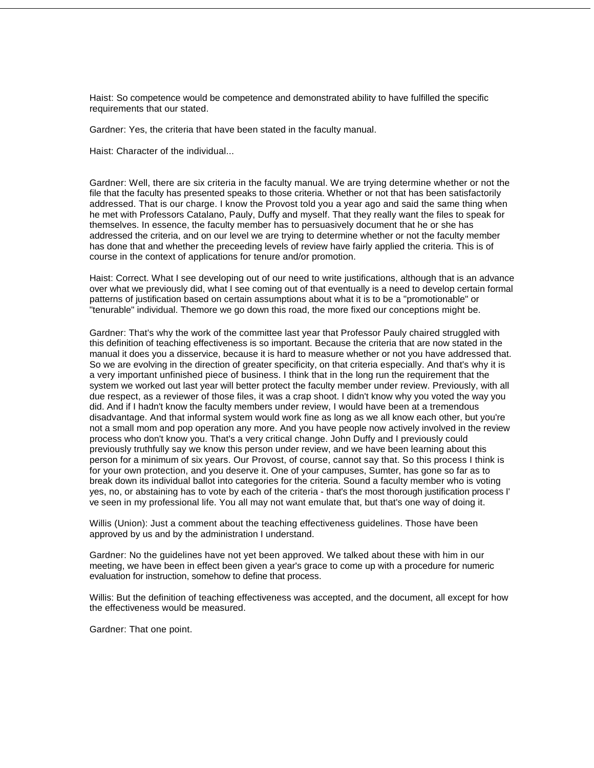Haist: So competence would be competence and demonstrated ability to have fulfilled the specific requirements that our stated.

Gardner: Yes, the criteria that have been stated in the faculty manual.

Haist: Character of the individual...

Gardner: Well, there are six criteria in the faculty manual. We are trying determine whether or not the file that the faculty has presented speaks to those criteria. Whether or not that has been satisfactorily addressed. That is our charge. I know the Provost told you a year ago and said the same thing when he met with Professors Catalano, Pauly, Duffy and myself. That they really want the files to speak for themselves. In essence, the faculty member has to persuasively document that he or she has addressed the criteria, and on our level we are trying to determine whether or not the faculty member has done that and whether the preceeding levels of review have fairly applied the criteria. This is of course in the context of applications for tenure and/or promotion.

Haist: Correct. What I see developing out of our need to write justifications, although that is an advance over what we previously did, what I see coming out of that eventually is a need to develop certain formal patterns of justification based on certain assumptions about what it is to be a "promotionable" or "tenurable" individual. Themore we go down this road, the more fixed our conceptions might be.

Gardner: That's why the work of the committee last year that Professor Pauly chaired struggled with this definition of teaching effectiveness is so important. Because the criteria that are now stated in the manual it does you a disservice, because it is hard to measure whether or not you have addressed that. So we are evolving in the direction of greater specificity, on that criteria especially. And that's why it is a very important unfinished piece of business. I think that in the long run the requirement that the system we worked out last year will better protect the faculty member under review. Previously, with all due respect, as a reviewer of those files, it was a crap shoot. I didn't know why you voted the way you did. And if I hadn't know the faculty members under review, I would have been at a tremendous disadvantage. And that informal system would work fine as long as we all know each other, but you're not a small mom and pop operation any more. And you have people now actively involved in the review process who don't know you. That's a very critical change. John Duffy and I previously could previously truthfully say we know this person under review, and we have been learning about this person for a minimum of six years. Our Provost, of course, cannot say that. So this process I think is for your own protection, and you deserve it. One of your campuses, Sumter, has gone so far as to break down its individual ballot into categories for the criteria. Sound a faculty member who is voting yes, no, or abstaining has to vote by each of the criteria - that's the most thorough justification process I' ve seen in my professional life. You all may not want emulate that, but that's one way of doing it.

Willis (Union): Just a comment about the teaching effectiveness guidelines. Those have been approved by us and by the administration I understand.

Gardner: No the guidelines have not yet been approved. We talked about these with him in our meeting, we have been in effect been given a year's grace to come up with a procedure for numeric evaluation for instruction, somehow to define that process.

Willis: But the definition of teaching effectiveness was accepted, and the document, all except for how the effectiveness would be measured.

Gardner: That one point.